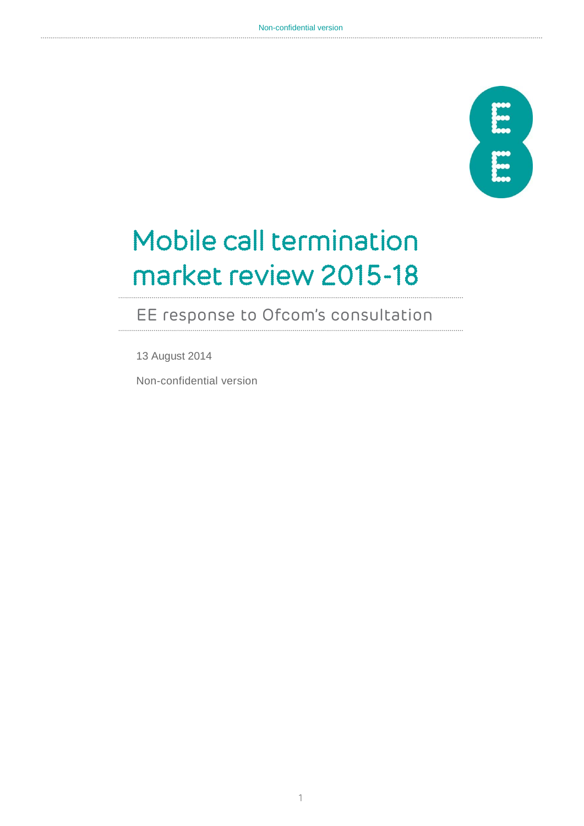

# Mobile call termination market review 2015-18

# EE response to Ofcom's consultation

13 August 2014

Non-confidential version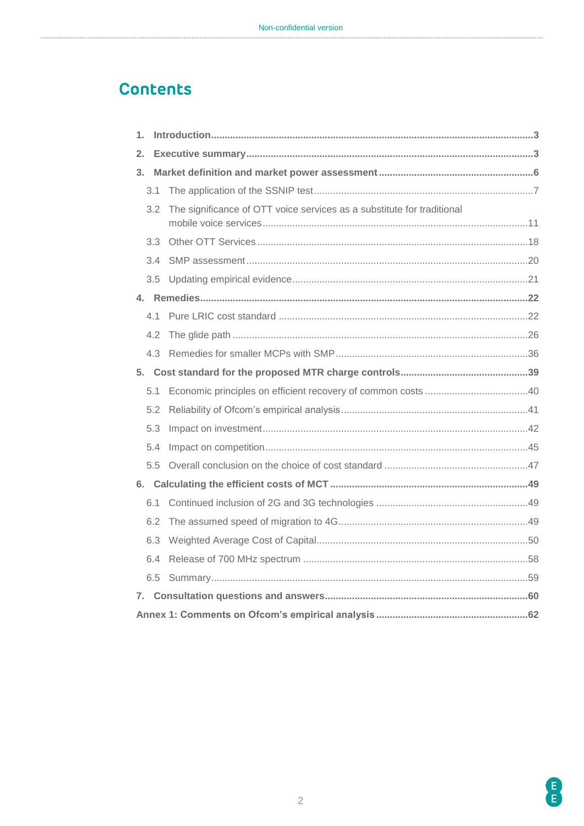# **Contents**

| 1. |     |                                                                        |  |  |  |  |  |
|----|-----|------------------------------------------------------------------------|--|--|--|--|--|
| 2. |     |                                                                        |  |  |  |  |  |
| 3. |     |                                                                        |  |  |  |  |  |
|    | 3.1 |                                                                        |  |  |  |  |  |
|    | 3.2 | The significance of OTT voice services as a substitute for traditional |  |  |  |  |  |
|    | 3.3 |                                                                        |  |  |  |  |  |
|    | 3.4 |                                                                        |  |  |  |  |  |
|    | 3.5 |                                                                        |  |  |  |  |  |
|    |     |                                                                        |  |  |  |  |  |
|    | 41  |                                                                        |  |  |  |  |  |
|    | 4.2 |                                                                        |  |  |  |  |  |
|    | 4.3 |                                                                        |  |  |  |  |  |
|    |     |                                                                        |  |  |  |  |  |
|    | 5.1 |                                                                        |  |  |  |  |  |
|    | 5.2 |                                                                        |  |  |  |  |  |
|    | 5.3 |                                                                        |  |  |  |  |  |
|    | 5.4 |                                                                        |  |  |  |  |  |
|    | 5.5 |                                                                        |  |  |  |  |  |
|    |     |                                                                        |  |  |  |  |  |
|    | 6.1 |                                                                        |  |  |  |  |  |
|    | 6.2 |                                                                        |  |  |  |  |  |
|    | 6.3 |                                                                        |  |  |  |  |  |
|    | 6.4 |                                                                        |  |  |  |  |  |
|    | 6.5 |                                                                        |  |  |  |  |  |
|    |     |                                                                        |  |  |  |  |  |
|    |     |                                                                        |  |  |  |  |  |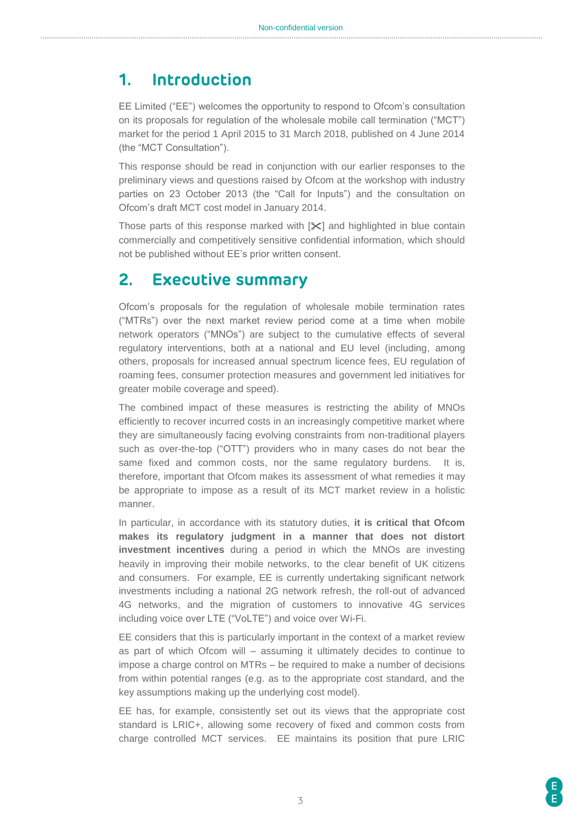### <span id="page-2-0"></span>**1. Introduction**

EE Limited ("EE") welcomes the opportunity to respond to Ofcom's consultation on its proposals for regulation of the wholesale mobile call termination ("MCT") market for the period 1 April 2015 to 31 March 2018, published on 4 June 2014 (the "MCT Consultation").

This response should be read in conjunction with our earlier responses to the preliminary views and questions raised by Ofcom at the workshop with industry parties on 23 October 2013 (the "Call for Inputs") and the consultation on Ofcom's draft MCT cost model in January 2014.

Those parts of this response marked with  $[\mathbb{X}]$  and highlighted in blue contain commercially and competitively sensitive confidential information, which should not be published without EE's prior written consent.

### <span id="page-2-1"></span>**2. Executive summary**

Ofcom's proposals for the regulation of wholesale mobile termination rates ("MTRs") over the next market review period come at a time when mobile network operators ("MNOs") are subject to the cumulative effects of several regulatory interventions, both at a national and EU level (including, among others, proposals for increased annual spectrum licence fees, EU regulation of roaming fees, consumer protection measures and government led initiatives for greater mobile coverage and speed).

The combined impact of these measures is restricting the ability of MNOs efficiently to recover incurred costs in an increasingly competitive market where they are simultaneously facing evolving constraints from non-traditional players such as over-the-top ("OTT") providers who in many cases do not bear the same fixed and common costs, nor the same regulatory burdens. It is, therefore, important that Ofcom makes its assessment of what remedies it may be appropriate to impose as a result of its MCT market review in a holistic manner.

In particular, in accordance with its statutory duties, **it is critical that Ofcom makes its regulatory judgment in a manner that does not distort investment incentives** during a period in which the MNOs are investing heavily in improving their mobile networks, to the clear benefit of UK citizens and consumers. For example, EE is currently undertaking significant network investments including a national 2G network refresh, the roll-out of advanced 4G networks, and the migration of customers to innovative 4G services including voice over LTE ("VoLTE") and voice over Wi-Fi.

EE considers that this is particularly important in the context of a market review as part of which Ofcom will – assuming it ultimately decides to continue to impose a charge control on MTRs – be required to make a number of decisions from within potential ranges (e.g. as to the appropriate cost standard, and the key assumptions making up the underlying cost model).

EE has, for example, consistently set out its views that the appropriate cost standard is LRIC+, allowing some recovery of fixed and common costs from charge controlled MCT services. EE maintains its position that pure LRIC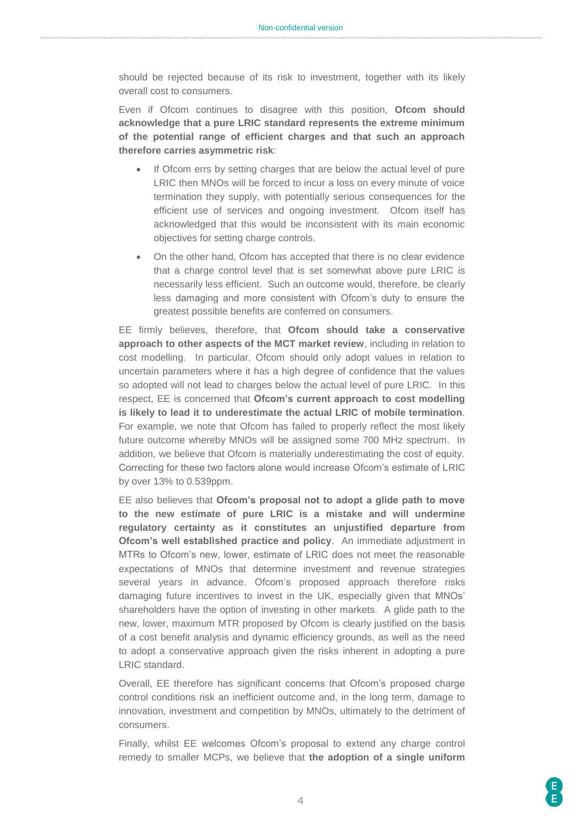should be rejected because of its risk to investment, together with its likely overall cost to consumers.

Even if Ofcom continues to disagree with this position, **Ofcom should acknowledge that a pure LRIC standard represents the extreme minimum of the potential range of efficient charges and that such an approach therefore carries asymmetric risk**:

- If Ofcom errs by setting charges that are below the actual level of pure LRIC then MNOs will be forced to incur a loss on every minute of voice termination they supply, with potentially serious consequences for the efficient use of services and ongoing investment. Ofcom itself has acknowledged that this would be inconsistent with its main economic objectives for setting charge controls.
- On the other hand, Ofcom has accepted that there is no clear evidence that a charge control level that is set somewhat above pure LRIC is necessarily less efficient. Such an outcome would, therefore, be clearly less damaging and more consistent with Ofcom's duty to ensure the greatest possible benefits are conferred on consumers.

EE firmly believes, therefore, that **Ofcom should take a conservative approach to other aspects of the MCT market review**, including in relation to cost modelling. In particular, Ofcom should only adopt values in relation to uncertain parameters where it has a high degree of confidence that the values so adopted will not lead to charges below the actual level of pure LRIC. In this respect, EE is concerned that **Ofcom's current approach to cost modelling is likely to lead it to underestimate the actual LRIC of mobile termination**. For example, we note that Ofcom has failed to properly reflect the most likely future outcome whereby MNOs will be assigned some 700 MHz spectrum. In addition, we believe that Ofcom is materially underestimating the cost of equity. Correcting for these two factors alone would increase Ofcom's estimate of LRIC by over 13% to 0.539ppm.

EE also believes that **Ofcom's proposal not to adopt a glide path to move to the new estimate of pure LRIC is a mistake and will undermine regulatory certainty as it constitutes an unjustified departure from Ofcom's well established practice and policy**. An immediate adjustment in MTRs to Ofcom's new, lower, estimate of LRIC does not meet the reasonable expectations of MNOs that determine investment and revenue strategies several years in advance. Ofcom's proposed approach therefore risks damaging future incentives to invest in the UK, especially given that MNOs' shareholders have the option of investing in other markets. A glide path to the new, lower, maximum MTR proposed by Ofcom is clearly justified on the basis of a cost benefit analysis and dynamic efficiency grounds, as well as the need to adopt a conservative approach given the risks inherent in adopting a pure LRIC standard.

Overall, EE therefore has significant concerns that Ofcom's proposed charge control conditions risk an inefficient outcome and, in the long term, damage to innovation, investment and competition by MNOs, ultimately to the detriment of consumers.

Finally, whilst EE welcomes Ofcom's proposal to extend any charge control remedy to smaller MCPs, we believe that **the adoption of a single uniform**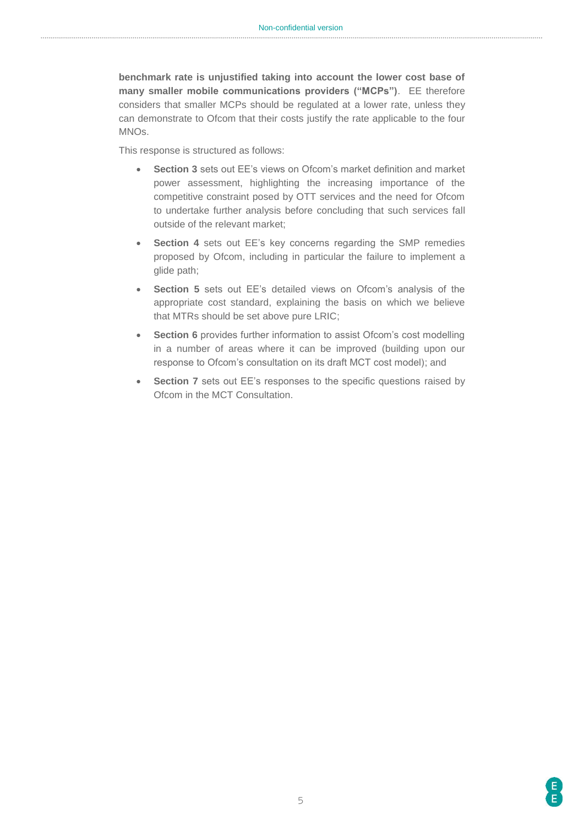**benchmark rate is unjustified taking into account the lower cost base of many smaller mobile communications providers ("MCPs")**. EE therefore considers that smaller MCPs should be regulated at a lower rate, unless they can demonstrate to Ofcom that their costs justify the rate applicable to the four MNOs.

This response is structured as follows:

- **Section 3** sets out EE's views on Ofcom's market definition and market power assessment, highlighting the increasing importance of the competitive constraint posed by OTT services and the need for Ofcom to undertake further analysis before concluding that such services fall outside of the relevant market;
- **Section 4** sets out EE's key concerns regarding the SMP remedies proposed by Ofcom, including in particular the failure to implement a glide path;
- **Section 5** sets out EE's detailed views on Ofcom's analysis of the appropriate cost standard, explaining the basis on which we believe that MTRs should be set above pure LRIC;
- **Section 6** provides further information to assist Ofcom's cost modelling in a number of areas where it can be improved (building upon our response to Ofcom's consultation on its draft MCT cost model); and
- **Section 7** sets out EE's responses to the specific questions raised by Ofcom in the MCT Consultation.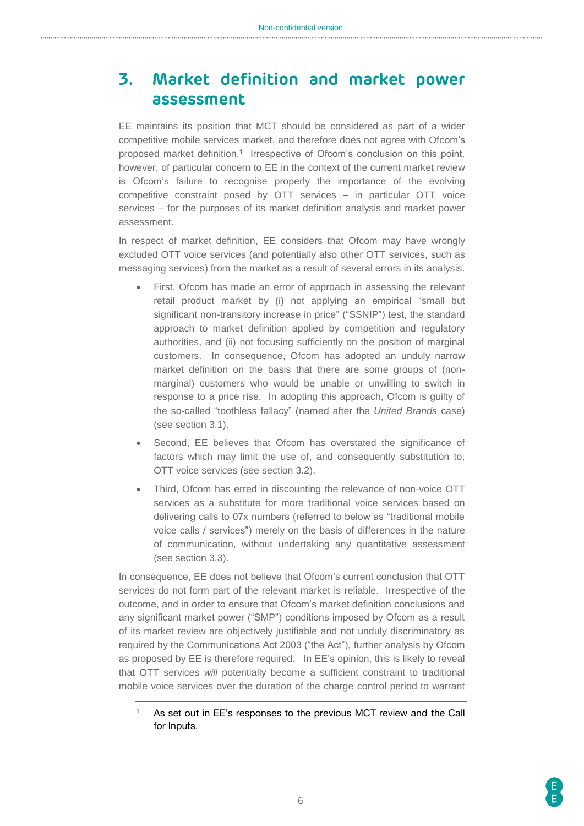# <span id="page-5-0"></span>**3. Market definition and market power assessment**

EE maintains its position that MCT should be considered as part of a wider competitive mobile services market, and therefore does not agree with Ofcom's proposed market definition.<sup>1</sup> Irrespective of Ofcom's conclusion on this point, however, of particular concern to EE in the context of the current market review is Ofcom's failure to recognise properly the importance of the evolving competitive constraint posed by OTT services – in particular OTT voice services – for the purposes of its market definition analysis and market power assessment.

In respect of market definition, EE considers that Ofcom may have wrongly excluded OTT voice services (and potentially also other OTT services, such as messaging services) from the market as a result of several errors in its analysis.

- First, Ofcom has made an error of approach in assessing the relevant retail product market by (i) not applying an empirical "small but significant non-transitory increase in price" ("SSNIP") test, the standard approach to market definition applied by competition and regulatory authorities, and (ii) not focusing sufficiently on the position of marginal customers. In consequence, Ofcom has adopted an unduly narrow market definition on the basis that there are some groups of (nonmarginal) customers who would be unable or unwilling to switch in response to a price rise. In adopting this approach, Ofcom is guilty of the so-called "toothless fallacy" (named after the *United Brands* case) (see section 3.1).
- Second, EE believes that Ofcom has overstated the significance of factors which may limit the use of, and consequently substitution to, OTT voice services (see section 3.2).
- Third, Ofcom has erred in discounting the relevance of non-voice OTT services as a substitute for more traditional voice services based on delivering calls to 07x numbers (referred to below as "traditional mobile voice calls / services") merely on the basis of differences in the nature of communication, without undertaking any quantitative assessment (see section 3.3).

In consequence, EE does not believe that Ofcom's current conclusion that OTT services do not form part of the relevant market is reliable. Irrespective of the outcome, and in order to ensure that Ofcom's market definition conclusions and any significant market power ("SMP") conditions imposed by Ofcom as a result of its market review are objectively justifiable and not unduly discriminatory as required by the Communications Act 2003 ("the Act"), further analysis by Ofcom as proposed by EE is therefore required. In EE's opinion, this is likely to reveal that OTT services *will* potentially become a sufficient constraint to traditional mobile voice services over the duration of the charge control period to warrant

<sup>1</sup> As set out in EE's responses to the previous MCT review and the Call for Inputs.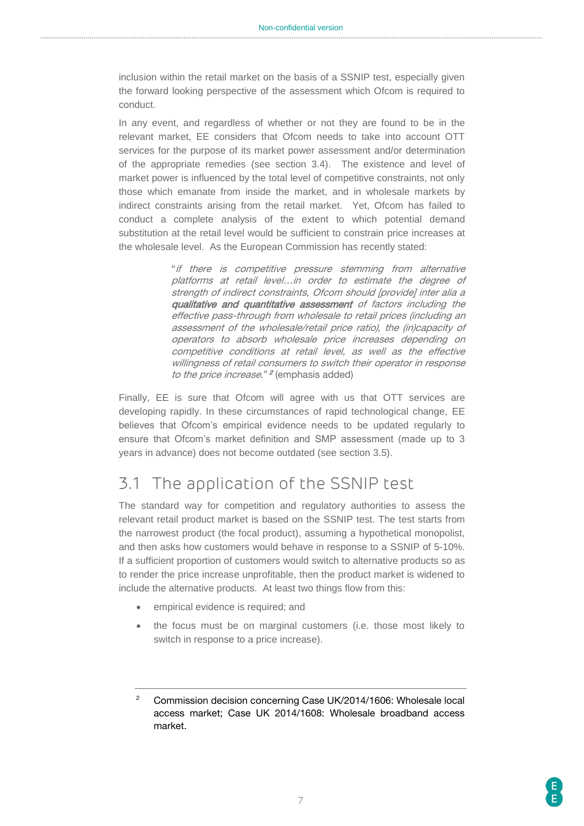inclusion within the retail market on the basis of a SSNIP test, especially given the forward looking perspective of the assessment which Ofcom is required to conduct.

In any event, and regardless of whether or not they are found to be in the relevant market, EE considers that Ofcom needs to take into account OTT services for the purpose of its market power assessment and/or determination of the appropriate remedies (see section 3.4). The existence and level of market power is influenced by the total level of competitive constraints, not only those which emanate from inside the market, and in wholesale markets by indirect constraints arising from the retail market. Yet, Ofcom has failed to conduct a complete analysis of the extent to which potential demand substitution at the retail level would be sufficient to constrain price increases at the wholesale level. As the European Commission has recently stated:

> "if there is competitive pressure stemming from alternative platforms at retail level…in order to estimate the degree of strength of indirect constraints, Ofcom should [provide] inter alia a qualitative and quantitative assessment of factors including the effective pass-through from wholesale to retail prices (including an assessment of the wholesale/retail price ratio), the (in)capacity of operators to absorb wholesale price increases depending on competitive conditions at retail level, as well as the effective willingness of retail consumers to switch their operator in response to the price increase." <sup>2</sup> (emphasis added)

Finally, EE is sure that Ofcom will agree with us that OTT services are developing rapidly. In these circumstances of rapid technological change, EE believes that Ofcom's empirical evidence needs to be updated regularly to ensure that Ofcom's market definition and SMP assessment (made up to 3 years in advance) does not become outdated (see section 3.5).

# <span id="page-6-0"></span>3.1 The application of the SSNIP test

The standard way for competition and regulatory authorities to assess the relevant retail product market is based on the SSNIP test. The test starts from the narrowest product (the focal product), assuming a hypothetical monopolist, and then asks how customers would behave in response to a SSNIP of 5-10%. If a sufficient proportion of customers would switch to alternative products so as to render the price increase unprofitable, then the product market is widened to include the alternative products. At least two things flow from this:

- empirical evidence is required; and
- the focus must be on marginal customers (i.e. those most likely to switch in response to a price increase).

<sup>&</sup>lt;sup>2</sup> Commission decision concerning Case UK/2014/1606: Wholesale local access market; Case UK 2014/1608: Wholesale broadband access market.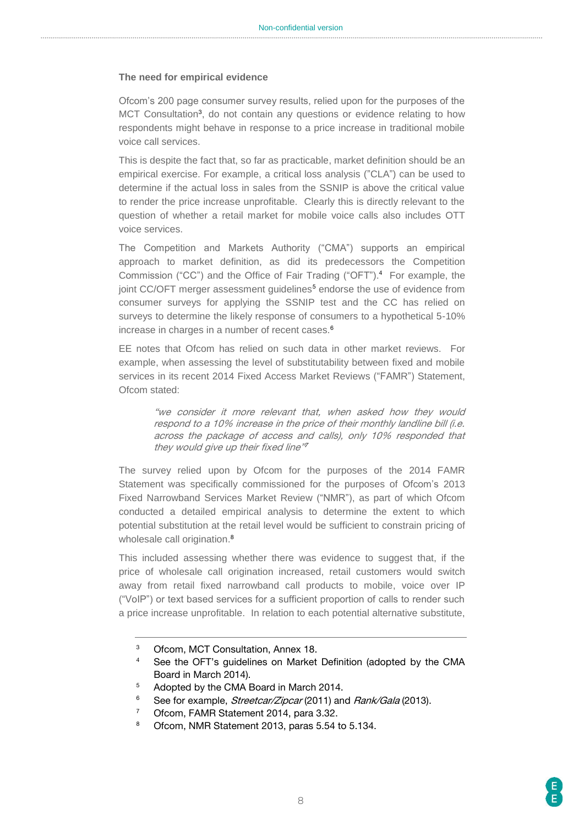#### **The need for empirical evidence**

Ofcom's 200 page consumer survey results, relied upon for the purposes of the MCT Consultation<sup>3</sup>, do not contain any questions or evidence relating to how respondents might behave in response to a price increase in traditional mobile voice call services.

This is despite the fact that, so far as practicable, market definition should be an empirical exercise. For example, a critical loss analysis ("CLA") can be used to determine if the actual loss in sales from the SSNIP is above the critical value to render the price increase unprofitable. Clearly this is directly relevant to the question of whether a retail market for mobile voice calls also includes OTT voice services.

The Competition and Markets Authority ("CMA") supports an empirical approach to market definition, as did its predecessors the Competition Commission ("CC") and the Office of Fair Trading ("OFT"). <sup>4</sup> For example, the joint CC/OFT merger assessment guidelines<sup>5</sup> endorse the use of evidence from consumer surveys for applying the SSNIP test and the CC has relied on surveys to determine the likely response of consumers to a hypothetical 5-10% increase in charges in a number of recent cases.<sup>6</sup>

EE notes that Ofcom has relied on such data in other market reviews. For example, when assessing the level of substitutability between fixed and mobile services in its recent 2014 Fixed Access Market Reviews ("FAMR") Statement, Ofcom stated:

> "we consider it more relevant that, when asked how they would respond to a 10% increase in the price of their monthly landline bill (i.e. across the package of access and calls), only 10% responded that they would give up their fixed line"7

The survey relied upon by Ofcom for the purposes of the 2014 FAMR Statement was specifically commissioned for the purposes of Ofcom's 2013 Fixed Narrowband Services Market Review ("NMR"), as part of which Ofcom conducted a detailed empirical analysis to determine the extent to which potential substitution at the retail level would be sufficient to constrain pricing of wholesale call origination.<sup>8</sup>

This included assessing whether there was evidence to suggest that, if the price of wholesale call origination increased, retail customers would switch away from retail fixed narrowband call products to mobile, voice over IP ("VoIP") or text based services for a sufficient proportion of calls to render such a price increase unprofitable. In relation to each potential alternative substitute,

<sup>3</sup> Ofcom, MCT Consultation, Annex 18.

<sup>&</sup>lt;sup>4</sup> See the OFT's guidelines on Market Definition (adopted by the CMA Board in March 2014).

<sup>&</sup>lt;sup>5</sup> Adopted by the CMA Board in March 2014.

<sup>&</sup>lt;sup>6</sup> See for example, *Streetcar/Zipcar* (2011) and *Rank/Gala* (2013).

<sup>7</sup> Ofcom, FAMR Statement 2014, para 3.32.

<sup>8</sup> Ofcom, NMR Statement 2013, paras 5.54 to 5.134.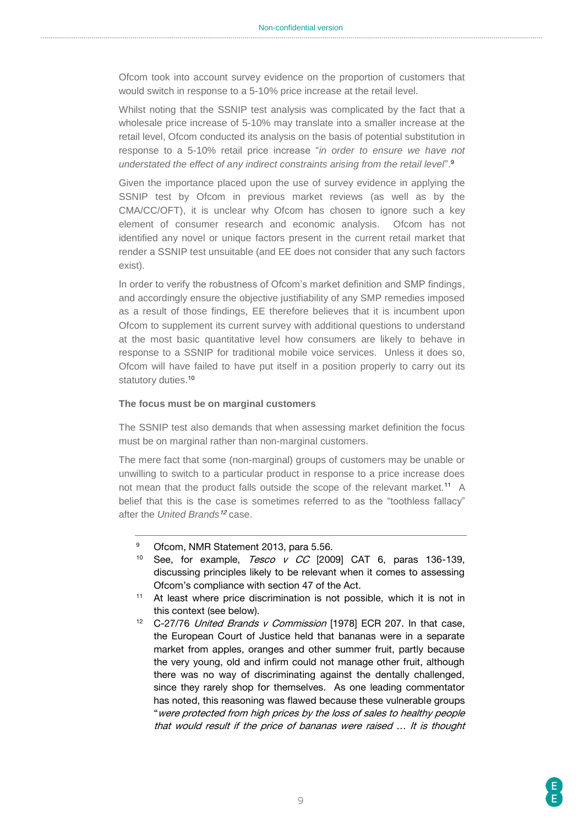Ofcom took into account survey evidence on the proportion of customers that would switch in response to a 5-10% price increase at the retail level.

Whilst noting that the SSNIP test analysis was complicated by the fact that a wholesale price increase of 5-10% may translate into a smaller increase at the retail level, Ofcom conducted its analysis on the basis of potential substitution in response to a 5-10% retail price increase "*in order to ensure we have not understated the effect of any indirect constraints arising from the retail level*". 9

Given the importance placed upon the use of survey evidence in applying the SSNIP test by Ofcom in previous market reviews (as well as by the CMA/CC/OFT), it is unclear why Ofcom has chosen to ignore such a key element of consumer research and economic analysis. Ofcom has not identified any novel or unique factors present in the current retail market that render a SSNIP test unsuitable (and EE does not consider that any such factors exist).

In order to verify the robustness of Ofcom's market definition and SMP findings, and accordingly ensure the objective justifiability of any SMP remedies imposed as a result of those findings, EE therefore believes that it is incumbent upon Ofcom to supplement its current survey with additional questions to understand at the most basic quantitative level how consumers are likely to behave in response to a SSNIP for traditional mobile voice services. Unless it does so, Ofcom will have failed to have put itself in a position properly to carry out its statutory duties.<sup>10</sup>

#### **The focus must be on marginal customers**

The SSNIP test also demands that when assessing market definition the focus must be on marginal rather than non-marginal customers.

The mere fact that some (non-marginal) groups of customers may be unable or unwilling to switch to a particular product in response to a price increase does not mean that the product falls outside the scope of the relevant market.<sup>11</sup> A belief that this is the case is sometimes referred to as the "toothless fallacy" after the *United Brands*<sup>12</sup> case.

- <sup>10</sup> See, for example,  $Tesco$  v  $CC$  [2009] CAT 6, paras 136-139, discussing principles likely to be relevant when it comes to assessing Ofcom's compliance with section 47 of the Act.
- <sup>11</sup> At least where price discrimination is not possible, which it is not in this context (see below).
- <sup>12</sup> C-27/76 United Brands v Commission [1978] ECR 207. In that case, the European Court of Justice held that bananas were in a separate market from apples, oranges and other summer fruit, partly because the very young, old and infirm could not manage other fruit, although there was no way of discriminating against the dentally challenged, since they rarely shop for themselves. As one leading commentator has noted, this reasoning was flawed because these vulnerable groups "were protected from high prices by the loss of sales to healthy people that would result if the price of bananas were raised … It is thought

<sup>9</sup> Ofcom, NMR Statement 2013, para 5.56.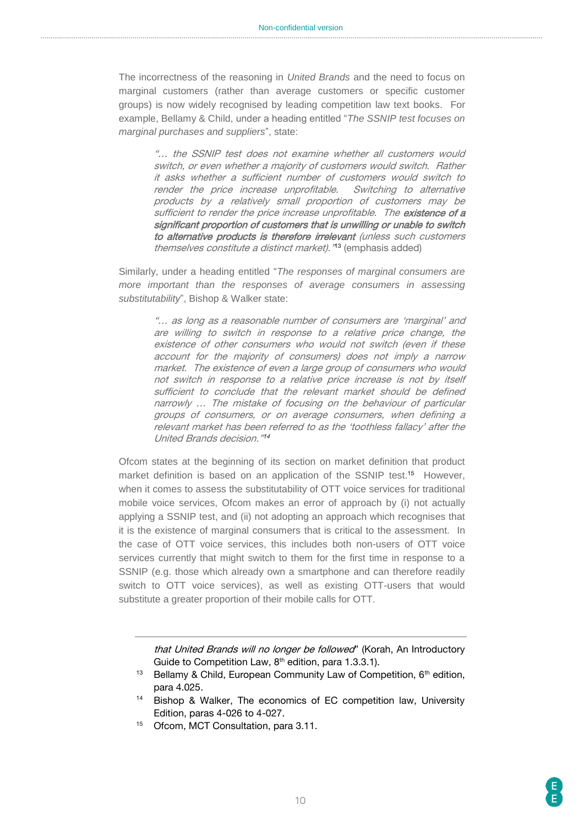The incorrectness of the reasoning in *United Brands* and the need to focus on marginal customers (rather than average customers or specific customer groups) is now widely recognised by leading competition law text books. For example, Bellamy & Child, under a heading entitled "*The SSNIP test focuses on marginal purchases and suppliers*", state:

"… the SSNIP test does not examine whether all customers would switch, or even whether a majority of customers would switch. Rather it asks whether a sufficient number of customers would switch to render the price increase unprofitable. Switching to alternative products by a relatively small proportion of customers may be sufficient to render the price increase unprofitable. The existence of a significant proportion of customers that is unwilling or unable to switch to alternative products is therefore irrelevant (unless such customers themselves constitute a distinct market). "13 (emphasis added)

Similarly, under a heading entitled "*The responses of marginal consumers are more important than the responses of average consumers in assessing substitutability*", Bishop & Walker state:

"… as long as a reasonable number of consumers are 'marginal' and are willing to switch in response to a relative price change, the existence of other consumers who would not switch (even if these account for the majority of consumers) does not imply a narrow market. The existence of even a large group of consumers who would not switch in response to a relative price increase is not by itself sufficient to conclude that the relevant market should be defined narrowly … The mistake of focusing on the behaviour of particular groups of consumers, or on average consumers, when defining a relevant market has been referred to as the 'toothless fallacy' after the United Brands decision." 14

Ofcom states at the beginning of its section on market definition that product market definition is based on an application of the SSNIP test.<sup>15</sup> However, when it comes to assess the substitutability of OTT voice services for traditional mobile voice services, Ofcom makes an error of approach by (i) not actually applying a SSNIP test, and (ii) not adopting an approach which recognises that it is the existence of marginal consumers that is critical to the assessment. In the case of OTT voice services, this includes both non-users of OTT voice services currently that might switch to them for the first time in response to a SSNIP (e.g. those which already own a smartphone and can therefore readily switch to OTT voice services), as well as existing OTT-users that would substitute a greater proportion of their mobile calls for OTT.

that United Brands will no longer be followed" (Korah, An Introductory Guide to Competition Law,  $8<sup>th</sup>$  edition, para 1.3.3.1).

- <sup>13</sup> Bellamy & Child, European Community Law of Competition, 6<sup>th</sup> edition, para 4.025.
- <sup>14</sup> Bishop & Walker, The economics of EC competition law, University Edition, paras 4-026 to 4-027.
- <sup>15</sup> Ofcom, MCT Consultation, para 3.11.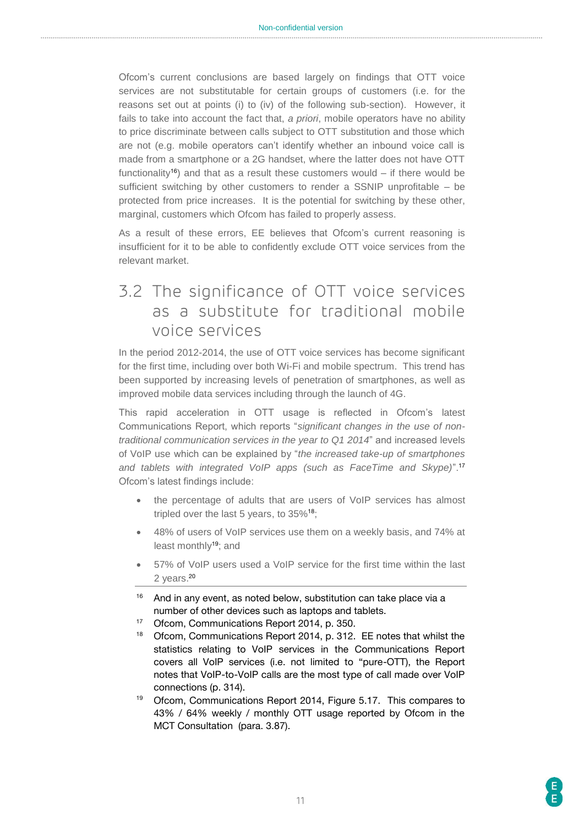Ofcom's current conclusions are based largely on findings that OTT voice services are not substitutable for certain groups of customers (i.e. for the reasons set out at points (i) to (iv) of the following sub-section). However, it fails to take into account the fact that, *a priori*, mobile operators have no ability to price discriminate between calls subject to OTT substitution and those which are not (e.g. mobile operators can't identify whether an inbound voice call is made from a smartphone or a 2G handset, where the latter does not have OTT functionality<sup>16</sup>) and that as a result these customers would – if there would be sufficient switching by other customers to render a SSNIP unprofitable – be protected from price increases. It is the potential for switching by these other, marginal, customers which Ofcom has failed to properly assess.

As a result of these errors, EE believes that Ofcom's current reasoning is insufficient for it to be able to confidently exclude OTT voice services from the relevant market.

# <span id="page-10-0"></span>3.2 The significance of OTT voice services as a substitute for traditional mobile voice services

In the period 2012-2014, the use of OTT voice services has become significant for the first time, including over both Wi-Fi and mobile spectrum. This trend has been supported by increasing levels of penetration of smartphones, as well as improved mobile data services including through the launch of 4G.

This rapid acceleration in OTT usage is reflected in Ofcom's latest Communications Report, which reports "*significant changes in the use of nontraditional communication services in the year to Q1 2014*" and increased levels of VoIP use which can be explained by "*the increased take-up of smartphones and tablets with integrated VoIP apps (such as FaceTime and Skype)*".<sup>17</sup> Ofcom's latest findings include:

- the percentage of adults that are users of VoIP services has almost tripled over the last 5 years, to 35%<sup>18</sup>;
- 48% of users of VoIP services use them on a weekly basis, and 74% at least monthly<sup>19</sup>; and
- 57% of VoIP users used a VoIP service for the first time within the last 2 years.<sup>20</sup>
- $16$  And in any event, as noted below, substitution can take place via a number of other devices such as laptops and tablets.
- <sup>17</sup> Ofcom, Communications Report 2014, p. 350.
- <sup>18</sup> Ofcom, Communications Report 2014, p. 312. EE notes that whilst the statistics relating to VoIP services in the Communications Report covers all VoIP services (i.e. not limited to "pure-OTT), the Report notes that VoIP-to-VoIP calls are the most type of call made over VoIP connections (p. 314).
- <sup>19</sup> Ofcom, Communications Report 2014, Figure 5.17. This compares to 43% / 64% weekly / monthly OTT usage reported by Ofcom in the MCT Consultation (para. 3.87).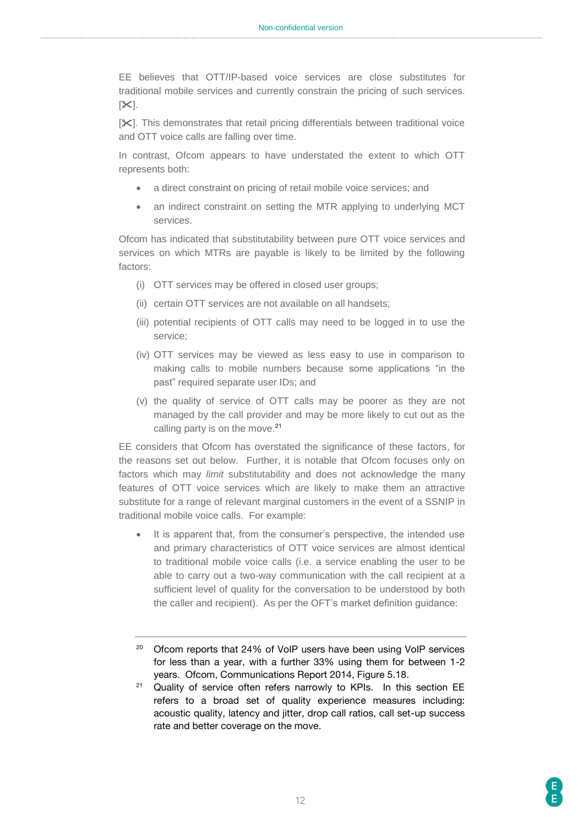EE believes that OTT/IP-based voice services are close substitutes for traditional mobile services and currently constrain the pricing of such services.  $[35]$ .

[ $X$ ]. This demonstrates that retail pricing differentials between traditional voice and OTT voice calls are falling over time.

In contrast, Ofcom appears to have understated the extent to which OTT represents both:

- a direct constraint on pricing of retail mobile voice services; and
- an indirect constraint on setting the MTR applying to underlying MCT services.

Ofcom has indicated that substitutability between pure OTT voice services and services on which MTRs are payable is likely to be limited by the following factors:

- (i) OTT services may be offered in closed user groups;
- (ii) certain OTT services are not available on all handsets;
- (iii) potential recipients of OTT calls may need to be logged in to use the service;
- (iv) OTT services may be viewed as less easy to use in comparison to making calls to mobile numbers because some applications "in the past" required separate user IDs; and
- (v) the quality of service of OTT calls may be poorer as they are not managed by the call provider and may be more likely to cut out as the calling party is on the move.<sup>21</sup>

EE considers that Ofcom has overstated the significance of these factors, for the reasons set out below. Further, it is notable that Ofcom focuses only on factors which may *limit* substitutability and does not acknowledge the many features of OTT voice services which are likely to make them an attractive substitute for a range of relevant marginal customers in the event of a SSNIP in traditional mobile voice calls. For example:

- It is apparent that, from the consumer's perspective, the intended use and primary characteristics of OTT voice services are almost identical to traditional mobile voice calls (i.e. a service enabling the user to be able to carry out a two-way communication with the call recipient at a sufficient level of quality for the conversation to be understood by both the caller and recipient). As per the OFT's market definition guidance:
- <sup>20</sup> Ofcom reports that 24% of VoIP users have been using VoIP services for less than a year, with a further 33% using them for between 1-2 years. Ofcom, Communications Report 2014, Figure 5.18.

<sup>21</sup> Quality of service often refers narrowly to KPIs. In this section EE refers to a broad set of quality experience measures including: acoustic quality, latency and jitter, drop call ratios, call set-up success rate and better coverage on the move.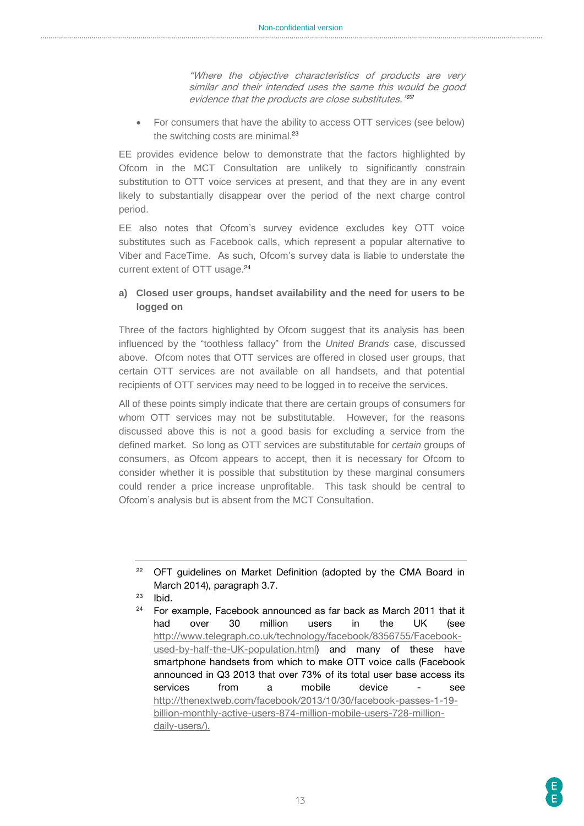"Where the objective characteristics of products are very similar and their intended uses the same this would be good evidence that the products are close substitutes." 22

 For consumers that have the ability to access OTT services (see below) the switching costs are minimal.<sup>23</sup>

EE provides evidence below to demonstrate that the factors highlighted by Ofcom in the MCT Consultation are unlikely to significantly constrain substitution to OTT voice services at present, and that they are in any event likely to substantially disappear over the period of the next charge control period.

EE also notes that Ofcom's survey evidence excludes key OTT voice substitutes such as Facebook calls, which represent a popular alternative to Viber and FaceTime. As such, Ofcom's survey data is liable to understate the current extent of OTT usage.<sup>24</sup>

#### **a) Closed user groups, handset availability and the need for users to be logged on**

Three of the factors highlighted by Ofcom suggest that its analysis has been influenced by the "toothless fallacy" from the *United Brands* case, discussed above. Ofcom notes that OTT services are offered in closed user groups, that certain OTT services are not available on all handsets, and that potential recipients of OTT services may need to be logged in to receive the services.

All of these points simply indicate that there are certain groups of consumers for whom OTT services may not be substitutable. However, for the reasons discussed above this is not a good basis for excluding a service from the defined market. So long as OTT services are substitutable for *certain* groups of consumers, as Ofcom appears to accept, then it is necessary for Ofcom to consider whether it is possible that substitution by these marginal consumers could render a price increase unprofitable. This task should be central to Ofcom's analysis but is absent from the MCT Consultation.

<sup>&</sup>lt;sup>22</sup> OFT guidelines on Market Definition (adopted by the CMA Board in March 2014), paragraph 3.7.

 $23$  Ibid.

 $24$  For example, Facebook announced as far back as March 2011 that it had over 30 million users in the UK (see [http://www.telegraph.co.uk/technology/facebook/8356755/Facebook](http://www.telegraph.co.uk/technology/facebook/8356755/Facebook-used-by-half-the-UK-population.html)[used-by-half-the-UK-population.html\)](http://www.telegraph.co.uk/technology/facebook/8356755/Facebook-used-by-half-the-UK-population.html) and many of these have smartphone handsets from which to make OTT voice calls (Facebook announced in Q3 2013 that over 73% of its total user base access its services from a mobile device - see [http://thenextweb.com/facebook/2013/10/30/facebook-passes-1-19](http://thenextweb.com/facebook/2013/10/30/facebook-passes-1-19-billion-monthly-active-users-874-million-mobile-users-728-million-daily-users/) [billion-monthly-active-users-874-million-mobile-users-728-million](http://thenextweb.com/facebook/2013/10/30/facebook-passes-1-19-billion-monthly-active-users-874-million-mobile-users-728-million-daily-users/)[daily-users/\)](http://thenextweb.com/facebook/2013/10/30/facebook-passes-1-19-billion-monthly-active-users-874-million-mobile-users-728-million-daily-users/).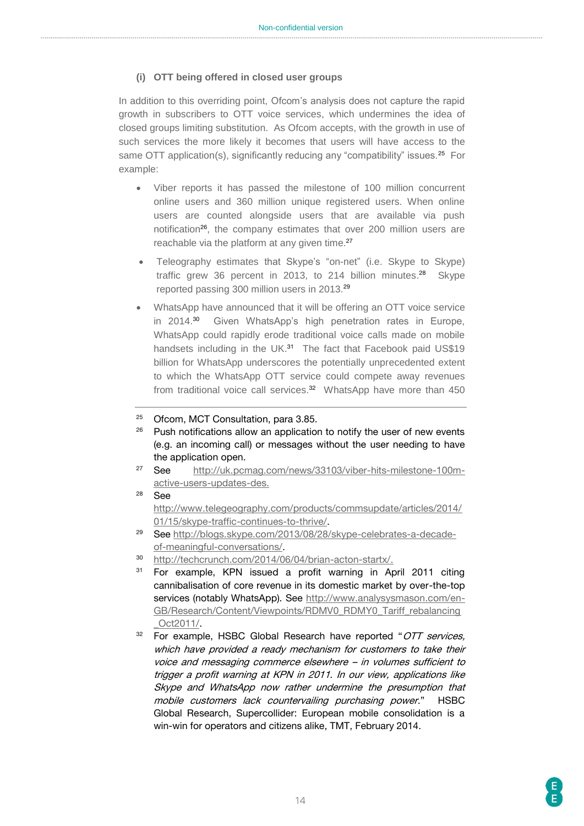#### **(i) OTT being offered in closed user groups**

In addition to this overriding point, Ofcom's analysis does not capture the rapid growth in subscribers to OTT voice services, which undermines the idea of closed groups limiting substitution. As Ofcom accepts, with the growth in use of such services the more likely it becomes that users will have access to the same OTT application(s), significantly reducing any "compatibility" issues.<sup>25</sup> For example:

- Viber reports it has passed the milestone of 100 million concurrent online users and 360 million unique registered users. When online users are counted alongside users that are available via push notification<sup>26</sup>, the company estimates that over 200 million users are reachable via the platform at any given time.<sup>27</sup>
- Teleography estimates that Skype's "on-net" (i.e. Skype to Skype) traffic grew 36 percent in 2013, to 214 billion minutes.<sup>28</sup> Skype reported passing 300 million users in 2013.<sup>29</sup>
- WhatsApp have announced that it will be offering an OTT voice service in 2014.<sup>30</sup> Given WhatsApp's high penetration rates in Europe, WhatsApp could rapidly erode traditional voice calls made on mobile handsets including in the UK.<sup>31</sup> The fact that Facebook paid US\$19 billion for WhatsApp underscores the potentially unprecedented extent to which the WhatsApp OTT service could compete away revenues from traditional voice call services. <sup>32</sup> WhatsApp have more than 450
- <sup>25</sup> Ofcom, MCT Consultation, para 3.85.
- $26$  Push notifications allow an application to notify the user of new events (e.g. an incoming call) or messages without the user needing to have the application open.
- <sup>27</sup> See [http://uk.pcmag.com/news/33103/viber-hits-milestone-100m](http://uk.pcmag.com/news/33103/viber-hits-milestone-100m-active-users-updates-des)[active-users-updates-des.](http://uk.pcmag.com/news/33103/viber-hits-milestone-100m-active-users-updates-des)
- <sup>28</sup> See [http://www.telegeography.com/products/commsupdate/articles/2014/](http://www.telegeography.com/products/commsupdate/articles/2014/01/15/skype-traffic-continues-to-thrive/) [01/15/skype-traffic-continues-to-thrive/.](http://www.telegeography.com/products/commsupdate/articles/2014/01/15/skype-traffic-continues-to-thrive/)
- <sup>29</sup> See [http://blogs.skype.com/2013/08/28/skype-celebrates-a-decade](http://blogs.skype.com/2013/08/28/skype-celebrates-a-decade-of-meaningful-conversations/)[of-meaningful-conversations/.](http://blogs.skype.com/2013/08/28/skype-celebrates-a-decade-of-meaningful-conversations/)
- <sup>30</sup> [http://techcrunch.com/2014/06/04/brian-acton-startx/.](http://techcrunch.com/2014/06/04/brian-acton-startx/)
- <sup>31</sup> For example, KPN issued a profit warning in April 2011 citing cannibalisation of core revenue in its domestic market by over-the-top services (notably WhatsApp). See [http://www.analysysmason.com/en-](http://www.analysysmason.com/en-GB/Research/Content/Viewpoints/RDMV0_RDMY0_Tariff_rebalancing_Oct2011/)[GB/Research/Content/Viewpoints/RDMV0\\_RDMY0\\_Tariff\\_rebalancing](http://www.analysysmason.com/en-GB/Research/Content/Viewpoints/RDMV0_RDMY0_Tariff_rebalancing_Oct2011/) [\\_Oct2011/.](http://www.analysysmason.com/en-GB/Research/Content/Viewpoints/RDMV0_RDMY0_Tariff_rebalancing_Oct2011/)
- $32$  For example, HSBC Global Research have reported "OTT services, which have provided a ready mechanism for customers to take their voice and messaging commerce elsewhere – in volumes sufficient to trigger a profit warning at KPN in 2011. In our view, applications like Skype and WhatsApp now rather undermine the presumption that mobile customers lack countervailing purchasing power." HSBC Global Research, Supercollider: European mobile consolidation is a win-win for operators and citizens alike, TMT, February 2014.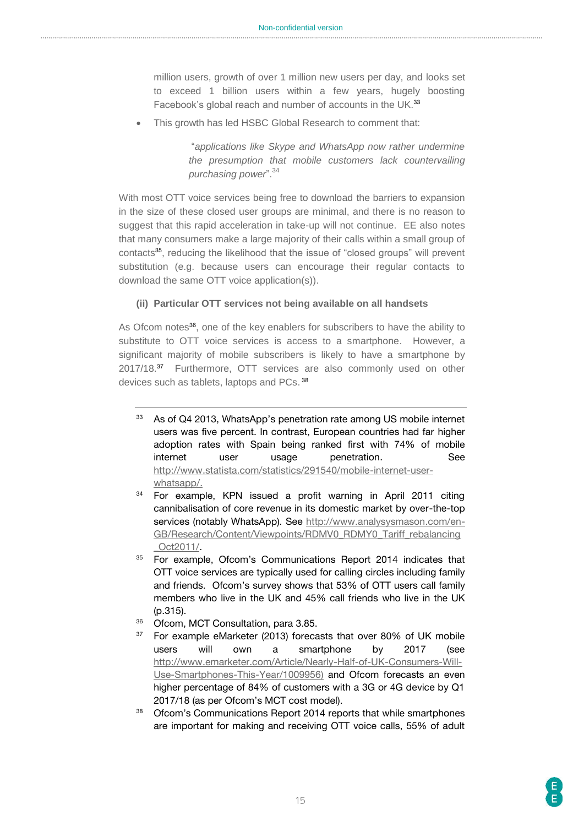million users, growth of over 1 million new users per day, and looks set to exceed 1 billion users within a few years, hugely boosting Facebook's global reach and number of accounts in the UK.<sup>33</sup>

This growth has led HSBC Global Research to comment that:

"*applications like Skype and WhatsApp now rather undermine the presumption that mobile customers lack countervailing purchasing power*".<sup>34</sup>

With most OTT voice services being free to download the barriers to expansion in the size of these closed user groups are minimal, and there is no reason to suggest that this rapid acceleration in take-up will not continue. EE also notes that many consumers make a large majority of their calls within a small group of contacts<sup>35</sup>, reducing the likelihood that the issue of "closed groups" will prevent substitution (e.g. because users can encourage their regular contacts to download the same OTT voice application(s)).

#### **(ii) Particular OTT services not being available on all handsets**

As Ofcom notes<sup>36</sup>, one of the key enablers for subscribers to have the ability to substitute to OTT voice services is access to a smartphone. However, a significant majority of mobile subscribers is likely to have a smartphone by 2017/18.<sup>37</sup> Furthermore, OTT services are also commonly used on other devices such as tablets, laptops and PCs.<sup>38</sup>

- <sup>33</sup> As of Q4 2013, WhatsApp's penetration rate among US mobile internet users was five percent. In contrast, European countries had far higher adoption rates with Spain being ranked first with 74% of mobile internet user usage penetration. See [http://www.statista.com/statistics/291540/mobile-internet-user](http://www.statista.com/statistics/291540/mobile-internet-user-whatsapp/)[whatsapp/.](http://www.statista.com/statistics/291540/mobile-internet-user-whatsapp/)
- <sup>34</sup> For example, KPN issued a profit warning in April 2011 citing cannibalisation of core revenue in its domestic market by over-the-top services (notably WhatsApp). See [http://www.analysysmason.com/en-](http://www.analysysmason.com/en-GB/Research/Content/Viewpoints/RDMV0_RDMY0_Tariff_rebalancing_Oct2011/)[GB/Research/Content/Viewpoints/RDMV0\\_RDMY0\\_Tariff\\_rebalancing](http://www.analysysmason.com/en-GB/Research/Content/Viewpoints/RDMV0_RDMY0_Tariff_rebalancing_Oct2011/) [\\_Oct2011/.](http://www.analysysmason.com/en-GB/Research/Content/Viewpoints/RDMV0_RDMY0_Tariff_rebalancing_Oct2011/)
- <sup>35</sup> For example, Ofcom's Communications Report 2014 indicates that OTT voice services are typically used for calling circles including family and friends. Ofcom's survey shows that 53% of OTT users call family members who live in the UK and 45% call friends who live in the UK (p.315).
- 36 Ofcom, MCT Consultation, para 3.85.
- <sup>37</sup> For example eMarketer (2013) forecasts that over 80% of UK mobile users will own a smartphone by 2017 (see [http://www.emarketer.com/Article/Nearly-Half-of-UK-Consumers-Will-](http://www.emarketer.com/Article/Nearly-Half-of-UK-Consumers-Will-Use-Smartphones-This-Year/1009956)[Use-Smartphones-This-Year/1009956\)](http://www.emarketer.com/Article/Nearly-Half-of-UK-Consumers-Will-Use-Smartphones-This-Year/1009956) and Ofcom forecasts an even higher percentage of 84% of customers with a 3G or 4G device by Q1 2017/18 (as per Ofcom's MCT cost model).
- <sup>38</sup> Ofcom's Communications Report 2014 reports that while smartphones are important for making and receiving OTT voice calls, 55% of adult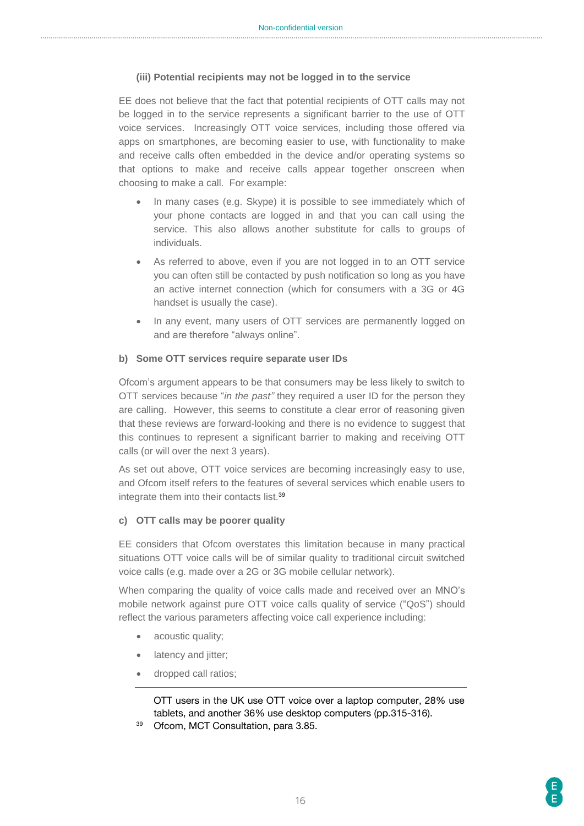#### **(iii) Potential recipients may not be logged in to the service**

EE does not believe that the fact that potential recipients of OTT calls may not be logged in to the service represents a significant barrier to the use of OTT voice services. Increasingly OTT voice services, including those offered via apps on smartphones, are becoming easier to use, with functionality to make and receive calls often embedded in the device and/or operating systems so that options to make and receive calls appear together onscreen when choosing to make a call. For example:

- In many cases (e.g. Skype) it is possible to see immediately which of your phone contacts are logged in and that you can call using the service. This also allows another substitute for calls to groups of individuals.
- As referred to above, even if you are not logged in to an OTT service you can often still be contacted by push notification so long as you have an active internet connection (which for consumers with a 3G or 4G handset is usually the case).
- In any event, many users of OTT services are permanently logged on and are therefore "always online".

#### **b) Some OTT services require separate user IDs**

Ofcom's argument appears to be that consumers may be less likely to switch to OTT services because "*in the past"* they required a user ID for the person they are calling. However, this seems to constitute a clear error of reasoning given that these reviews are forward-looking and there is no evidence to suggest that this continues to represent a significant barrier to making and receiving OTT calls (or will over the next 3 years).

As set out above, OTT voice services are becoming increasingly easy to use, and Ofcom itself refers to the features of several services which enable users to integrate them into their contacts list.<sup>39</sup>

#### **c) OTT calls may be poorer quality**

EE considers that Ofcom overstates this limitation because in many practical situations OTT voice calls will be of similar quality to traditional circuit switched voice calls (e.g. made over a 2G or 3G mobile cellular network).

When comparing the quality of voice calls made and received over an MNO's mobile network against pure OTT voice calls quality of service ("QoS") should reflect the various parameters affecting voice call experience including:

- acoustic quality;
- latency and jitter;
- dropped call ratios;

OTT users in the UK use OTT voice over a laptop computer, 28% use tablets, and another 36% use desktop computers (pp.315-316).

Ofcom, MCT Consultation, para 3.85.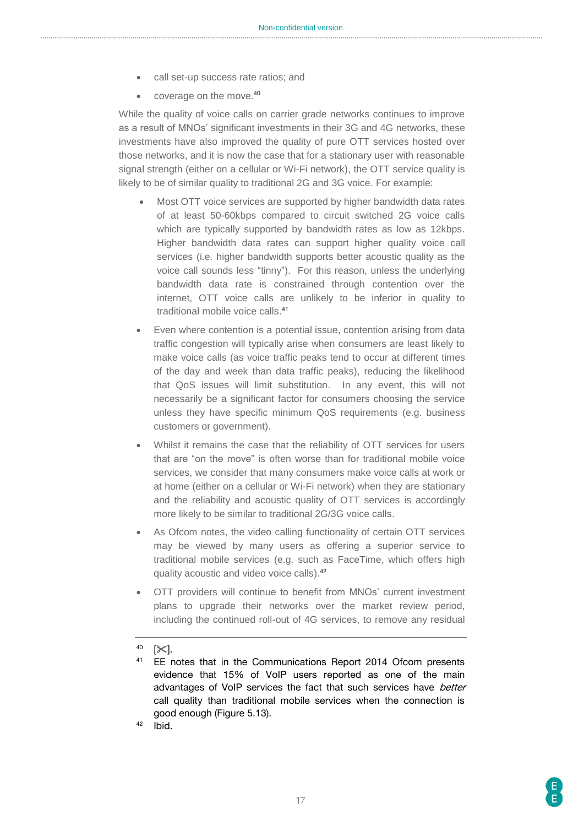- call set-up success rate ratios; and
- coverage on the move.<sup>40</sup>

While the quality of voice calls on carrier grade networks continues to improve as a result of MNOs' significant investments in their 3G and 4G networks, these investments have also improved the quality of pure OTT services hosted over those networks, and it is now the case that for a stationary user with reasonable signal strength (either on a cellular or Wi-Fi network), the OTT service quality is likely to be of similar quality to traditional 2G and 3G voice. For example:

- Most OTT voice services are supported by higher bandwidth data rates of at least 50-60kbps compared to circuit switched 2G voice calls which are typically supported by bandwidth rates as low as 12kbps. Higher bandwidth data rates can support higher quality voice call services (i.e. higher bandwidth supports better acoustic quality as the voice call sounds less "tinny"). For this reason, unless the underlying bandwidth data rate is constrained through contention over the internet, OTT voice calls are unlikely to be inferior in quality to traditional mobile voice calls. 41
- Even where contention is a potential issue, contention arising from data traffic congestion will typically arise when consumers are least likely to make voice calls (as voice traffic peaks tend to occur at different times of the day and week than data traffic peaks), reducing the likelihood that QoS issues will limit substitution. In any event, this will not necessarily be a significant factor for consumers choosing the service unless they have specific minimum QoS requirements (e.g. business customers or government).
- Whilst it remains the case that the reliability of OTT services for users that are "on the move" is often worse than for traditional mobile voice services, we consider that many consumers make voice calls at work or at home (either on a cellular or Wi-Fi network) when they are stationary and the reliability and acoustic quality of OTT services is accordingly more likely to be similar to traditional 2G/3G voice calls.
- As Ofcom notes, the video calling functionality of certain OTT services may be viewed by many users as offering a superior service to traditional mobile services (e.g. such as FaceTime, which offers high quality acoustic and video voice calls).<sup>42</sup>
- OTT providers will continue to benefit from MNOs' current investment plans to upgrade their networks over the market review period, including the continued roll-out of 4G services, to remove any residual

 $42$  Ibid.

 $40$  [ $\times$ ].

<sup>&</sup>lt;sup>41</sup> EE notes that in the Communications Report 2014 Ofcom presents evidence that 15% of VoIP users reported as one of the main advantages of VoIP services the fact that such services have better call quality than traditional mobile services when the connection is good enough (Figure 5.13).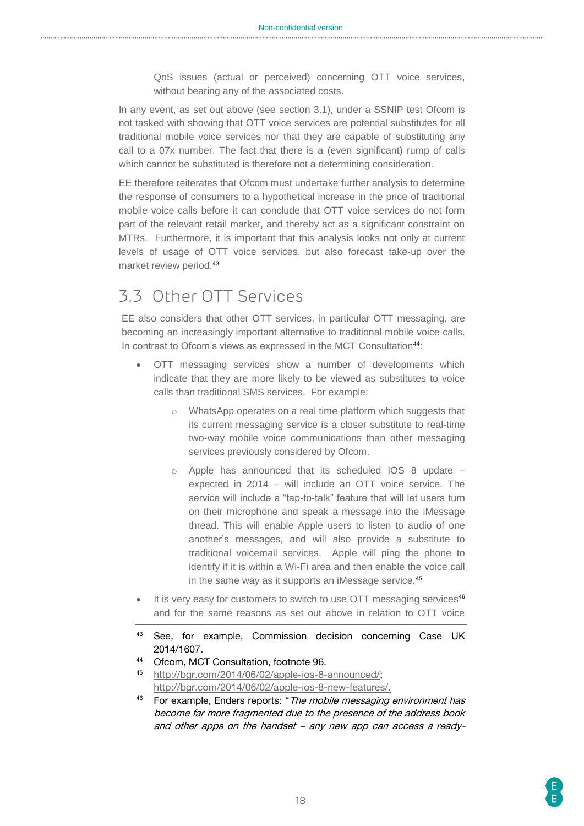QoS issues (actual or perceived) concerning OTT voice services, without bearing any of the associated costs.

In any event, as set out above (see section 3.1), under a SSNIP test Ofcom is not tasked with showing that OTT voice services are potential substitutes for all traditional mobile voice services nor that they are capable of substituting any call to a 07x number. The fact that there is a (even significant) rump of calls which cannot be substituted is therefore not a determining consideration.

EE therefore reiterates that Ofcom must undertake further analysis to determine the response of consumers to a hypothetical increase in the price of traditional mobile voice calls before it can conclude that OTT voice services do not form part of the relevant retail market, and thereby act as a significant constraint on MTRs. Furthermore, it is important that this analysis looks not only at current levels of usage of OTT voice services, but also forecast take-up over the market review period.<sup>43</sup>

# <span id="page-17-0"></span>3.3 Other OTT Services

EE also considers that other OTT services, in particular OTT messaging, are becoming an increasingly important alternative to traditional mobile voice calls. In contrast to Ofcom's views as expressed in the MCT Consultation<sup>44</sup>:

- OTT messaging services show a number of developments which indicate that they are more likely to be viewed as substitutes to voice calls than traditional SMS services. For example:
	- o WhatsApp operates on a real time platform which suggests that its current messaging service is a closer substitute to real-time two-way mobile voice communications than other messaging services previously considered by Ofcom.
	- $\circ$  Apple has announced that its scheduled IOS 8 update expected in 2014 – will include an OTT voice service. The service will include a "tap-to-talk" feature that will let users turn on their microphone and speak a message into the iMessage thread. This will enable Apple users to listen to audio of one another's messages, and will also provide a substitute to traditional voicemail services. Apple will ping the phone to identify if it is within a Wi-Fi area and then enable the voice call in the same way as it supports an iMessage service.<sup>45</sup>
- It is very easy for customers to switch to use OTT messaging services<sup>46</sup> and for the same reasons as set out above in relation to OTT voice
- <sup>43</sup> See, for example, Commission decision concerning Case UK 2014/1607.
- <sup>44</sup> Ofcom, MCT Consultation, footnote 96.
- <sup>45</sup> [http://bgr.com/2014/06/02/apple-ios-8-announced/;](http://bgr.com/2014/06/02/apple-ios-8-announced/) [http://bgr.com/2014/06/02/apple-ios-8-new-features/.](http://bgr.com/2014/06/02/apple-ios-8-new-features/)
- $46$  For example, Enders reports: "The mobile messaging environment has become far more fragmented due to the presence of the address book and other apps on the handset – any new app can access a ready-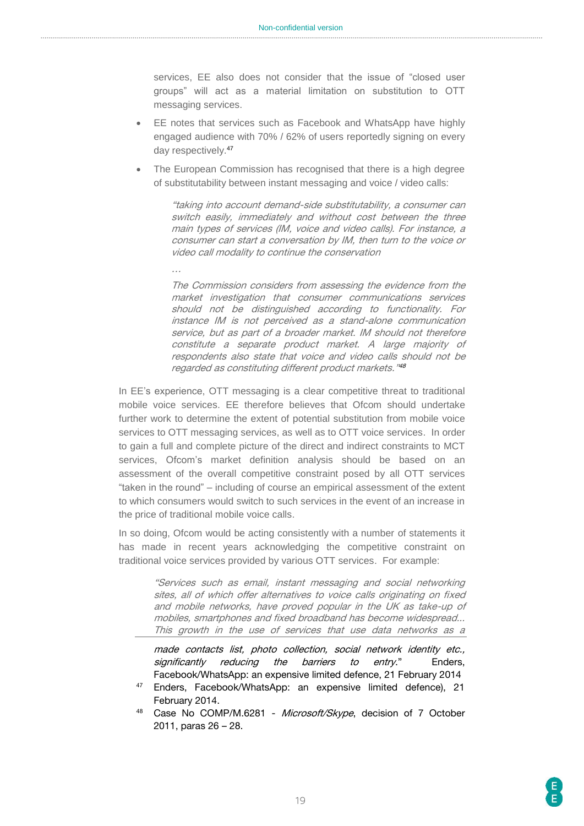services, EE also does not consider that the issue of "closed user groups" will act as a material limitation on substitution to OTT messaging services.

- EE notes that services such as Facebook and WhatsApp have highly engaged audience with 70% / 62% of users reportedly signing on every day respectively.<sup>47</sup>
- The European Commission has recognised that there is a high degree of substitutability between instant messaging and voice / video calls:

"taking into account demand-side substitutability, a consumer can switch easily, immediately and without cost between the three main types of services (IM, voice and video calls). For instance, a consumer can start a conversation by IM, then turn to the voice or video call modality to continue the conservation

…

The Commission considers from assessing the evidence from the market investigation that consumer communications services should not be distinguished according to functionality. For instance IM is not perceived as a stand-alone communication service, but as part of a broader market. IM should not therefore constitute a separate product market. A large majority of respondents also state that voice and video calls should not be regarded as constituting different product markets." 48

In EE's experience, OTT messaging is a clear competitive threat to traditional mobile voice services. EE therefore believes that Ofcom should undertake further work to determine the extent of potential substitution from mobile voice services to OTT messaging services, as well as to OTT voice services. In order to gain a full and complete picture of the direct and indirect constraints to MCT services, Ofcom's market definition analysis should be based on an assessment of the overall competitive constraint posed by all OTT services "taken in the round" – including of course an empirical assessment of the extent to which consumers would switch to such services in the event of an increase in the price of traditional mobile voice calls.

In so doing, Ofcom would be acting consistently with a number of statements it has made in recent years acknowledging the competitive constraint on traditional voice services provided by various OTT services. For example:

> "Services such as email, instant messaging and social networking sites, all of which offer alternatives to voice calls originating on fixed and mobile networks, have proved popular in the UK as take-up of mobiles, smartphones and fixed broadband has become widespread... This growth in the use of services that use data networks as a

> made contacts list, photo collection, social network identity etc., significantly reducing the barriers to entry." Enders, Facebook/WhatsApp: an expensive limited defence, 21 February 2014

- Enders, Facebook/WhatsApp: an expensive limited defence), 21 February 2014.
- 48 Case No COMP/M.6281 Microsoft/Skype, decision of 7 October 2011, paras 26 – 28.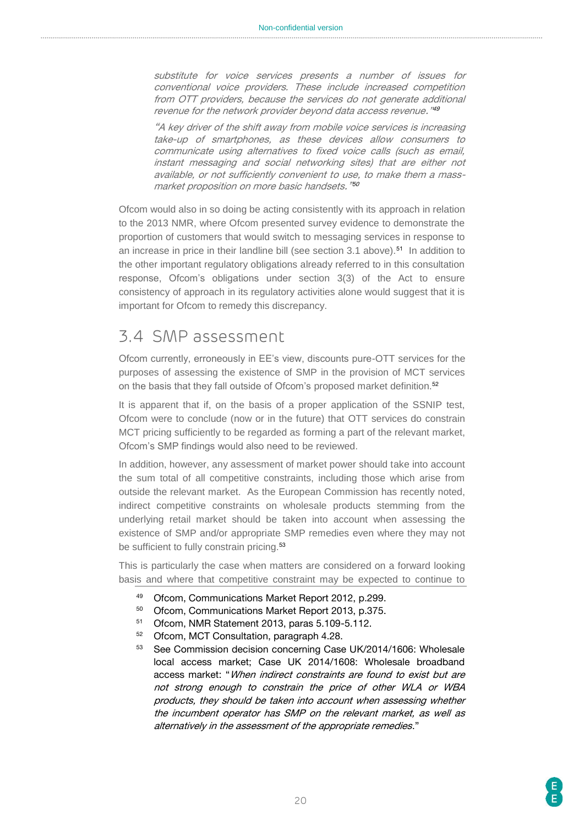substitute for voice services presents a number of issues for conventional voice providers. These include increased competition from OTT providers, because the services do not generate additional revenue for the network provider beyond data access revenue." 49

"A key driver of the shift away from mobile voice services is increasing take-up of smartphones, as these devices allow consumers to communicate using alternatives to fixed voice calls (such as email, instant messaging and social networking sites) that are either not available, or not sufficiently convenient to use, to make them a massmarket proposition on more basic handsets." 50

Ofcom would also in so doing be acting consistently with its approach in relation to the 2013 NMR, where Ofcom presented survey evidence to demonstrate the proportion of customers that would switch to messaging services in response to an increase in price in their landline bill (see section 3.1 above).<sup>51</sup> In addition to the other important regulatory obligations already referred to in this consultation response, Ofcom's obligations under section 3(3) of the Act to ensure consistency of approach in its regulatory activities alone would suggest that it is important for Ofcom to remedy this discrepancy.

### <span id="page-19-0"></span>3.4 SMP assessment

Ofcom currently, erroneously in EE's view, discounts pure-OTT services for the purposes of assessing the existence of SMP in the provision of MCT services on the basis that they fall outside of Ofcom's proposed market definition.<sup>52</sup>

It is apparent that if, on the basis of a proper application of the SSNIP test, Ofcom were to conclude (now or in the future) that OTT services do constrain MCT pricing sufficiently to be regarded as forming a part of the relevant market, Ofcom's SMP findings would also need to be reviewed.

In addition, however, any assessment of market power should take into account the sum total of all competitive constraints, including those which arise from outside the relevant market. As the European Commission has recently noted, indirect competitive constraints on wholesale products stemming from the underlying retail market should be taken into account when assessing the existence of SMP and/or appropriate SMP remedies even where they may not be sufficient to fully constrain pricing.<sup>53</sup>

This is particularly the case when matters are considered on a forward looking basis and where that competitive constraint may be expected to continue to

- 49 Ofcom, Communications Market Report 2012, p.299.<br>50 Ofcom, Communications Market Report 2013, p.375.
- <sup>50</sup> Ofcom, Communications Market Report 2013, p.375.
- 51 Ofcom, NMR Statement 2013, paras 5.109-5.112.<br> $52$  Ofcom, MCT Consultation, paragraph 4.28
- <sup>52</sup> Ofcom, MCT Consultation, paragraph 4.28.
- 53 See Commission decision concerning Case UK/2014/1606: Wholesale local access market; Case UK 2014/1608: Wholesale broadband access market: "When indirect constraints are found to exist but are not strong enough to constrain the price of other WLA or WBA products, they should be taken into account when assessing whether the incumbent operator has SMP on the relevant market, as well as alternatively in the assessment of the appropriate remedies."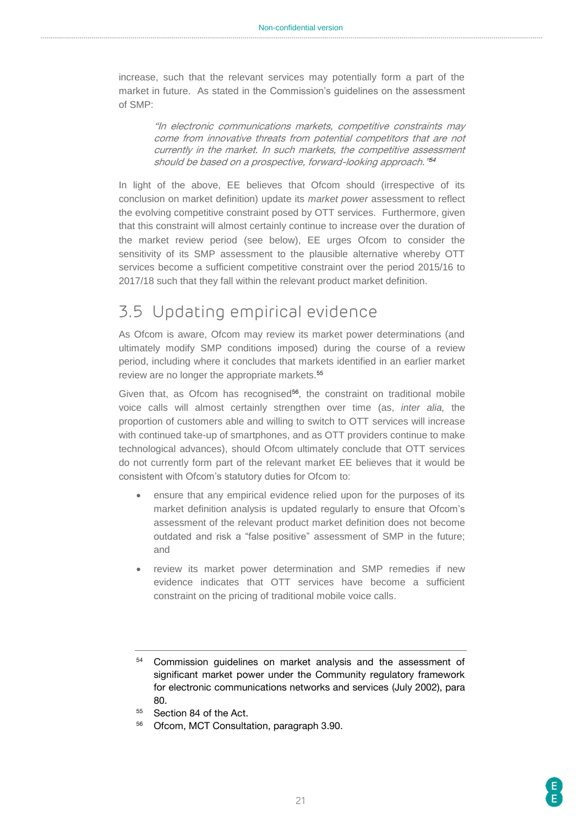increase, such that the relevant services may potentially form a part of the market in future. As stated in the Commission's guidelines on the assessment of SMP:

> "In electronic communications markets, competitive constraints may come from innovative threats from potential competitors that are not currently in the market. In such markets, the competitive assessment should be based on a prospective, forward-looking approach." 54

In light of the above, EE believes that Ofcom should (irrespective of its conclusion on market definition) update its *market power* assessment to reflect the evolving competitive constraint posed by OTT services. Furthermore, given that this constraint will almost certainly continue to increase over the duration of the market review period (see below), EE urges Ofcom to consider the sensitivity of its SMP assessment to the plausible alternative whereby OTT services become a sufficient competitive constraint over the period 2015/16 to 2017/18 such that they fall within the relevant product market definition.

### <span id="page-20-0"></span>3.5 Updating empirical evidence

As Ofcom is aware, Ofcom may review its market power determinations (and ultimately modify SMP conditions imposed) during the course of a review period, including where it concludes that markets identified in an earlier market review are no longer the appropriate markets.<sup>55</sup>

Given that, as Ofcom has recognised<sup>56</sup>, the constraint on traditional mobile voice calls will almost certainly strengthen over time (as, *inter alia,* the proportion of customers able and willing to switch to OTT services will increase with continued take-up of smartphones, and as OTT providers continue to make technological advances), should Ofcom ultimately conclude that OTT services do not currently form part of the relevant market EE believes that it would be consistent with Ofcom's statutory duties for Ofcom to:

- ensure that any empirical evidence relied upon for the purposes of its market definition analysis is updated regularly to ensure that Ofcom's assessment of the relevant product market definition does not become outdated and risk a "false positive" assessment of SMP in the future; and
- review its market power determination and SMP remedies if new evidence indicates that OTT services have become a sufficient constraint on the pricing of traditional mobile voice calls.

<sup>54</sup> Commission guidelines on market analysis and the assessment of significant market power under the Community regulatory framework for electronic communications networks and services (July 2002), para 80.

<sup>&</sup>lt;sup>55</sup> Section 84 of the Act.

<sup>56</sup> Ofcom, MCT Consultation, paragraph 3.90.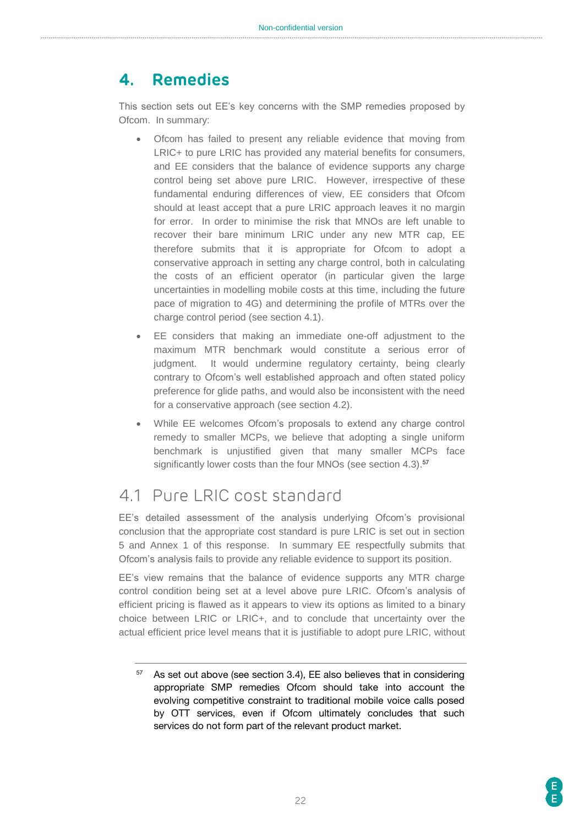### <span id="page-21-0"></span>**4. Remedies**

This section sets out EE's key concerns with the SMP remedies proposed by Ofcom. In summary:

- Ofcom has failed to present any reliable evidence that moving from LRIC+ to pure LRIC has provided any material benefits for consumers, and EE considers that the balance of evidence supports any charge control being set above pure LRIC. However, irrespective of these fundamental enduring differences of view, EE considers that Ofcom should at least accept that a pure LRIC approach leaves it no margin for error. In order to minimise the risk that MNOs are left unable to recover their bare minimum LRIC under any new MTR cap, EE therefore submits that it is appropriate for Ofcom to adopt a conservative approach in setting any charge control, both in calculating the costs of an efficient operator (in particular given the large uncertainties in modelling mobile costs at this time, including the future pace of migration to 4G) and determining the profile of MTRs over the charge control period (see section 4.1).
- EE considers that making an immediate one-off adjustment to the maximum MTR benchmark would constitute a serious error of judgment. It would undermine regulatory certainty, being clearly contrary to Ofcom's well established approach and often stated policy preference for glide paths, and would also be inconsistent with the need for a conservative approach (see section 4.2).
- While EE welcomes Ofcom's proposals to extend any charge control remedy to smaller MCPs, we believe that adopting a single uniform benchmark is unjustified given that many smaller MCPs face significantly lower costs than the four MNOs (see section 4.3).<sup>57</sup>

# <span id="page-21-1"></span>4.1 Pure LRIC cost standard

EE's detailed assessment of the analysis underlying Ofcom's provisional conclusion that the appropriate cost standard is pure LRIC is set out in section 5 and Annex 1 of this response. In summary EE respectfully submits that Ofcom's analysis fails to provide any reliable evidence to support its position.

EE's view remains that the balance of evidence supports any MTR charge control condition being set at a level above pure LRIC. Ofcom's analysis of efficient pricing is flawed as it appears to view its options as limited to a binary choice between LRIC or LRIC+, and to conclude that uncertainty over the actual efficient price level means that it is justifiable to adopt pure LRIC, without

 $57$  As set out above (see section 3.4), EE also believes that in considering appropriate SMP remedies Ofcom should take into account the evolving competitive constraint to traditional mobile voice calls posed by OTT services, even if Ofcom ultimately concludes that such services do not form part of the relevant product market.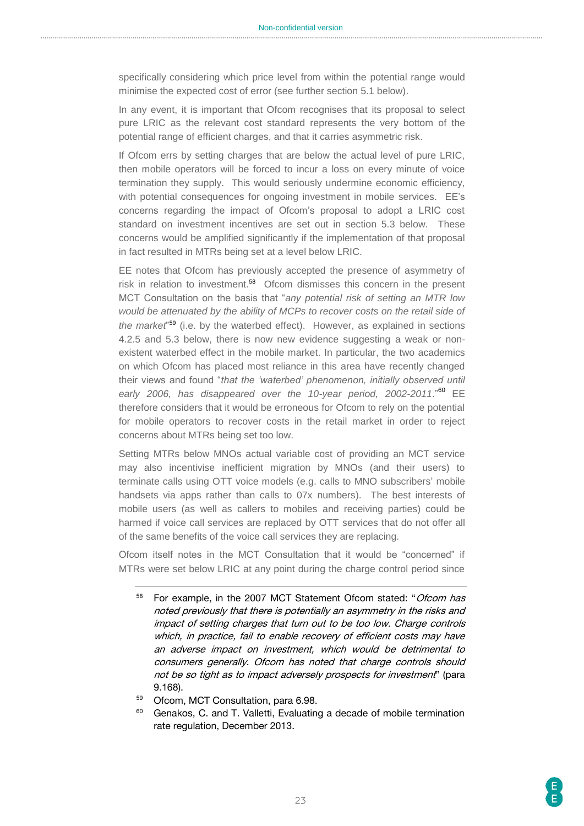specifically considering which price level from within the potential range would minimise the expected cost of error (see further section 5.1 below).

In any event, it is important that Ofcom recognises that its proposal to select pure LRIC as the relevant cost standard represents the very bottom of the potential range of efficient charges, and that it carries asymmetric risk.

If Ofcom errs by setting charges that are below the actual level of pure LRIC, then mobile operators will be forced to incur a loss on every minute of voice termination they supply. This would seriously undermine economic efficiency, with potential consequences for ongoing investment in mobile services. EE's concerns regarding the impact of Ofcom's proposal to adopt a LRIC cost standard on investment incentives are set out in section 5.3 below. These concerns would be amplified significantly if the implementation of that proposal in fact resulted in MTRs being set at a level below LRIC.

EE notes that Ofcom has previously accepted the presence of asymmetry of risk in relation to investment.<sup>58</sup> Ofcom dismisses this concern in the present MCT Consultation on the basis that "*any potential risk of setting an MTR low would be attenuated by the ability of MCPs to recover costs on the retail side of the market*" <sup>59</sup> (i.e. by the waterbed effect). However, as explained in sections 4.2.5 and 5.3 below, there is now new evidence suggesting a weak or nonexistent waterbed effect in the mobile market. In particular, the two academics on which Ofcom has placed most reliance in this area have recently changed their views and found "*that the 'waterbed' phenomenon, initially observed until early 2006, has disappeared over the 10-year period, 2002-2011*."<sup>60</sup> EE therefore considers that it would be erroneous for Ofcom to rely on the potential for mobile operators to recover costs in the retail market in order to reject concerns about MTRs being set too low.

Setting MTRs below MNOs actual variable cost of providing an MCT service may also incentivise inefficient migration by MNOs (and their users) to terminate calls using OTT voice models (e.g. calls to MNO subscribers' mobile handsets via apps rather than calls to 07x numbers). The best interests of mobile users (as well as callers to mobiles and receiving parties) could be harmed if voice call services are replaced by OTT services that do not offer all of the same benefits of the voice call services they are replacing.

Ofcom itself notes in the MCT Consultation that it would be "concerned" if MTRs were set below LRIC at any point during the charge control period since

- <sup>58</sup> For example, in the 2007 MCT Statement Ofcom stated: "Ofcom has noted previously that there is potentially an asymmetry in the risks and impact of setting charges that turn out to be too low. Charge controls which, in practice, fail to enable recovery of efficient costs may have an adverse impact on investment, which would be detrimental to consumers generally. Ofcom has noted that charge controls should not be so tight as to impact adversely prospects for investment" (para 9.168).
- <sup>59</sup> Ofcom, MCT Consultation, para 6.98.
- <sup>60</sup> Genakos, C. and T. Valletti, Evaluating a decade of mobile termination rate regulation, December 2013.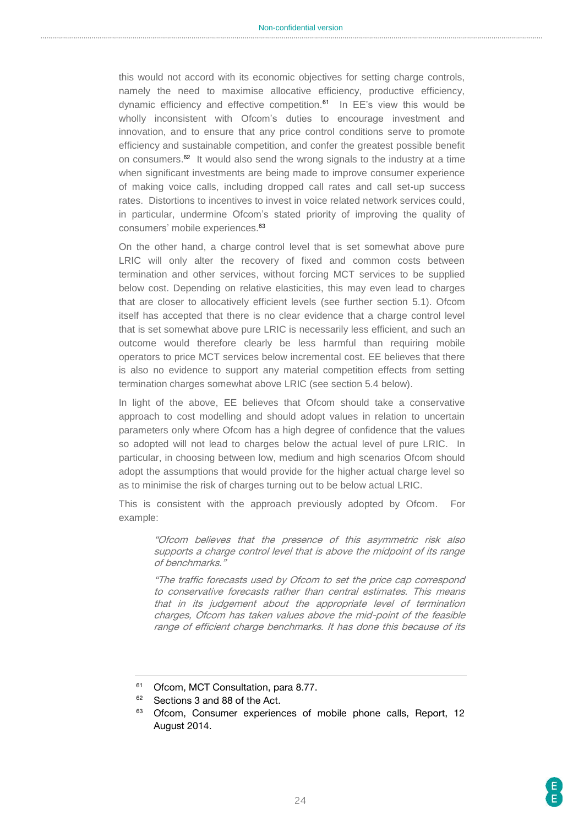this would not accord with its economic objectives for setting charge controls, namely the need to maximise allocative efficiency, productive efficiency, dynamic efficiency and effective competition.<sup>61</sup> In EE's view this would be wholly inconsistent with Ofcom's duties to encourage investment and innovation, and to ensure that any price control conditions serve to promote efficiency and sustainable competition, and confer the greatest possible benefit on consumers.<sup>62</sup> It would also send the wrong signals to the industry at a time when significant investments are being made to improve consumer experience of making voice calls, including dropped call rates and call set-up success rates. Distortions to incentives to invest in voice related network services could, in particular, undermine Ofcom's stated priority of improving the quality of consumers' mobile experiences.<sup>63</sup>

On the other hand, a charge control level that is set somewhat above pure LRIC will only alter the recovery of fixed and common costs between termination and other services, without forcing MCT services to be supplied below cost. Depending on relative elasticities, this may even lead to charges that are closer to allocatively efficient levels (see further section 5.1). Ofcom itself has accepted that there is no clear evidence that a charge control level that is set somewhat above pure LRIC is necessarily less efficient, and such an outcome would therefore clearly be less harmful than requiring mobile operators to price MCT services below incremental cost. EE believes that there is also no evidence to support any material competition effects from setting termination charges somewhat above LRIC (see section 5.4 below).

In light of the above, EE believes that Ofcom should take a conservative approach to cost modelling and should adopt values in relation to uncertain parameters only where Ofcom has a high degree of confidence that the values so adopted will not lead to charges below the actual level of pure LRIC. In particular, in choosing between low, medium and high scenarios Ofcom should adopt the assumptions that would provide for the higher actual charge level so as to minimise the risk of charges turning out to be below actual LRIC.

This is consistent with the approach previously adopted by Ofcom. For example:

"Ofcom believes that the presence of this asymmetric risk also supports a charge control level that is above the midpoint of its range of benchmarks."

"The traffic forecasts used by Ofcom to set the price cap correspond to conservative forecasts rather than central estimates. This means that in its judgement about the appropriate level of termination charges, Ofcom has taken values above the mid-point of the feasible range of efficient charge benchmarks. It has done this because of its

<sup>&</sup>lt;sup>61</sup> Ofcom, MCT Consultation, para 8.77.

<sup>&</sup>lt;sup>62</sup> Sections 3 and 88 of the Act.

<sup>&</sup>lt;sup>63</sup> Ofcom, Consumer experiences of mobile phone calls, Report, 12 August 2014.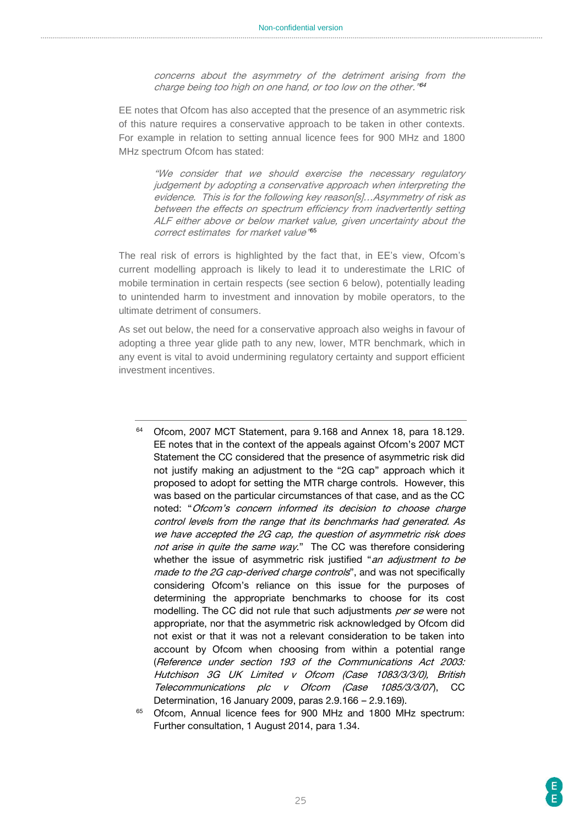concerns about the asymmetry of the detriment arising from the charge being too high on one hand, or too low on the other." 64

EE notes that Ofcom has also accepted that the presence of an asymmetric risk of this nature requires a conservative approach to be taken in other contexts. For example in relation to setting annual licence fees for 900 MHz and 1800 MHz spectrum Ofcom has stated:

"We consider that we should exercise the necessary regulatory judgement by adopting a conservative approach when interpreting the evidence. This is for the following key reason[s]…Asymmetry of risk as between the effects on spectrum efficiency from inadvertently setting ALF either above or below market value, given uncertainty about the correct estimates for market value" 65

The real risk of errors is highlighted by the fact that, in EE's view, Ofcom's current modelling approach is likely to lead it to underestimate the LRIC of mobile termination in certain respects (see section 6 below), potentially leading to unintended harm to investment and innovation by mobile operators, to the ultimate detriment of consumers.

As set out below, the need for a conservative approach also weighs in favour of adopting a three year glide path to any new, lower, MTR benchmark, which in any event is vital to avoid undermining regulatory certainty and support efficient investment incentives.

- <sup>64</sup> Ofcom, 2007 MCT Statement, para 9.168 and Annex 18, para 18.129. EE notes that in the context of the appeals against Ofcom's 2007 MCT Statement the CC considered that the presence of asymmetric risk did not justify making an adjustment to the "2G cap" approach which it proposed to adopt for setting the MTR charge controls. However, this was based on the particular circumstances of that case, and as the CC noted: "Ofcom's concern informed its decision to choose charge control levels from the range that its benchmarks had generated. As we have accepted the 2G cap, the question of asymmetric risk does not arise in quite the same way." The CC was therefore considering whether the issue of asymmetric risk justified "an adjustment to be made to the 2G cap-derived charge controls", and was not specifically considering Ofcom's reliance on this issue for the purposes of determining the appropriate benchmarks to choose for its cost modelling. The CC did not rule that such adjustments per se were not appropriate, nor that the asymmetric risk acknowledged by Ofcom did not exist or that it was not a relevant consideration to be taken into account by Ofcom when choosing from within a potential range (Reference under section 193 of the Communications Act 2003: Hutchison 3G UK Limited v Ofcom (Case 1083/3/3/0), British Telecommunications plc v Ofcom (Case 1085/3/3/07), CC Determination, 16 January 2009, paras 2.9.166 – 2.9.169).
- <sup>65</sup> Ofcom, Annual licence fees for 900 MHz and 1800 MHz spectrum: Further consultation, 1 August 2014, para 1.34.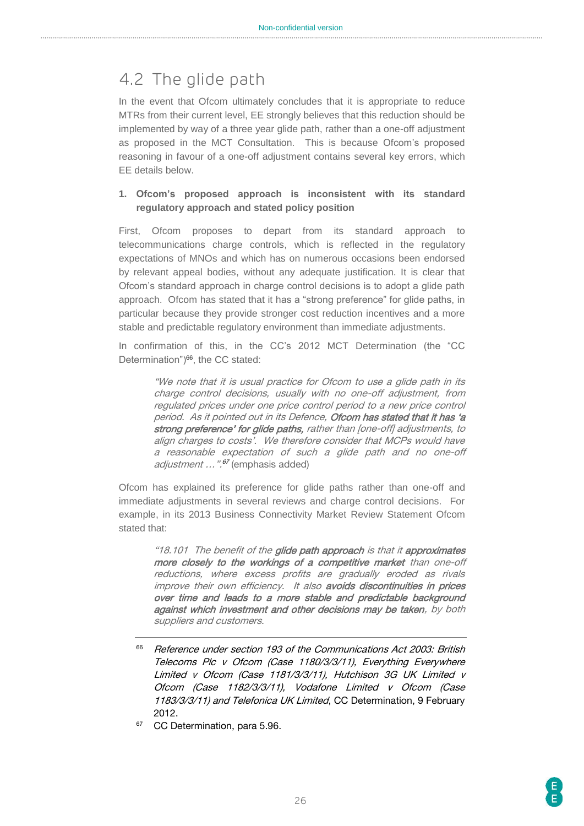# <span id="page-25-0"></span>4.2 The glide path

In the event that Ofcom ultimately concludes that it is appropriate to reduce MTRs from their current level, EE strongly believes that this reduction should be implemented by way of a three year glide path, rather than a one-off adjustment as proposed in the MCT Consultation. This is because Ofcom's proposed reasoning in favour of a one-off adjustment contains several key errors, which EE details below.

#### **1. Ofcom's proposed approach is inconsistent with its standard regulatory approach and stated policy position**

First, Ofcom proposes to depart from its standard approach to telecommunications charge controls, which is reflected in the regulatory expectations of MNOs and which has on numerous occasions been endorsed by relevant appeal bodies, without any adequate justification. It is clear that Ofcom's standard approach in charge control decisions is to adopt a glide path approach. Ofcom has stated that it has a "strong preference" for glide paths, in particular because they provide stronger cost reduction incentives and a more stable and predictable regulatory environment than immediate adjustments.

In confirmation of this, in the CC's 2012 MCT Determination (the "CC Determination")<sup>66</sup>, the CC stated:

> "We note that it is usual practice for Ofcom to use a glide path in its charge control decisions, usually with no one-off adjustment, from regulated prices under one price control period to a new price control period. As it pointed out in its Defence, Ofcom has stated that it has 'a strong preference' for glide paths, rather than [one-off] adjustments, to align charges to costs'. We therefore consider that MCPs would have a reasonable expectation of such a glide path and no one-off adjustment ... ".<sup>67</sup> (emphasis added)

Ofcom has explained its preference for glide paths rather than one-off and immediate adjustments in several reviews and charge control decisions. For example, in its 2013 Business Connectivity Market Review Statement Ofcom stated that:

> "18.101 The benefit of the glide path approach is that it approximates more closely to the workings of a competitive market than one-off reductions, where excess profits are gradually eroded as rivals improve their own efficiency. It also avoids discontinuities in prices over time and leads to a more stable and predictable background against which investment and other decisions may be taken, by both suppliers and customers.

- <sup>66</sup> Reference under section 193 of the Communications Act 2003: British Telecoms Plc v Ofcom (Case 1180/3/3/11), Everything Everywhere Limited v Ofcom (Case 1181/3/3/11), Hutchison 3G UK Limited v Ofcom (Case 1182/3/3/11), Vodafone Limited v Ofcom (Case 1183/3/3/11) and Telefonica UK Limited, CC Determination, 9 February 2012.
- CC Determination, para 5.96.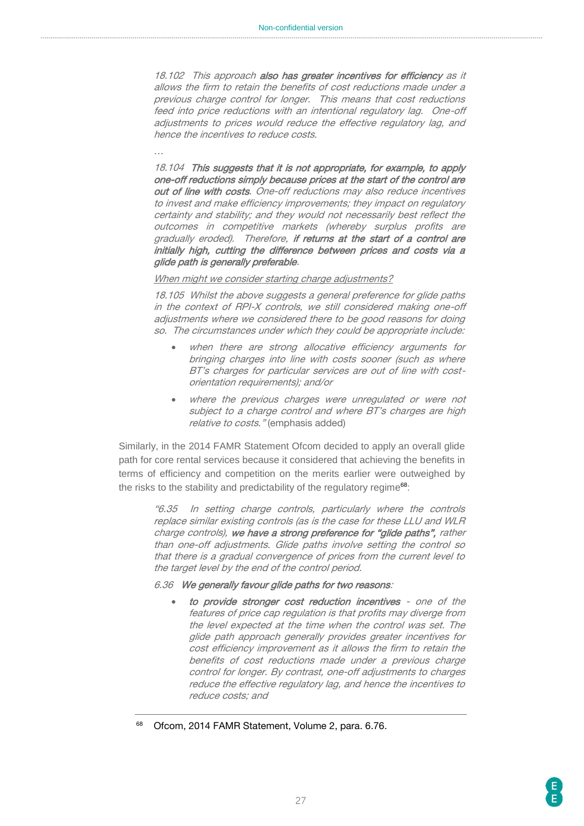18.102 This approach also has greater incentives for efficiency as it allows the firm to retain the benefits of cost reductions made under a previous charge control for longer. This means that cost reductions feed into price reductions with an intentional regulatory lag. One-off adjustments to prices would reduce the effective regulatory lag, and hence the incentives to reduce costs.

18.104 This suggests that it is not appropriate, for example, to apply one-off reductions simply because prices at the start of the control are out of line with costs. One-off reductions may also reduce incentives to invest and make efficiency improvements; they impact on regulatory certainty and stability; and they would not necessarily best reflect the outcomes in competitive markets (whereby surplus profits are gradually eroded). Therefore, if returns at the start of a control are initially high, cutting the difference between prices and costs via a glide path is generally preferable.

#### When might we consider starting charge adjustments?

…

18.105 Whilst the above suggests a general preference for glide paths in the context of RPI-X controls, we still considered making one-off adjustments where we considered there to be good reasons for doing so. The circumstances under which they could be appropriate include:

- when there are strong allocative efficiency arguments for bringing charges into line with costs sooner (such as where BT's charges for particular services are out of line with costorientation requirements); and/or
- where the previous charges were unregulated or were not subject to a charge control and where BT's charges are high relative to costs." (emphasis added)

Similarly, in the 2014 FAMR Statement Ofcom decided to apply an overall glide path for core rental services because it considered that achieving the benefits in terms of efficiency and competition on the merits earlier were outweighed by the risks to the stability and predictability of the regulatory regime<sup>68</sup>:

> "6.35 In setting charge controls, particularly where the controls replace similar existing controls (as is the case for these LLU and WLR charge controls), we have a strong preference for "glide paths", rather than one-off adjustments. Glide paths involve setting the control so that there is a gradual convergence of prices from the current level to the target level by the end of the control period.

#### 6.36 We generally favour glide paths for two reasons:

- to provide stronger cost reduction incentives one of the features of price cap regulation is that profits may diverge from the level expected at the time when the control was set. The glide path approach generally provides greater incentives for cost efficiency improvement as it allows the firm to retain the benefits of cost reductions made under a previous charge control for longer. By contrast, one-off adjustments to charges reduce the effective regulatory lag, and hence the incentives to reduce costs; and
- Ofcom, 2014 FAMR Statement, Volume 2, para. 6.76.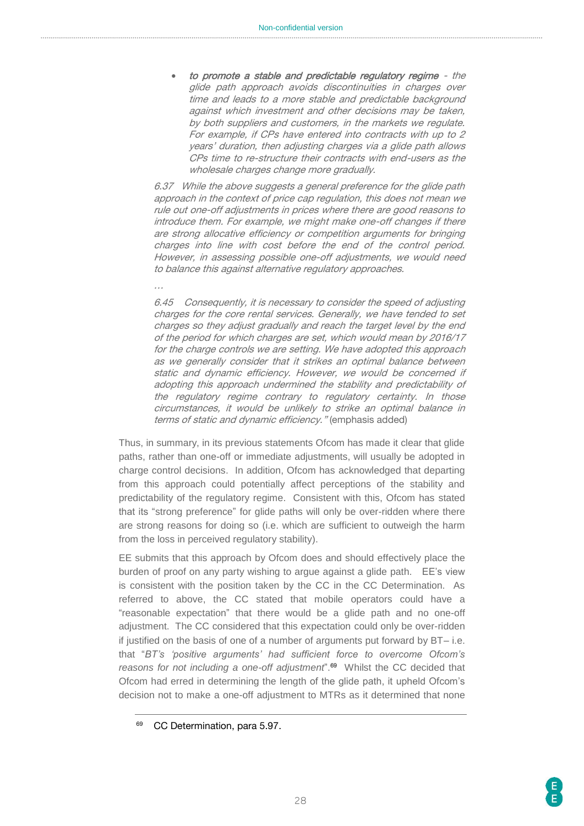to promote a stable and predictable regulatory regime - the glide path approach avoids discontinuities in charges over time and leads to a more stable and predictable background against which investment and other decisions may be taken, by both suppliers and customers, in the markets we regulate. For example, if CPs have entered into contracts with up to 2 years' duration, then adjusting charges via a glide path allows CPs time to re-structure their contracts with end-users as the wholesale charges change more gradually.

6.37 While the above suggests a general preference for the glide path approach in the context of price cap regulation, this does not mean we rule out one-off adjustments in prices where there are good reasons to introduce them. For example, we might make one-off changes if there are strong allocative efficiency or competition arguments for bringing charges into line with cost before the end of the control period. However, in assessing possible one-off adjustments, we would need to balance this against alternative regulatory approaches.

6.45 Consequently, it is necessary to consider the speed of adjusting charges for the core rental services. Generally, we have tended to set charges so they adjust gradually and reach the target level by the end of the period for which charges are set, which would mean by 2016/17 for the charge controls we are setting. We have adopted this approach as we generally consider that it strikes an optimal balance between static and dynamic efficiency. However, we would be concerned if adopting this approach undermined the stability and predictability of the regulatory regime contrary to regulatory certainty. In those circumstances, it would be unlikely to strike an optimal balance in terms of static and dynamic efficiency." (emphasis added)

Thus, in summary, in its previous statements Ofcom has made it clear that glide paths, rather than one-off or immediate adjustments, will usually be adopted in charge control decisions. In addition, Ofcom has acknowledged that departing from this approach could potentially affect perceptions of the stability and predictability of the regulatory regime. Consistent with this, Ofcom has stated that its "strong preference" for glide paths will only be over-ridden where there are strong reasons for doing so (i.e. which are sufficient to outweigh the harm from the loss in perceived regulatory stability).

EE submits that this approach by Ofcom does and should effectively place the burden of proof on any party wishing to argue against a glide path. EE's view is consistent with the position taken by the CC in the CC Determination. As referred to above, the CC stated that mobile operators could have a "reasonable expectation" that there would be a glide path and no one-off adjustment. The CC considered that this expectation could only be over-ridden if justified on the basis of one of a number of arguments put forward by BT– i.e. that "*BT's 'positive arguments' had sufficient force to overcome Ofcom's reasons for not including a one-off adjustment*". 69 Whilst the CC decided that Ofcom had erred in determining the length of the glide path, it upheld Ofcom's decision not to make a one-off adjustment to MTRs as it determined that none

…

CC Determination, para 5.97.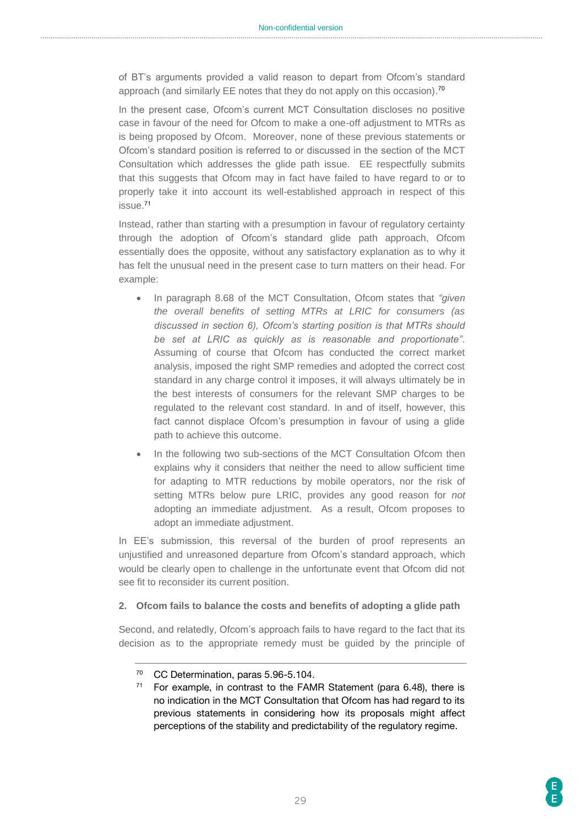of BT's arguments provided a valid reason to depart from Ofcom's standard approach (and similarly EE notes that they do not apply on this occasion).<sup>70</sup>

In the present case, Ofcom's current MCT Consultation discloses no positive case in favour of the need for Ofcom to make a one-off adjustment to MTRs as is being proposed by Ofcom. Moreover, none of these previous statements or Ofcom's standard position is referred to or discussed in the section of the MCT Consultation which addresses the glide path issue. EE respectfully submits that this suggests that Ofcom may in fact have failed to have regard to or to properly take it into account its well-established approach in respect of this issue.<sup>71</sup>

Instead, rather than starting with a presumption in favour of regulatory certainty through the adoption of Ofcom's standard glide path approach, Ofcom essentially does the opposite, without any satisfactory explanation as to why it has felt the unusual need in the present case to turn matters on their head. For example:

- In paragraph 8.68 of the MCT Consultation, Ofcom states that *"given the overall benefits of setting MTRs at LRIC for consumers (as discussed in section 6), Ofcom's starting position is that MTRs should be set at LRIC as quickly as is reasonable and proportionate"*. Assuming of course that Ofcom has conducted the correct market analysis, imposed the right SMP remedies and adopted the correct cost standard in any charge control it imposes, it will always ultimately be in the best interests of consumers for the relevant SMP charges to be regulated to the relevant cost standard. In and of itself, however, this fact cannot displace Ofcom's presumption in favour of using a glide path to achieve this outcome.
- In the following two sub-sections of the MCT Consultation Ofcom then explains why it considers that neither the need to allow sufficient time for adapting to MTR reductions by mobile operators, nor the risk of setting MTRs below pure LRIC, provides any good reason for *not* adopting an immediate adjustment. As a result, Ofcom proposes to adopt an immediate adjustment.

In EE's submission, this reversal of the burden of proof represents an unjustified and unreasoned departure from Ofcom's standard approach, which would be clearly open to challenge in the unfortunate event that Ofcom did not see fit to reconsider its current position.

#### **2. Ofcom fails to balance the costs and benefits of adopting a glide path**

Second, and relatedly, Ofcom's approach fails to have regard to the fact that its decision as to the appropriate remedy must be guided by the principle of

<sup>70</sup> CC Determination, paras 5.96-5.104.

<sup>&</sup>lt;sup>71</sup> For example, in contrast to the FAMR Statement (para 6.48), there is no indication in the MCT Consultation that Ofcom has had regard to its previous statements in considering how its proposals might affect perceptions of the stability and predictability of the regulatory regime.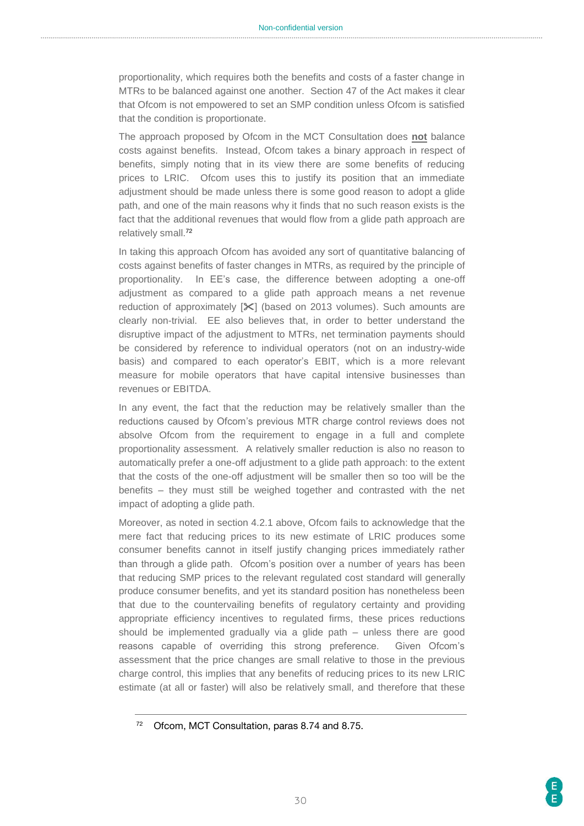proportionality, which requires both the benefits and costs of a faster change in MTRs to be balanced against one another. Section 47 of the Act makes it clear that Ofcom is not empowered to set an SMP condition unless Ofcom is satisfied that the condition is proportionate.

The approach proposed by Ofcom in the MCT Consultation does **not** balance costs against benefits. Instead, Ofcom takes a binary approach in respect of benefits, simply noting that in its view there are some benefits of reducing prices to LRIC. Ofcom uses this to justify its position that an immediate adjustment should be made unless there is some good reason to adopt a glide path, and one of the main reasons why it finds that no such reason exists is the fact that the additional revenues that would flow from a glide path approach are relatively small.<sup>72</sup>

In taking this approach Ofcom has avoided any sort of quantitative balancing of costs against benefits of faster changes in MTRs, as required by the principle of proportionality. In EE's case, the difference between adopting a one-off adjustment as compared to a glide path approach means a net revenue reduction of approximately  $[\mathcal{K}]$  (based on 2013 volumes). Such amounts are clearly non-trivial. EE also believes that, in order to better understand the disruptive impact of the adjustment to MTRs, net termination payments should be considered by reference to individual operators (not on an industry-wide basis) and compared to each operator's EBIT, which is a more relevant measure for mobile operators that have capital intensive businesses than revenues or EBITDA.

In any event, the fact that the reduction may be relatively smaller than the reductions caused by Ofcom's previous MTR charge control reviews does not absolve Ofcom from the requirement to engage in a full and complete proportionality assessment. A relatively smaller reduction is also no reason to automatically prefer a one-off adjustment to a glide path approach: to the extent that the costs of the one-off adjustment will be smaller then so too will be the benefits – they must still be weighed together and contrasted with the net impact of adopting a glide path.

Moreover, as noted in section 4.2.1 above, Ofcom fails to acknowledge that the mere fact that reducing prices to its new estimate of LRIC produces some consumer benefits cannot in itself justify changing prices immediately rather than through a glide path. Ofcom's position over a number of years has been that reducing SMP prices to the relevant regulated cost standard will generally produce consumer benefits, and yet its standard position has nonetheless been that due to the countervailing benefits of regulatory certainty and providing appropriate efficiency incentives to regulated firms, these prices reductions should be implemented gradually via a glide path – unless there are good reasons capable of overriding this strong preference. Given Ofcom's assessment that the price changes are small relative to those in the previous charge control, this implies that any benefits of reducing prices to its new LRIC estimate (at all or faster) will also be relatively small, and therefore that these

<sup>72</sup> Ofcom, MCT Consultation, paras 8.74 and 8.75.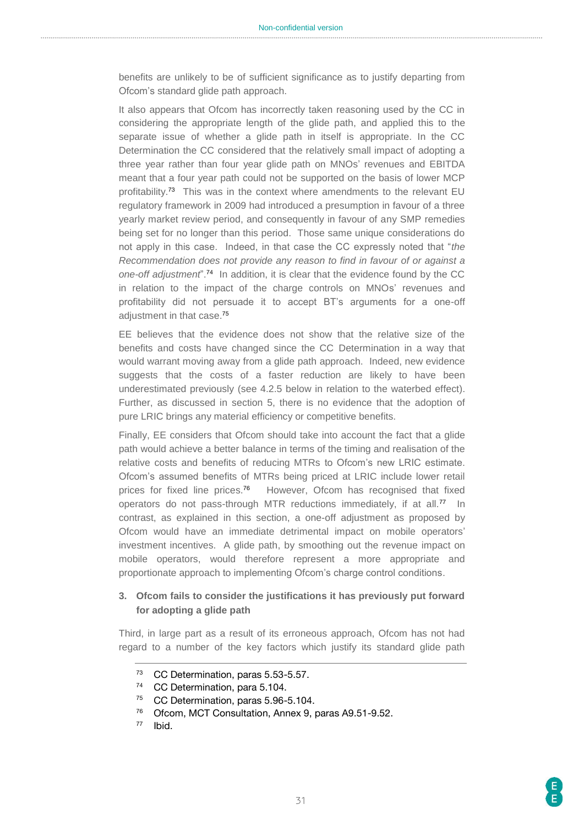benefits are unlikely to be of sufficient significance as to justify departing from Ofcom's standard glide path approach.

It also appears that Ofcom has incorrectly taken reasoning used by the CC in considering the appropriate length of the glide path, and applied this to the separate issue of whether a glide path in itself is appropriate. In the CC Determination the CC considered that the relatively small impact of adopting a three year rather than four year glide path on MNOs' revenues and EBITDA meant that a four year path could not be supported on the basis of lower MCP profitability.<sup>73</sup> This was in the context where amendments to the relevant EU regulatory framework in 2009 had introduced a presumption in favour of a three yearly market review period, and consequently in favour of any SMP remedies being set for no longer than this period. Those same unique considerations do not apply in this case. Indeed, in that case the CC expressly noted that "*the Recommendation does not provide any reason to find in favour of or against a*  one-off adjustment<sup>"?4</sup> In addition, it is clear that the evidence found by the CC in relation to the impact of the charge controls on MNOs' revenues and profitability did not persuade it to accept BT's arguments for a one-off adjustment in that case. 75

EE believes that the evidence does not show that the relative size of the benefits and costs have changed since the CC Determination in a way that would warrant moving away from a glide path approach. Indeed, new evidence suggests that the costs of a faster reduction are likely to have been underestimated previously (see 4.2.5 below in relation to the waterbed effect). Further, as discussed in section 5, there is no evidence that the adoption of pure LRIC brings any material efficiency or competitive benefits.

Finally, EE considers that Ofcom should take into account the fact that a glide path would achieve a better balance in terms of the timing and realisation of the relative costs and benefits of reducing MTRs to Ofcom's new LRIC estimate. Ofcom's assumed benefits of MTRs being priced at LRIC include lower retail prices for fixed line prices.<sup>76</sup> However, Ofcom has recognised that fixed operators do not pass-through MTR reductions immediately, if at all.<sup>77</sup> In contrast, as explained in this section, a one-off adjustment as proposed by Ofcom would have an immediate detrimental impact on mobile operators' investment incentives. A glide path, by smoothing out the revenue impact on mobile operators, would therefore represent a more appropriate and proportionate approach to implementing Ofcom's charge control conditions.

#### **3. Ofcom fails to consider the justifications it has previously put forward for adopting a glide path**

Third, in large part as a result of its erroneous approach, Ofcom has not had regard to a number of the key factors which justify its standard glide path

- <sup>76</sup> Ofcom, MCT Consultation, Annex 9, paras A9.51-9.52.
- <sup>77</sup> Ibid.

<sup>73</sup> CC Determination, paras 5.53-5.57.

<sup>74</sup> CC Determination, para 5.104.

<sup>&</sup>lt;sup>75</sup> CC Determination, paras 5.96-5.104.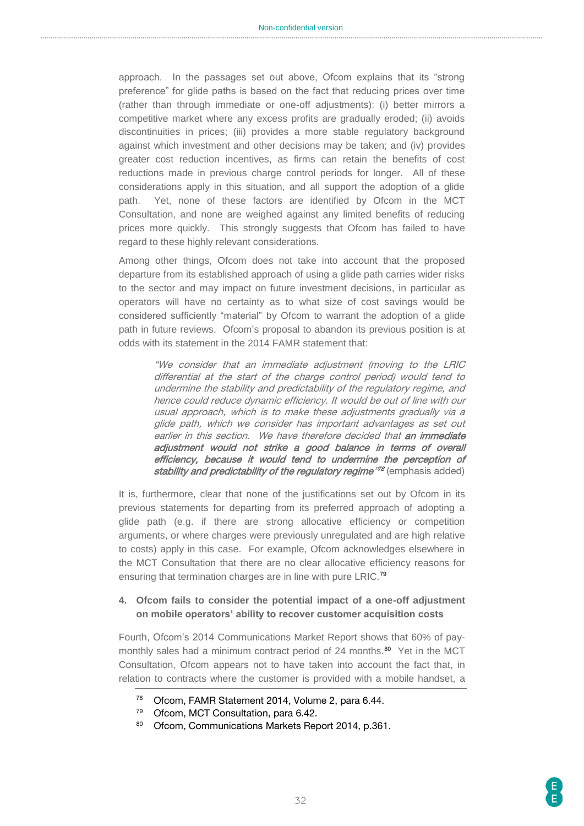approach. In the passages set out above, Ofcom explains that its "strong preference" for glide paths is based on the fact that reducing prices over time (rather than through immediate or one-off adjustments): (i) better mirrors a competitive market where any excess profits are gradually eroded; (ii) avoids discontinuities in prices; (iii) provides a more stable regulatory background against which investment and other decisions may be taken; and (iv) provides greater cost reduction incentives, as firms can retain the benefits of cost reductions made in previous charge control periods for longer. All of these considerations apply in this situation, and all support the adoption of a glide path. Yet, none of these factors are identified by Ofcom in the MCT Consultation, and none are weighed against any limited benefits of reducing prices more quickly. This strongly suggests that Ofcom has failed to have regard to these highly relevant considerations.

Among other things, Ofcom does not take into account that the proposed departure from its established approach of using a glide path carries wider risks to the sector and may impact on future investment decisions, in particular as operators will have no certainty as to what size of cost savings would be considered sufficiently "material" by Ofcom to warrant the adoption of a glide path in future reviews. Ofcom's proposal to abandon its previous position is at odds with its statement in the 2014 FAMR statement that:

"We consider that an immediate adjustment (moving to the LRIC differential at the start of the charge control period) would tend to undermine the stability and predictability of the regulatory regime, and hence could reduce dynamic efficiency. It would be out of line with our usual approach, which is to make these adjustments gradually via a glide path, which we consider has important advantages as set out earlier in this section. We have therefore decided that an immediate adjustment would not strike a good balance in terms of overall efficiency, because it would tend to undermine the perception of stability and predictability of the regulatory regime<sup>,78</sup> (emphasis added)

It is, furthermore, clear that none of the justifications set out by Ofcom in its previous statements for departing from its preferred approach of adopting a glide path (e.g. if there are strong allocative efficiency or competition arguments, or where charges were previously unregulated and are high relative to costs) apply in this case. For example, Ofcom acknowledges elsewhere in the MCT Consultation that there are no clear allocative efficiency reasons for ensuring that termination charges are in line with pure LRIC.<sup>79</sup>

#### **4. Ofcom fails to consider the potential impact of a one-off adjustment on mobile operators' ability to recover customer acquisition costs**

Fourth, Ofcom's 2014 Communications Market Report shows that 60% of paymonthly sales had a minimum contract period of 24 months.<sup>80</sup> Yet in the MCT Consultation, Ofcom appears not to have taken into account the fact that, in relation to contracts where the customer is provided with a mobile handset, a

<sup>78</sup> Ofcom, FAMR Statement 2014, Volume 2, para 6.44.

<sup>79</sup> Ofcom, MCT Consultation, para 6.42.

<sup>80</sup> Ofcom, Communications Markets Report 2014, p.361.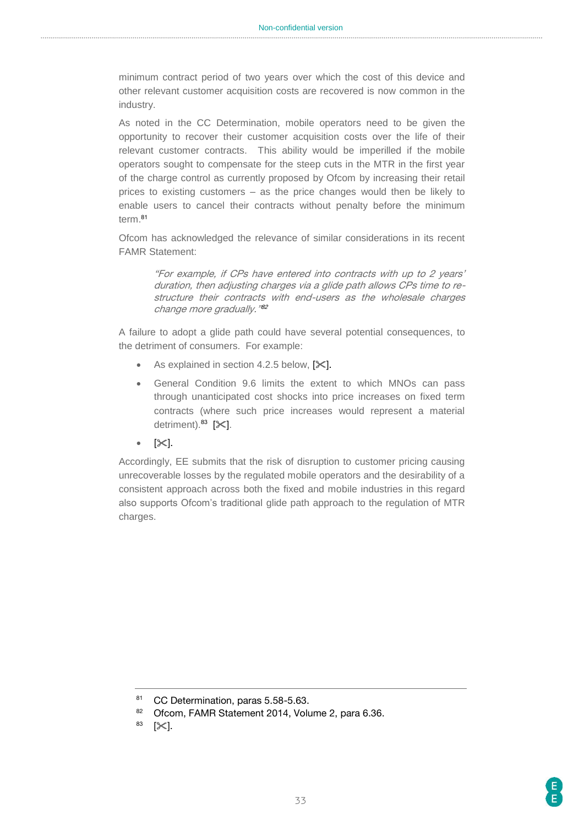minimum contract period of two years over which the cost of this device and other relevant customer acquisition costs are recovered is now common in the industry.

As noted in the CC Determination, mobile operators need to be given the opportunity to recover their customer acquisition costs over the life of their relevant customer contracts. This ability would be imperilled if the mobile operators sought to compensate for the steep cuts in the MTR in the first year of the charge control as currently proposed by Ofcom by increasing their retail prices to existing customers – as the price changes would then be likely to enable users to cancel their contracts without penalty before the minimum term.<sup>81</sup>

Ofcom has acknowledged the relevance of similar considerations in its recent FAMR Statement:

> "For example, if CPs have entered into contracts with up to 2 years' duration, then adjusting charges via a glide path allows CPs time to restructure their contracts with end-users as the wholesale charges change more gradually." 82

A failure to adopt a glide path could have several potential consequences, to the detriment of consumers. For example:

- As explained in section 4.2.5 below,  $[\&]$ .
- General Condition 9.6 limits the extent to which MNOs can pass through unanticipated cost shocks into price increases on fixed term contracts (where such price increases would represent a material detriment). $83$  [ $\mathsf{\times}$ ].
- $\bullet$  [ $\times$ ].

Accordingly, EE submits that the risk of disruption to customer pricing causing unrecoverable losses by the regulated mobile operators and the desirability of a consistent approach across both the fixed and mobile industries in this regard also supports Ofcom's traditional glide path approach to the regulation of MTR charges.

<sup>81</sup> CC Determination, paras 5.58-5.63.

<sup>82</sup> Ofcom, FAMR Statement 2014, Volume 2, para 6.36.

 $83$  [ $\!\!\times$ ].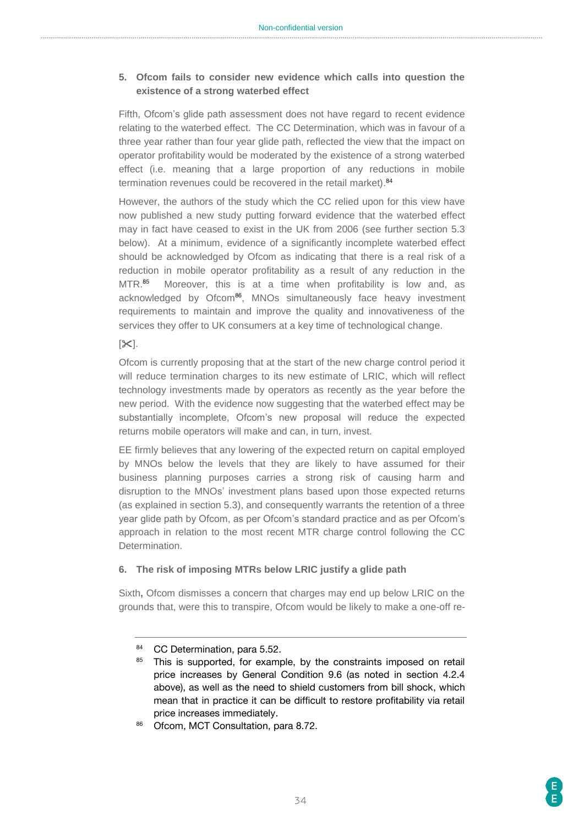#### **5. Ofcom fails to consider new evidence which calls into question the existence of a strong waterbed effect**

Fifth, Ofcom's glide path assessment does not have regard to recent evidence relating to the waterbed effect. The CC Determination, which was in favour of a three year rather than four year glide path, reflected the view that the impact on operator profitability would be moderated by the existence of a strong waterbed effect (i.e. meaning that a large proportion of any reductions in mobile termination revenues could be recovered in the retail market). 84

However, the authors of the study which the CC relied upon for this view have now published a new study putting forward evidence that the waterbed effect may in fact have ceased to exist in the UK from 2006 (see further section 5.3 below). At a minimum, evidence of a significantly incomplete waterbed effect should be acknowledged by Ofcom as indicating that there is a real risk of a reduction in mobile operator profitability as a result of any reduction in the MTR. 85 Moreover, this is at a time when profitability is low and, as acknowledged by Ofcom<sup>86</sup>, MNOs simultaneously face heavy investment requirements to maintain and improve the quality and innovativeness of the services they offer to UK consumers at a key time of technological change.

#### $[35]$ .

Ofcom is currently proposing that at the start of the new charge control period it will reduce termination charges to its new estimate of LRIC, which will reflect technology investments made by operators as recently as the year before the new period. With the evidence now suggesting that the waterbed effect may be substantially incomplete, Ofcom's new proposal will reduce the expected returns mobile operators will make and can, in turn, invest.

EE firmly believes that any lowering of the expected return on capital employed by MNOs below the levels that they are likely to have assumed for their business planning purposes carries a strong risk of causing harm and disruption to the MNOs' investment plans based upon those expected returns (as explained in section 5.3), and consequently warrants the retention of a three year glide path by Ofcom, as per Ofcom's standard practice and as per Ofcom's approach in relation to the most recent MTR charge control following the CC **Determination** 

#### **6. The risk of imposing MTRs below LRIC justify a glide path**

Sixth**,** Ofcom dismisses a concern that charges may end up below LRIC on the grounds that, were this to transpire, Ofcom would be likely to make a one-off re-

86 Ofcom, MCT Consultation, para 8.72.

<sup>84</sup> CC Determination, para 5.52.

<sup>&</sup>lt;sup>85</sup> This is supported, for example, by the constraints imposed on retail price increases by General Condition 9.6 (as noted in section 4.2.4 above), as well as the need to shield customers from bill shock, which mean that in practice it can be difficult to restore profitability via retail price increases immediately.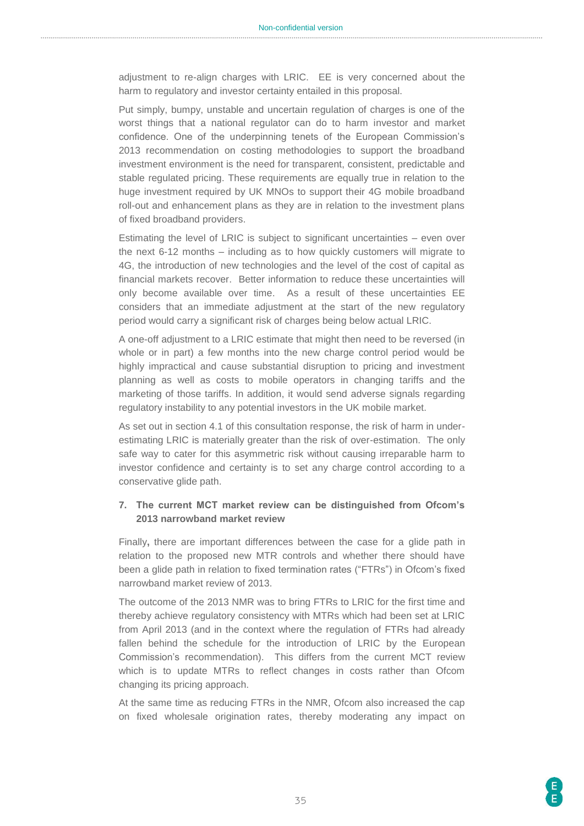adjustment to re-align charges with LRIC. EE is very concerned about the harm to regulatory and investor certainty entailed in this proposal.

Put simply, bumpy, unstable and uncertain regulation of charges is one of the worst things that a national regulator can do to harm investor and market confidence. One of the underpinning tenets of the European Commission's 2013 recommendation on costing methodologies to support the broadband investment environment is the need for transparent, consistent, predictable and stable regulated pricing. These requirements are equally true in relation to the huge investment required by UK MNOs to support their 4G mobile broadband roll-out and enhancement plans as they are in relation to the investment plans of fixed broadband providers.

Estimating the level of LRIC is subject to significant uncertainties – even over the next 6-12 months – including as to how quickly customers will migrate to 4G, the introduction of new technologies and the level of the cost of capital as financial markets recover. Better information to reduce these uncertainties will only become available over time. As a result of these uncertainties EE considers that an immediate adjustment at the start of the new regulatory period would carry a significant risk of charges being below actual LRIC.

A one-off adjustment to a LRIC estimate that might then need to be reversed (in whole or in part) a few months into the new charge control period would be highly impractical and cause substantial disruption to pricing and investment planning as well as costs to mobile operators in changing tariffs and the marketing of those tariffs. In addition, it would send adverse signals regarding regulatory instability to any potential investors in the UK mobile market.

As set out in section 4.1 of this consultation response, the risk of harm in underestimating LRIC is materially greater than the risk of over-estimation. The only safe way to cater for this asymmetric risk without causing irreparable harm to investor confidence and certainty is to set any charge control according to a conservative glide path.

#### **7. The current MCT market review can be distinguished from Ofcom's 2013 narrowband market review**

Finally**,** there are important differences between the case for a glide path in relation to the proposed new MTR controls and whether there should have been a glide path in relation to fixed termination rates ("FTRs") in Ofcom's fixed narrowband market review of 2013.

The outcome of the 2013 NMR was to bring FTRs to LRIC for the first time and thereby achieve regulatory consistency with MTRs which had been set at LRIC from April 2013 (and in the context where the regulation of FTRs had already fallen behind the schedule for the introduction of LRIC by the European Commission's recommendation). This differs from the current MCT review which is to update MTRs to reflect changes in costs rather than Ofcom changing its pricing approach.

At the same time as reducing FTRs in the NMR, Ofcom also increased the cap on fixed wholesale origination rates, thereby moderating any impact on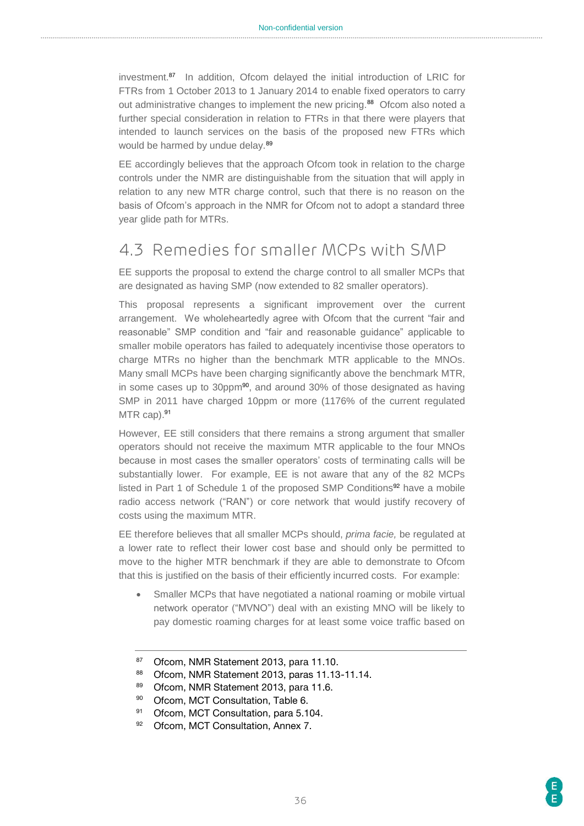investment.<sup>87</sup> In addition, Ofcom delayed the initial introduction of LRIC for FTRs from 1 October 2013 to 1 January 2014 to enable fixed operators to carry out administrative changes to implement the new pricing.<sup>88</sup> Ofcom also noted a further special consideration in relation to FTRs in that there were players that intended to launch services on the basis of the proposed new FTRs which would be harmed by undue delay.<sup>89</sup>

EE accordingly believes that the approach Ofcom took in relation to the charge controls under the NMR are distinguishable from the situation that will apply in relation to any new MTR charge control, such that there is no reason on the basis of Ofcom's approach in the NMR for Ofcom not to adopt a standard three year glide path for MTRs.

# <span id="page-35-0"></span>4.3 Remedies for smaller MCPs with SMP

EE supports the proposal to extend the charge control to all smaller MCPs that are designated as having SMP (now extended to 82 smaller operators).

This proposal represents a significant improvement over the current arrangement. We wholeheartedly agree with Ofcom that the current "fair and reasonable" SMP condition and "fair and reasonable guidance" applicable to smaller mobile operators has failed to adequately incentivise those operators to charge MTRs no higher than the benchmark MTR applicable to the MNOs. Many small MCPs have been charging significantly above the benchmark MTR, in some cases up to 30ppm<sup>90</sup>, and around 30% of those designated as having SMP in 2011 have charged 10ppm or more (1176% of the current regulated MTR cap).<sup>91</sup>

However, EE still considers that there remains a strong argument that smaller operators should not receive the maximum MTR applicable to the four MNOs because in most cases the smaller operators' costs of terminating calls will be substantially lower. For example, EE is not aware that any of the 82 MCPs listed in Part 1 of Schedule 1 of the proposed SMP Conditions<sup>92</sup> have a mobile radio access network ("RAN") or core network that would justify recovery of costs using the maximum MTR.

EE therefore believes that all smaller MCPs should, *prima facie,* be regulated at a lower rate to reflect their lower cost base and should only be permitted to move to the higher MTR benchmark if they are able to demonstrate to Ofcom that this is justified on the basis of their efficiently incurred costs. For example:

 Smaller MCPs that have negotiated a national roaming or mobile virtual network operator ("MVNO") deal with an existing MNO will be likely to pay domestic roaming charges for at least some voice traffic based on

89 Ofcom, NMR Statement 2013, para 11.6.

- 91 Ofcom, MCT Consultation, para 5.104.
- 92 Ofcom, MCT Consultation, Annex 7.

<sup>87</sup> Ofcom, NMR Statement 2013, para 11.10.

<sup>88</sup> Ofcom, NMR Statement 2013, paras 11.13-11.14.

<sup>90</sup> Ofcom, MCT Consultation, Table 6.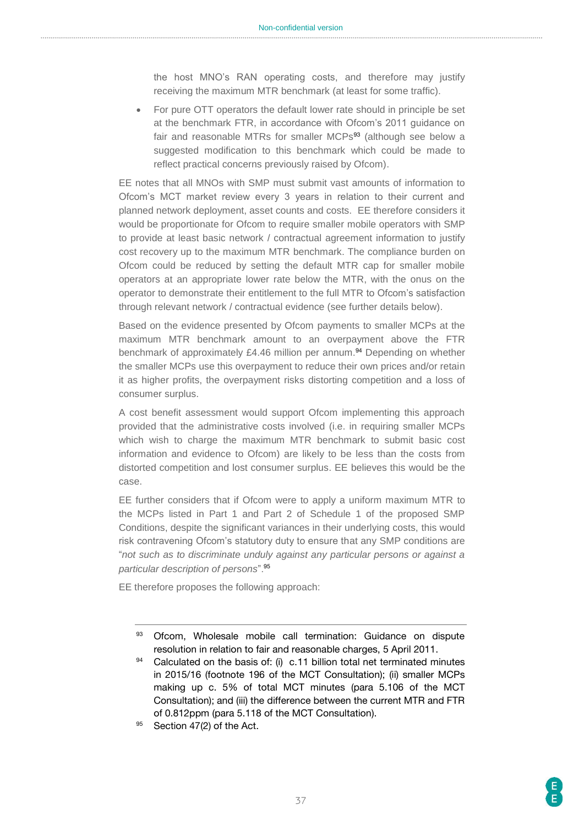the host MNO's RAN operating costs, and therefore may justify receiving the maximum MTR benchmark (at least for some traffic).

 For pure OTT operators the default lower rate should in principle be set at the benchmark FTR, in accordance with Ofcom's 2011 guidance on fair and reasonable MTRs for smaller MCPs<sup>93</sup> (although see below a suggested modification to this benchmark which could be made to reflect practical concerns previously raised by Ofcom).

EE notes that all MNOs with SMP must submit vast amounts of information to Ofcom's MCT market review every 3 years in relation to their current and planned network deployment, asset counts and costs. EE therefore considers it would be proportionate for Ofcom to require smaller mobile operators with SMP to provide at least basic network / contractual agreement information to justify cost recovery up to the maximum MTR benchmark. The compliance burden on Ofcom could be reduced by setting the default MTR cap for smaller mobile operators at an appropriate lower rate below the MTR, with the onus on the operator to demonstrate their entitlement to the full MTR to Ofcom's satisfaction through relevant network / contractual evidence (see further details below).

Based on the evidence presented by Ofcom payments to smaller MCPs at the maximum MTR benchmark amount to an overpayment above the FTR benchmark of approximately £4.46 million per annum.<sup>94</sup> Depending on whether the smaller MCPs use this overpayment to reduce their own prices and/or retain it as higher profits, the overpayment risks distorting competition and a loss of consumer surplus.

A cost benefit assessment would support Ofcom implementing this approach provided that the administrative costs involved (i.e. in requiring smaller MCPs which wish to charge the maximum MTR benchmark to submit basic cost information and evidence to Ofcom) are likely to be less than the costs from distorted competition and lost consumer surplus. EE believes this would be the case.

EE further considers that if Ofcom were to apply a uniform maximum MTR to the MCPs listed in Part 1 and Part 2 of Schedule 1 of the proposed SMP Conditions, despite the significant variances in their underlying costs, this would risk contravening Ofcom's statutory duty to ensure that any SMP conditions are "*not such as to discriminate unduly against any particular persons or against a particular description of persons*".<sup>95</sup>

EE therefore proposes the following approach:

- $94$  Calculated on the basis of: (i) c.11 billion total net terminated minutes in 2015/16 (footnote 196 of the MCT Consultation); (ii) smaller MCPs making up c. 5% of total MCT minutes (para 5.106 of the MCT Consultation); and (iii) the difference between the current MTR and FTR of 0.812ppm (para 5.118 of the MCT Consultation).
- 95 Section 47(2) of the Act.

<sup>93</sup> Ofcom, Wholesale mobile call termination: Guidance on dispute resolution in relation to fair and reasonable charges, 5 April 2011.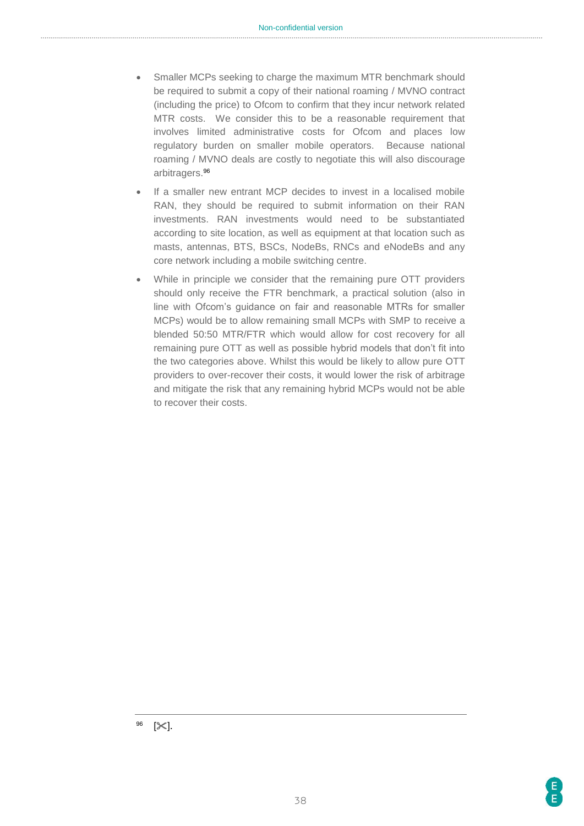- Smaller MCPs seeking to charge the maximum MTR benchmark should be required to submit a copy of their national roaming / MVNO contract (including the price) to Ofcom to confirm that they incur network related MTR costs. We consider this to be a reasonable requirement that involves limited administrative costs for Ofcom and places low regulatory burden on smaller mobile operators. Because national roaming / MVNO deals are costly to negotiate this will also discourage arbitragers.<sup>96</sup>
- If a smaller new entrant MCP decides to invest in a localised mobile RAN, they should be required to submit information on their RAN investments. RAN investments would need to be substantiated according to site location, as well as equipment at that location such as masts, antennas, BTS, BSCs, NodeBs, RNCs and eNodeBs and any core network including a mobile switching centre.
- While in principle we consider that the remaining pure OTT providers should only receive the FTR benchmark, a practical solution (also in line with Ofcom's guidance on fair and reasonable MTRs for smaller MCPs) would be to allow remaining small MCPs with SMP to receive a blended 50:50 MTR/FTR which would allow for cost recovery for all remaining pure OTT as well as possible hybrid models that don't fit into the two categories above. Whilst this would be likely to allow pure OTT providers to over-recover their costs, it would lower the risk of arbitrage and mitigate the risk that any remaining hybrid MCPs would not be able to recover their costs.

 $\mathbb{K}$ .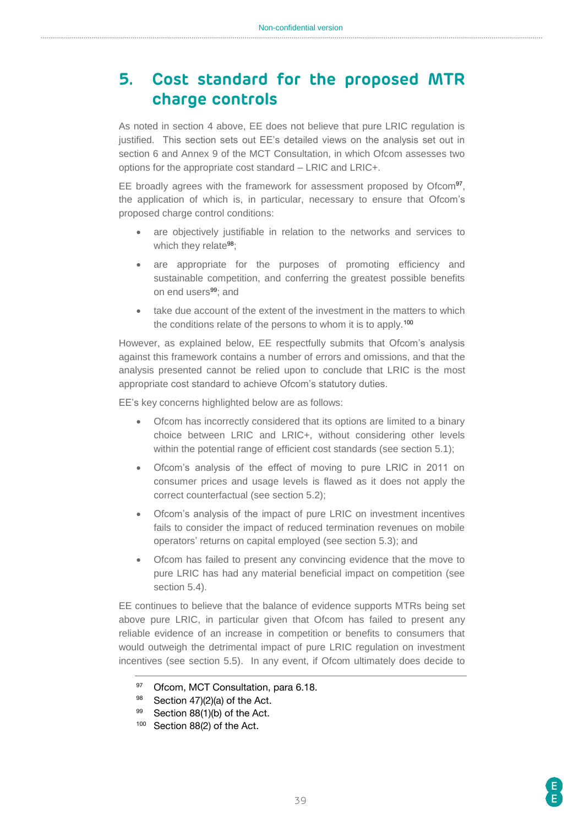# <span id="page-38-0"></span>**5. Cost standard for the proposed MTR charge controls**

As noted in section 4 above, EE does not believe that pure LRIC regulation is justified. This section sets out EE's detailed views on the analysis set out in section 6 and Annex 9 of the MCT Consultation, in which Ofcom assesses two options for the appropriate cost standard – LRIC and LRIC+.

EE broadly agrees with the framework for assessment proposed by Ofcom<sup>97</sup>, the application of which is, in particular, necessary to ensure that Ofcom's proposed charge control conditions:

- are objectively justifiable in relation to the networks and services to which they relate<sup>98</sup>;
- are appropriate for the purposes of promoting efficiency and sustainable competition, and conferring the greatest possible benefits on end users<sup>99</sup>; and
- take due account of the extent of the investment in the matters to which the conditions relate of the persons to whom it is to apply.<sup>100</sup>

However, as explained below, EE respectfully submits that Ofcom's analysis against this framework contains a number of errors and omissions, and that the analysis presented cannot be relied upon to conclude that LRIC is the most appropriate cost standard to achieve Ofcom's statutory duties.

EE's key concerns highlighted below are as follows:

- Ofcom has incorrectly considered that its options are limited to a binary choice between LRIC and LRIC+, without considering other levels within the potential range of efficient cost standards (see section 5.1);
- Ofcom's analysis of the effect of moving to pure LRIC in 2011 on consumer prices and usage levels is flawed as it does not apply the correct counterfactual (see section 5.2);
- Ofcom's analysis of the impact of pure LRIC on investment incentives fails to consider the impact of reduced termination revenues on mobile operators' returns on capital employed (see section 5.3); and
- Ofcom has failed to present any convincing evidence that the move to pure LRIC has had any material beneficial impact on competition (see section 5.4).

EE continues to believe that the balance of evidence supports MTRs being set above pure LRIC, in particular given that Ofcom has failed to present any reliable evidence of an increase in competition or benefits to consumers that would outweigh the detrimental impact of pure LRIC regulation on investment incentives (see section 5.5). In any event, if Ofcom ultimately does decide to

<sup>97</sup> Ofcom, MCT Consultation, para 6.18.

 $98$  Section 47)(2)(a) of the Act.

<sup>99</sup> Section 88(1)(b) of the Act.

<sup>100</sup> Section 88(2) of the Act.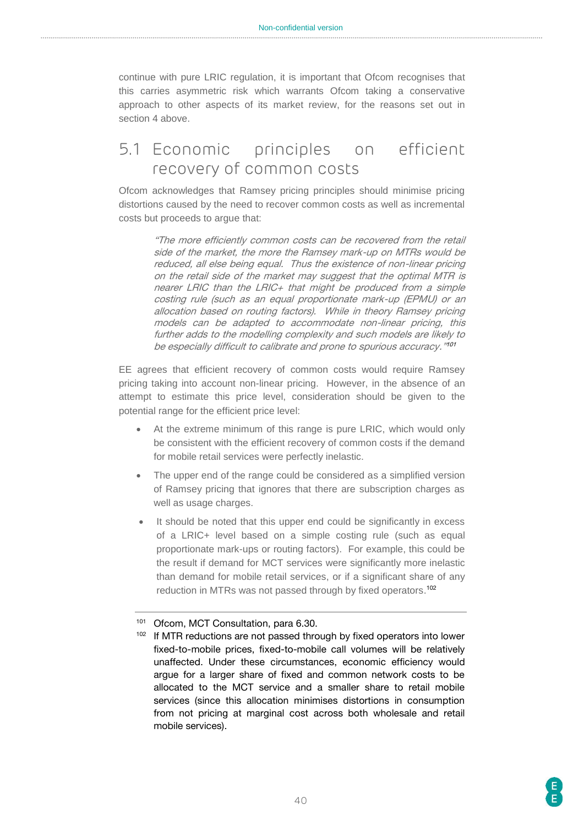continue with pure LRIC regulation, it is important that Ofcom recognises that this carries asymmetric risk which warrants Ofcom taking a conservative approach to other aspects of its market review, for the reasons set out in section 4 above.

# <span id="page-39-0"></span>5.1 Economic principles on efficient recovery of common costs

Ofcom acknowledges that Ramsey pricing principles should minimise pricing distortions caused by the need to recover common costs as well as incremental costs but proceeds to argue that:

> "The more efficiently common costs can be recovered from the retail side of the market, the more the Ramsey mark-up on MTRs would be reduced, all else being equal. Thus the existence of non-linear pricing on the retail side of the market may suggest that the optimal MTR is nearer LRIC than the LRIC+ that might be produced from a simple costing rule (such as an equal proportionate mark-up (EPMU) or an allocation based on routing factors). While in theory Ramsey pricing models can be adapted to accommodate non-linear pricing, this further adds to the modelling complexity and such models are likely to be especially difficult to calibrate and prone to spurious accuracy."<sup>101</sup>

EE agrees that efficient recovery of common costs would require Ramsey pricing taking into account non-linear pricing. However, in the absence of an attempt to estimate this price level, consideration should be given to the potential range for the efficient price level:

- At the extreme minimum of this range is pure LRIC, which would only be consistent with the efficient recovery of common costs if the demand for mobile retail services were perfectly inelastic.
- The upper end of the range could be considered as a simplified version of Ramsey pricing that ignores that there are subscription charges as well as usage charges.
- It should be noted that this upper end could be significantly in excess of a LRIC+ level based on a simple costing rule (such as equal proportionate mark-ups or routing factors). For example, this could be the result if demand for MCT services were significantly more inelastic than demand for mobile retail services, or if a significant share of any reduction in MTRs was not passed through by fixed operators. 102

<sup>101</sup> Ofcom, MCT Consultation, para 6.30.

<sup>&</sup>lt;sup>102</sup> If MTR reductions are not passed through by fixed operators into lower fixed-to-mobile prices, fixed-to-mobile call volumes will be relatively unaffected. Under these circumstances, economic efficiency would argue for a larger share of fixed and common network costs to be allocated to the MCT service and a smaller share to retail mobile services (since this allocation minimises distortions in consumption from not pricing at marginal cost across both wholesale and retail mobile services).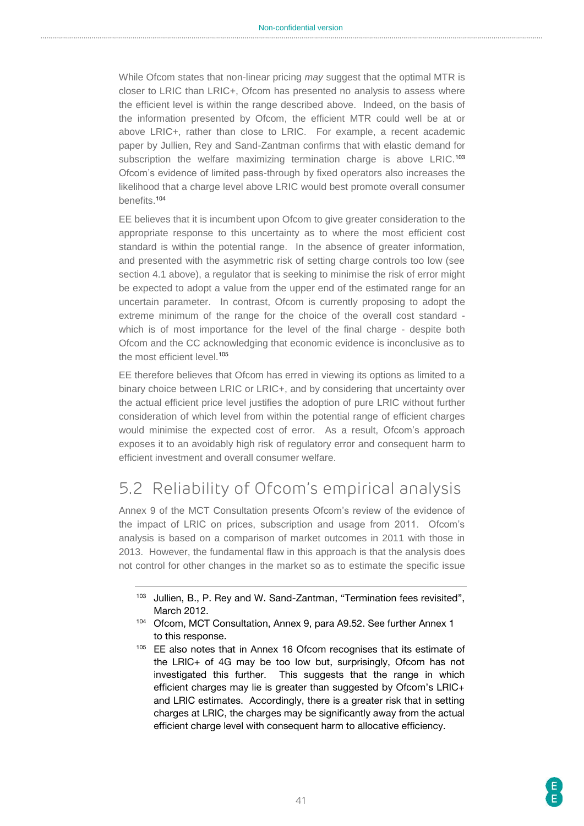While Ofcom states that non-linear pricing *may* suggest that the optimal MTR is closer to LRIC than LRIC+, Ofcom has presented no analysis to assess where the efficient level is within the range described above. Indeed, on the basis of the information presented by Ofcom, the efficient MTR could well be at or above LRIC+, rather than close to LRIC. For example, a recent academic paper by Jullien, Rey and Sand-Zantman confirms that with elastic demand for subscription the welfare maximizing termination charge is above LRIC.<sup>103</sup> Ofcom's evidence of limited pass-through by fixed operators also increases the likelihood that a charge level above LRIC would best promote overall consumer benefits.<sup>104</sup>

EE believes that it is incumbent upon Ofcom to give greater consideration to the appropriate response to this uncertainty as to where the most efficient cost standard is within the potential range. In the absence of greater information, and presented with the asymmetric risk of setting charge controls too low (see section 4.1 above), a regulator that is seeking to minimise the risk of error might be expected to adopt a value from the upper end of the estimated range for an uncertain parameter. In contrast, Ofcom is currently proposing to adopt the extreme minimum of the range for the choice of the overall cost standard which is of most importance for the level of the final charge - despite both Ofcom and the CC acknowledging that economic evidence is inconclusive as to the most efficient level. 105

EE therefore believes that Ofcom has erred in viewing its options as limited to a binary choice between LRIC or LRIC+, and by considering that uncertainty over the actual efficient price level justifies the adoption of pure LRIC without further consideration of which level from within the potential range of efficient charges would minimise the expected cost of error. As a result, Ofcom's approach exposes it to an avoidably high risk of regulatory error and consequent harm to efficient investment and overall consumer welfare.

# <span id="page-40-0"></span>5.2 Reliability of Ofcom's empirical analysis

Annex 9 of the MCT Consultation presents Ofcom's review of the evidence of the impact of LRIC on prices, subscription and usage from 2011. Ofcom's analysis is based on a comparison of market outcomes in 2011 with those in 2013. However, the fundamental flaw in this approach is that the analysis does not control for other changes in the market so as to estimate the specific issue

- <sup>104</sup> Ofcom, MCT Consultation, Annex 9, para A9.52. See further Annex 1 to this response.
- <sup>105</sup> EE also notes that in Annex 16 Ofcom recognises that its estimate of the LRIC+ of 4G may be too low but, surprisingly, Ofcom has not investigated this further. This suggests that the range in which efficient charges may lie is greater than suggested by Ofcom's LRIC+ and LRIC estimates. Accordingly, there is a greater risk that in setting charges at LRIC, the charges may be significantly away from the actual efficient charge level with consequent harm to allocative efficiency.

<sup>&</sup>lt;sup>103</sup> Jullien, B., P. Rey and W. Sand-Zantman, "Termination fees revisited", March 2012.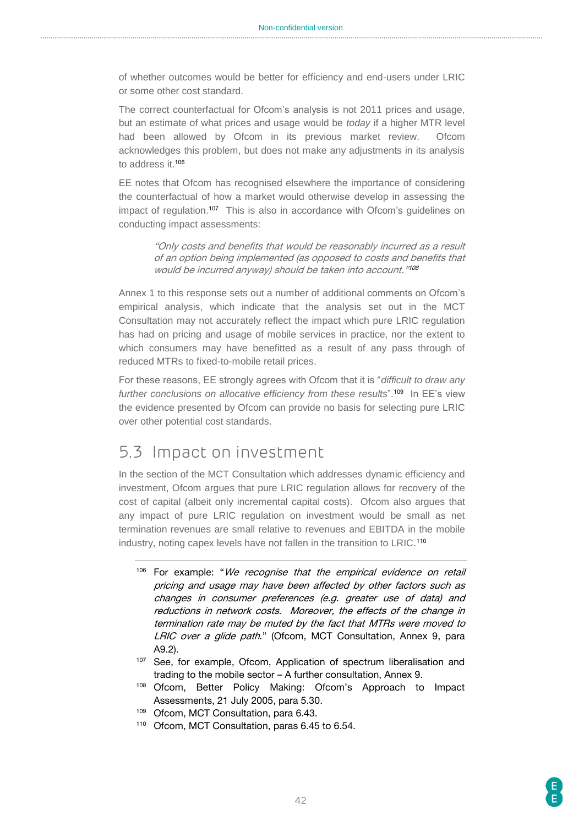of whether outcomes would be better for efficiency and end-users under LRIC or some other cost standard.

The correct counterfactual for Ofcom's analysis is not 2011 prices and usage, but an estimate of what prices and usage would be *today* if a higher MTR level had been allowed by Ofcom in its previous market review. Ofcom acknowledges this problem, but does not make any adjustments in its analysis to address it. 106

EE notes that Ofcom has recognised elsewhere the importance of considering the counterfactual of how a market would otherwise develop in assessing the impact of regulation.<sup>107</sup> This is also in accordance with Ofcom's guidelines on conducting impact assessments:

> "Only costs and benefits that would be reasonably incurred as a result of an option being implemented (as opposed to costs and benefits that would be incurred anyway) should be taken into account." 108

Annex 1 to this response sets out a number of additional comments on Ofcom's empirical analysis, which indicate that the analysis set out in the MCT Consultation may not accurately reflect the impact which pure LRIC regulation has had on pricing and usage of mobile services in practice, nor the extent to which consumers may have benefitted as a result of any pass through of reduced MTRs to fixed-to-mobile retail prices.

For these reasons, EE strongly agrees with Ofcom that it is "*difficult to draw any*  further conclusions on allocative efficiency from these results".<sup>109</sup> In EE's view the evidence presented by Ofcom can provide no basis for selecting pure LRIC over other potential cost standards.

# <span id="page-41-0"></span>5.3 Impact on investment

In the section of the MCT Consultation which addresses dynamic efficiency and investment, Ofcom argues that pure LRIC regulation allows for recovery of the cost of capital (albeit only incremental capital costs). Ofcom also argues that any impact of pure LRIC regulation on investment would be small as net termination revenues are small relative to revenues and EBITDA in the mobile industry, noting capex levels have not fallen in the transition to LRIC. 110

- <sup>106</sup> For example: "We recognise that the empirical evidence on retail pricing and usage may have been affected by other factors such as changes in consumer preferences (e.g. greater use of data) and reductions in network costs. Moreover, the effects of the change in termination rate may be muted by the fact that MTRs were moved to LRIC over a glide path." (Ofcom, MCT Consultation, Annex 9, para A9.2).
- 107 See, for example, Ofcom, Application of spectrum liberalisation and trading to the mobile sector – A further consultation, Annex 9.
- <sup>108</sup> Ofcom, Better Policy Making: Ofcom's Approach to Impact Assessments, 21 July 2005, para 5.30.
- 109 Ofcom, MCT Consultation, para 6.43.
- <sup>110</sup> Ofcom, MCT Consultation, paras 6.45 to 6.54.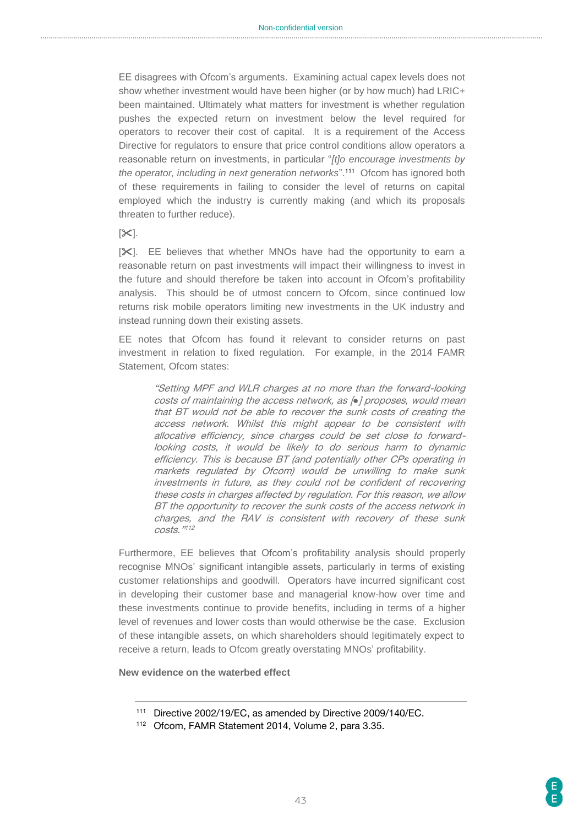EE disagrees with Ofcom's arguments. Examining actual capex levels does not show whether investment would have been higher (or by how much) had LRIC+ been maintained. Ultimately what matters for investment is whether regulation pushes the expected return on investment below the level required for operators to recover their cost of capital. It is a requirement of the Access Directive for regulators to ensure that price control conditions allow operators a reasonable return on investments, in particular "*[t]o encourage investments by the operator, including in next generation networks*". 111 Ofcom has ignored both of these requirements in failing to consider the level of returns on capital employed which the industry is currently making (and which its proposals threaten to further reduce).

#### $[\infty]$ .

[ $\times$ ]. EE believes that whether MNOs have had the opportunity to earn a reasonable return on past investments will impact their willingness to invest in the future and should therefore be taken into account in Ofcom's profitability analysis. This should be of utmost concern to Ofcom, since continued low returns risk mobile operators limiting new investments in the UK industry and instead running down their existing assets.

EE notes that Ofcom has found it relevant to consider returns on past investment in relation to fixed regulation. For example, in the 2014 FAMR Statement, Ofcom states:

> "Setting MPF and WLR charges at no more than the forward-looking costs of maintaining the access network, as [*●*] proposes, would mean that BT would not be able to recover the sunk costs of creating the access network. Whilst this might appear to be consistent with allocative efficiency, since charges could be set close to forwardlooking costs, it would be likely to do serious harm to dynamic efficiency. This is because BT (and potentially other CPs operating in markets regulated by Ofcom) would be unwilling to make sunk investments in future, as they could not be confident of recovering these costs in charges affected by regulation. For this reason, we allow BT the opportunity to recover the sunk costs of the access network in charges, and the RAV is consistent with recovery of these sunk costs."112

Furthermore, EE believes that Ofcom's profitability analysis should properly recognise MNOs' significant intangible assets, particularly in terms of existing customer relationships and goodwill. Operators have incurred significant cost in developing their customer base and managerial know-how over time and these investments continue to provide benefits, including in terms of a higher level of revenues and lower costs than would otherwise be the case. Exclusion of these intangible assets, on which shareholders should legitimately expect to receive a return, leads to Ofcom greatly overstating MNOs' profitability.

**New evidence on the waterbed effect**

<sup>&</sup>lt;sup>111</sup> Directive 2002/19/EC, as amended by Directive 2009/140/EC.

<sup>112</sup> Ofcom, FAMR Statement 2014, Volume 2, para 3.35.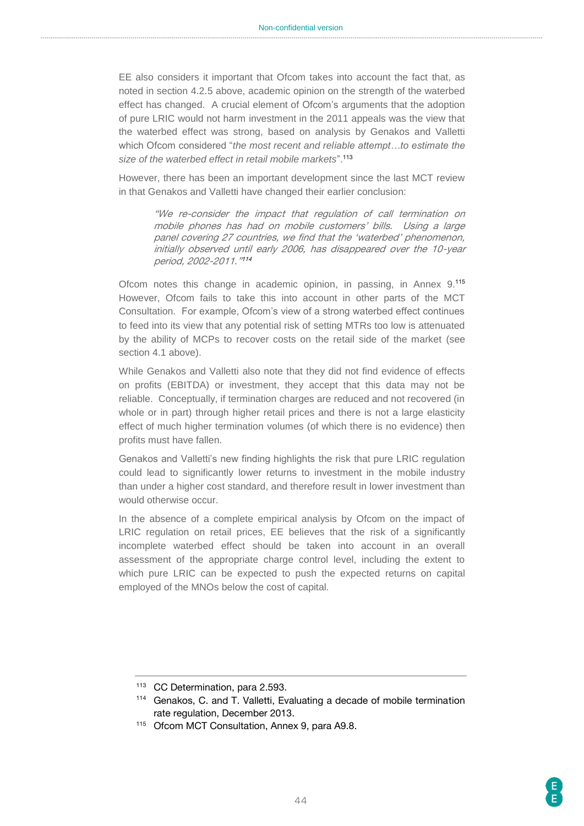EE also considers it important that Ofcom takes into account the fact that, as noted in section 4.2.5 above, academic opinion on the strength of the waterbed effect has changed. A crucial element of Ofcom's arguments that the adoption of pure LRIC would not harm investment in the 2011 appeals was the view that the waterbed effect was strong, based on analysis by Genakos and Valletti which Ofcom considered "*the most recent and reliable attempt…to estimate the size of the waterbed effect in retail mobile markets*".<sup>113</sup>

However, there has been an important development since the last MCT review in that Genakos and Valletti have changed their earlier conclusion:

> "We re-consider the impact that regulation of call termination on mobile phones has had on mobile customers' bills. Using a large panel covering 27 countries, we find that the 'waterbed' phenomenon, initially observed until early 2006, has disappeared over the 10-year period, 2002-2011." 114

Ofcom notes this change in academic opinion, in passing, in Annex 9. 115 However, Ofcom fails to take this into account in other parts of the MCT Consultation. For example, Ofcom's view of a strong waterbed effect continues to feed into its view that any potential risk of setting MTRs too low is attenuated by the ability of MCPs to recover costs on the retail side of the market (see section 4.1 above).

While Genakos and Valletti also note that they did not find evidence of effects on profits (EBITDA) or investment, they accept that this data may not be reliable. Conceptually, if termination charges are reduced and not recovered (in whole or in part) through higher retail prices and there is not a large elasticity effect of much higher termination volumes (of which there is no evidence) then profits must have fallen.

Genakos and Valletti's new finding highlights the risk that pure LRIC regulation could lead to significantly lower returns to investment in the mobile industry than under a higher cost standard, and therefore result in lower investment than would otherwise occur.

In the absence of a complete empirical analysis by Ofcom on the impact of LRIC regulation on retail prices, EE believes that the risk of a significantly incomplete waterbed effect should be taken into account in an overall assessment of the appropriate charge control level, including the extent to which pure LRIC can be expected to push the expected returns on capital employed of the MNOs below the cost of capital.

<sup>113</sup> CC Determination, para 2.593.

<sup>114</sup> Genakos, C. and T. Valletti, Evaluating a decade of mobile termination rate regulation, December 2013.

<sup>115</sup> Ofcom MCT Consultation, Annex 9, para A9.8.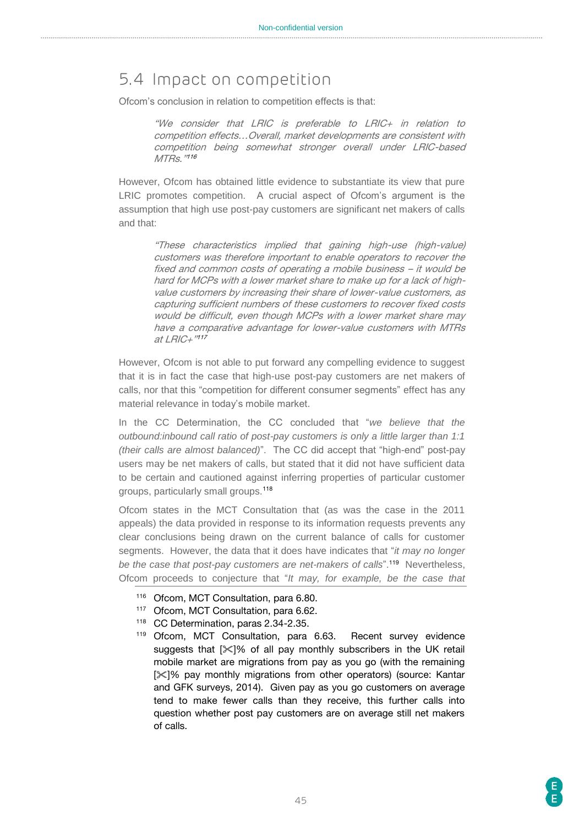# <span id="page-44-0"></span>5.4 Impact on competition

Ofcom's conclusion in relation to competition effects is that:

"We consider that LRIC is preferable to LRIC+ in relation to competition effects…Overall, market developments are consistent with competition being somewhat stronger overall under LRIC-based MTRs. "<sup>116</sup>

However, Ofcom has obtained little evidence to substantiate its view that pure LRIC promotes competition. A crucial aspect of Ofcom's argument is the assumption that high use post-pay customers are significant net makers of calls and that:

> "These characteristics implied that gaining high-use (high-value) customers was therefore important to enable operators to recover the fixed and common costs of operating a mobile business – it would be hard for MCPs with a lower market share to make up for a lack of highvalue customers by increasing their share of lower-value customers, as capturing sufficient numbers of these customers to recover fixed costs would be difficult, even though MCPs with a lower market share may have a comparative advantage for lower-value customers with MTRs at LRIC+" 117

However, Ofcom is not able to put forward any compelling evidence to suggest that it is in fact the case that high-use post-pay customers are net makers of calls, nor that this "competition for different consumer segments" effect has any material relevance in today's mobile market.

In the CC Determination, the CC concluded that "*we believe that the outbound:inbound call ratio of post-pay customers is only a little larger than 1:1 (their calls are almost balanced)*". The CC did accept that "high-end" post-pay users may be net makers of calls, but stated that it did not have sufficient data to be certain and cautioned against inferring properties of particular customer groups, particularly small groups.<sup>118</sup>

Ofcom states in the MCT Consultation that (as was the case in the 2011 appeals) the data provided in response to its information requests prevents any clear conclusions being drawn on the current balance of calls for customer segments. However, the data that it does have indicates that "*it may no longer*  be the case that post-pay customers are net-makers of calls".<sup>119</sup> Nevertheless, Ofcom proceeds to conjecture that "*It may, for example, be the case that* 

- 116 Ofcom, MCT Consultation, para 6.80.
- 117 Ofcom, MCT Consultation, para 6.62.
- <sup>118</sup> CC Determination, paras 2.34-2.35.
- <sup>119</sup> Ofcom, MCT Consultation, para 6.63. Recent survey evidence suggests that  $[\mathcal{K}]$ % of all pay monthly subscribers in the UK retail mobile market are migrations from pay as you go (with the remaining [ $|X|$ % pay monthly migrations from other operators) (source: Kantar and GFK surveys, 2014). Given pay as you go customers on average tend to make fewer calls than they receive, this further calls into question whether post pay customers are on average still net makers of calls.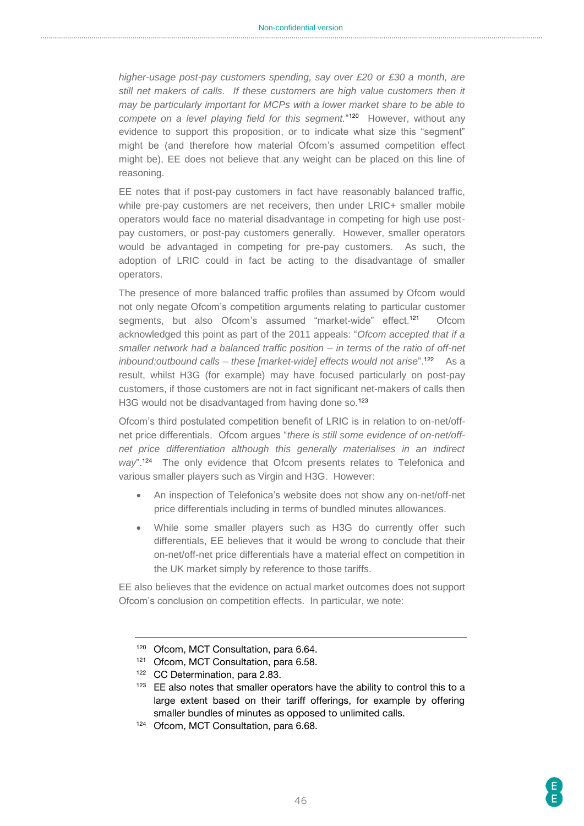*higher-usage post-pay customers spending, say over £20 or £30 a month, are still net makers of calls. If these customers are high value customers then it may be particularly important for MCPs with a lower market share to be able to compete on a level playing field for this segment.*" 120 However, without any evidence to support this proposition, or to indicate what size this "segment" might be (and therefore how material Ofcom's assumed competition effect might be), EE does not believe that any weight can be placed on this line of reasoning.

EE notes that if post-pay customers in fact have reasonably balanced traffic, while pre-pay customers are net receivers, then under LRIC+ smaller mobile operators would face no material disadvantage in competing for high use postpay customers, or post-pay customers generally. However, smaller operators would be advantaged in competing for pre-pay customers. As such, the adoption of LRIC could in fact be acting to the disadvantage of smaller operators.

The presence of more balanced traffic profiles than assumed by Ofcom would not only negate Ofcom's competition arguments relating to particular customer segments, but also Ofcom's assumed "market-wide" effect.<sup>121</sup> **Ofcom** acknowledged this point as part of the 2011 appeals: "*Ofcom accepted that if a smaller network had a balanced traffic position – in terms of the ratio of off-net inbound:outbound calls – these [market-wide] effects would not arise*".<sup>122</sup> As a result, whilst H3G (for example) may have focused particularly on post-pay customers, if those customers are not in fact significant net-makers of calls then H3G would not be disadvantaged from having done so.<sup>123</sup>

Ofcom's third postulated competition benefit of LRIC is in relation to on-net/offnet price differentials. Ofcom argues "*there is still some evidence of on-net/offnet price differentiation although this generally materialises in an indirect*  way".<sup>124</sup> The only evidence that Ofcom presents relates to Telefonica and various smaller players such as Virgin and H3G. However:

- An inspection of Telefonica's website does not show any on-net/off-net price differentials including in terms of bundled minutes allowances.
- While some smaller players such as H3G do currently offer such differentials, EE believes that it would be wrong to conclude that their on-net/off-net price differentials have a material effect on competition in the UK market simply by reference to those tariffs.

EE also believes that the evidence on actual market outcomes does not support Ofcom's conclusion on competition effects. In particular, we note:

<sup>124</sup> Ofcom, MCT Consultation, para 6.68.

<sup>120</sup> Ofcom, MCT Consultation, para 6.64.

<sup>121</sup> Ofcom, MCT Consultation, para 6.58.

<sup>122</sup> CC Determination, para 2.83.

<sup>&</sup>lt;sup>123</sup> EE also notes that smaller operators have the ability to control this to a large extent based on their tariff offerings, for example by offering smaller bundles of minutes as opposed to unlimited calls.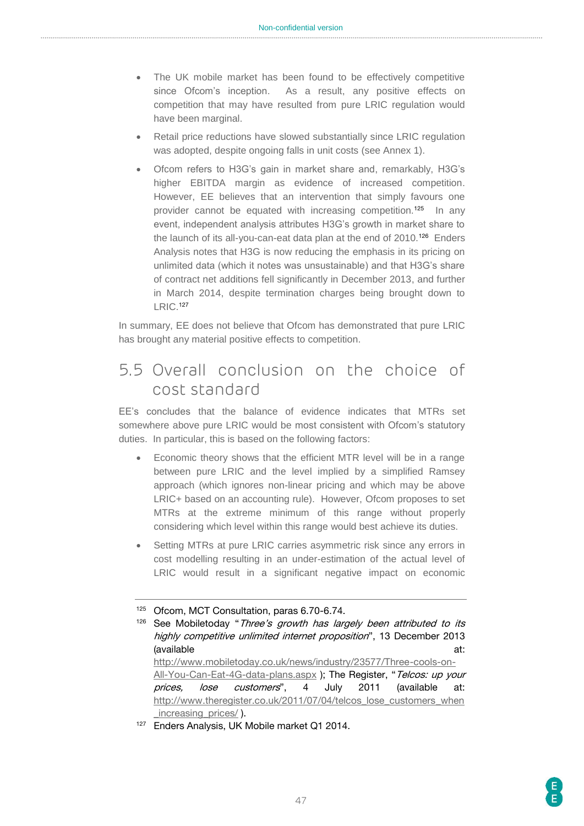- The UK mobile market has been found to be effectively competitive since Ofcom's inception. As a result, any positive effects on competition that may have resulted from pure LRIC regulation would have been marginal.
- Retail price reductions have slowed substantially since LRIC regulation was adopted, despite ongoing falls in unit costs (see Annex 1).
- Ofcom refers to H3G's gain in market share and, remarkably, H3G's higher EBITDA margin as evidence of increased competition. However, EE believes that an intervention that simply favours one provider cannot be equated with increasing competition.<sup>125</sup> In any event, independent analysis attributes H3G's growth in market share to the launch of its all-you-can-eat data plan at the end of 2010.<sup>126</sup> Enders Analysis notes that H3G is now reducing the emphasis in its pricing on unlimited data (which it notes was unsustainable) and that H3G's share of contract net additions fell significantly in December 2013, and further in March 2014, despite termination charges being brought down to LRIC.<sup>127</sup>

In summary, EE does not believe that Ofcom has demonstrated that pure LRIC has brought any material positive effects to competition.

# <span id="page-46-0"></span>5.5 Overall conclusion on the choice of cost standard

EE's concludes that the balance of evidence indicates that MTRs set somewhere above pure LRIC would be most consistent with Ofcom's statutory duties. In particular, this is based on the following factors:

- Economic theory shows that the efficient MTR level will be in a range between pure LRIC and the level implied by a simplified Ramsey approach (which ignores non-linear pricing and which may be above LRIC+ based on an accounting rule). However, Ofcom proposes to set MTRs at the extreme minimum of this range without properly considering which level within this range would best achieve its duties.
- Setting MTRs at pure LRIC carries asymmetric risk since any errors in cost modelling resulting in an under-estimation of the actual level of LRIC would result in a significant negative impact on economic

<sup>126</sup> See Mobiletoday "Three's growth has largely been attributed to its highly competitive unlimited internet proposition", 13 December 2013 (available at: [http://www.mobiletoday.co.uk/news/industry/23577/Three-cools-on-](http://www.mobiletoday.co.uk/news/industry/23577/Three-cools-on-All-You-Can-Eat-4G-data-plans.aspx)[All-You-Can-Eat-4G-data-plans.aspx](http://www.mobiletoday.co.uk/news/industry/23577/Three-cools-on-All-You-Can-Eat-4G-data-plans.aspx) ); The Register, "Telcos: up your prices, lose customers", 4 July 2011 (available at: [http://www.theregister.co.uk/2011/07/04/telcos\\_lose\\_customers\\_when](http://www.theregister.co.uk/2011/07/04/telcos_lose_customers_when_increasing_prices/) increasing prices/ ).

<sup>125</sup> Ofcom, MCT Consultation, paras 6.70-6.74.

<sup>127</sup> Enders Analysis, UK Mobile market Q1 2014.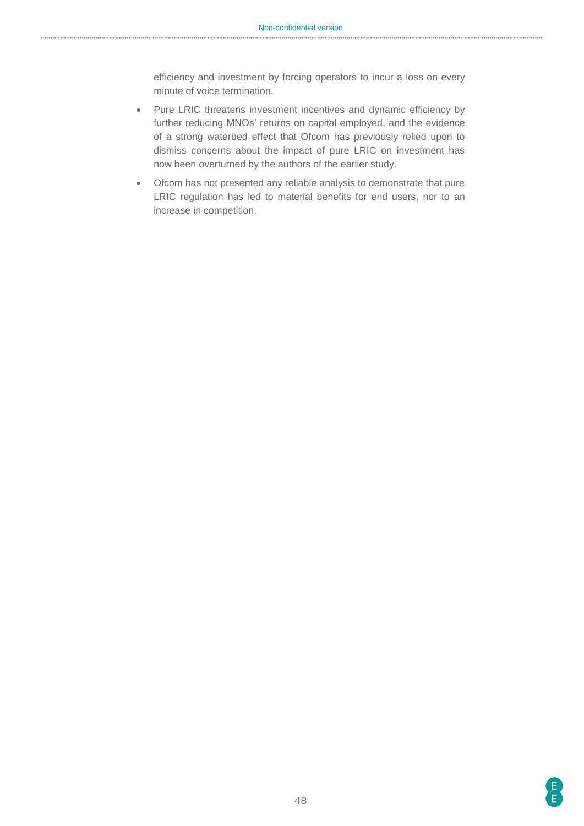efficiency and investment by forcing operators to incur a loss on every minute of voice termination.

- Pure LRIC threatens investment incentives and dynamic efficiency by further reducing MNOs' returns on capital employed, and the evidence of a strong waterbed effect that Ofcom has previously relied upon to dismiss concerns about the impact of pure LRIC on investment has now been overturned by the authors of the earlier study.
- Ofcom has not presented any reliable analysis to demonstrate that pure LRIC regulation has led to material benefits for end users, nor to an increase in competition.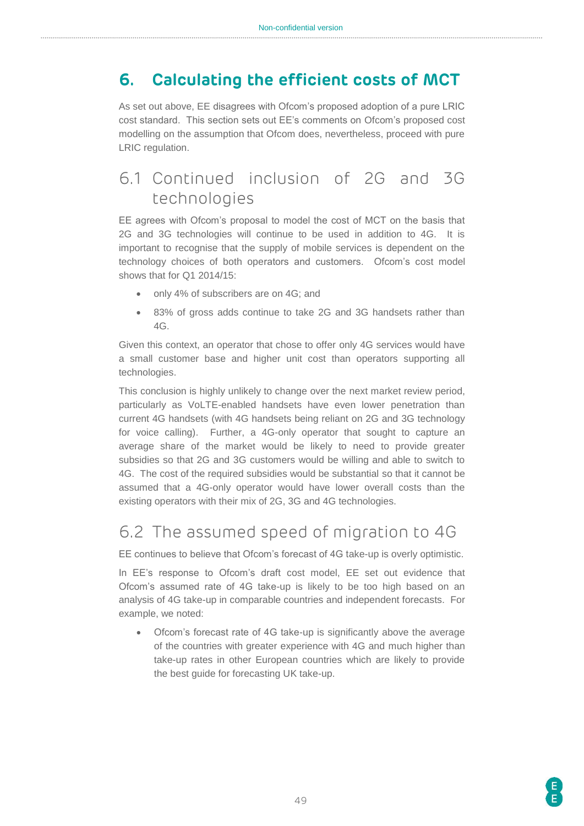# <span id="page-48-0"></span>**6. Calculating the efficient costs of MCT**

As set out above, EE disagrees with Ofcom's proposed adoption of a pure LRIC cost standard. This section sets out EE's comments on Ofcom's proposed cost modelling on the assumption that Ofcom does, nevertheless, proceed with pure LRIC regulation.

# <span id="page-48-1"></span>6.1 Continued inclusion of 2G and 3G technologies

EE agrees with Ofcom's proposal to model the cost of MCT on the basis that 2G and 3G technologies will continue to be used in addition to 4G. It is important to recognise that the supply of mobile services is dependent on the technology choices of both operators and customers. Ofcom's cost model shows that for Q1 2014/15:

- only 4% of subscribers are on 4G; and
- 83% of gross adds continue to take 2G and 3G handsets rather than 4G.

Given this context, an operator that chose to offer only 4G services would have a small customer base and higher unit cost than operators supporting all technologies.

This conclusion is highly unlikely to change over the next market review period, particularly as VoLTE-enabled handsets have even lower penetration than current 4G handsets (with 4G handsets being reliant on 2G and 3G technology for voice calling). Further, a 4G-only operator that sought to capture an average share of the market would be likely to need to provide greater subsidies so that 2G and 3G customers would be willing and able to switch to 4G. The cost of the required subsidies would be substantial so that it cannot be assumed that a 4G-only operator would have lower overall costs than the existing operators with their mix of 2G, 3G and 4G technologies.

# <span id="page-48-2"></span>6.2 The assumed speed of migration to 4G

EE continues to believe that Ofcom's forecast of 4G take-up is overly optimistic.

In EE's response to Ofcom's draft cost model, EE set out evidence that Ofcom's assumed rate of 4G take-up is likely to be too high based on an analysis of 4G take-up in comparable countries and independent forecasts. For example, we noted:

 Ofcom's forecast rate of 4G take-up is significantly above the average of the countries with greater experience with 4G and much higher than take-up rates in other European countries which are likely to provide the best guide for forecasting UK take-up.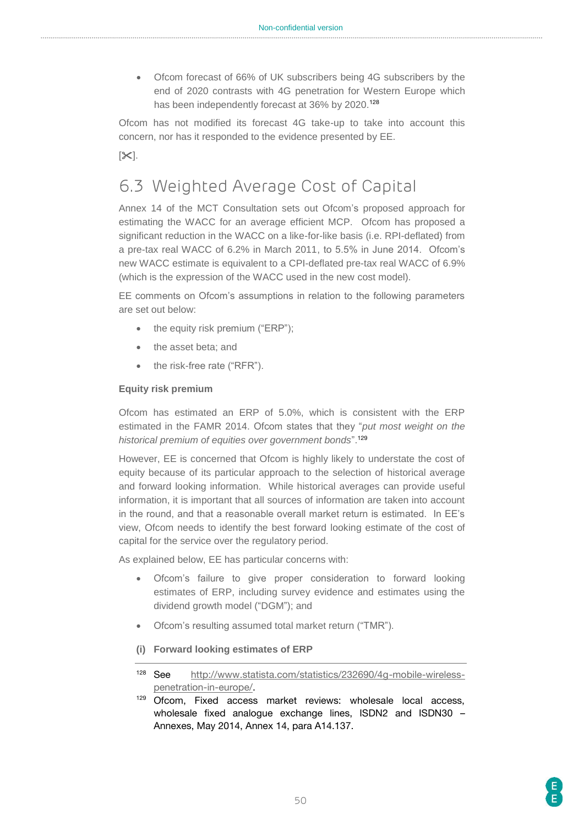Ofcom forecast of 66% of UK subscribers being 4G subscribers by the end of 2020 contrasts with 4G penetration for Western Europe which has been independently forecast at 36% by 2020.<sup>128</sup>

Ofcom has not modified its forecast 4G take-up to take into account this concern, nor has it responded to the evidence presented by EE.

 $[\infty]$ .

# <span id="page-49-0"></span>6.3 Weighted Average Cost of Capital

Annex 14 of the MCT Consultation sets out Ofcom's proposed approach for estimating the WACC for an average efficient MCP. Ofcom has proposed a significant reduction in the WACC on a like-for-like basis (i.e. RPI-deflated) from a pre-tax real WACC of 6.2% in March 2011, to 5.5% in June 2014. Ofcom's new WACC estimate is equivalent to a CPI-deflated pre-tax real WACC of 6.9% (which is the expression of the WACC used in the new cost model).

EE comments on Ofcom's assumptions in relation to the following parameters are set out below:

- $\bullet$  the equity risk premium ("ERP");
- the asset beta; and
- the risk-free rate ("RFR").

#### **Equity risk premium**

Ofcom has estimated an ERP of 5.0%, which is consistent with the ERP estimated in the FAMR 2014. Ofcom states that they "*put most weight on the historical premium of equities over government bonds*". 129

However, EE is concerned that Ofcom is highly likely to understate the cost of equity because of its particular approach to the selection of historical average and forward looking information. While historical averages can provide useful information, it is important that all sources of information are taken into account in the round, and that a reasonable overall market return is estimated. In EE's view, Ofcom needs to identify the best forward looking estimate of the cost of capital for the service over the regulatory period.

As explained below, EE has particular concerns with:

- Ofcom's failure to give proper consideration to forward looking estimates of ERP, including survey evidence and estimates using the dividend growth model ("DGM"); and
- Ofcom's resulting assumed total market return ("TMR").
- **(i) Forward looking estimates of ERP**
- <sup>128</sup> See [http://www.statista.com/statistics/232690/4g-mobile-wireless](http://www.statista.com/statistics/232690/4g-mobile-wireless-penetration-in-europe/)[penetration-in-europe/.](http://www.statista.com/statistics/232690/4g-mobile-wireless-penetration-in-europe/)

<sup>129</sup> Ofcom, Fixed access market reviews: wholesale local access, wholesale fixed analogue exchange lines, ISDN2 and ISDN30 – Annexes, May 2014, Annex 14, para A14.137.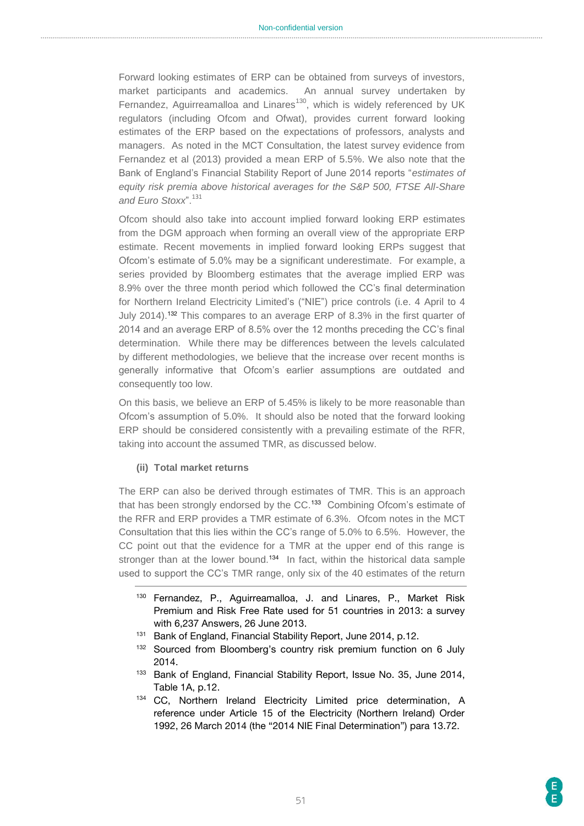Forward looking estimates of ERP can be obtained from surveys of investors, market participants and academics. An annual survey undertaken by Fernandez, Aguirreamalloa and Linares<sup>130</sup>, which is widely referenced by UK regulators (including Ofcom and Ofwat), provides current forward looking estimates of the ERP based on the expectations of professors, analysts and managers. As noted in the MCT Consultation, the latest survey evidence from Fernandez et al (2013) provided a mean ERP of 5.5%. We also note that the Bank of England's Financial Stability Report of June 2014 reports "*estimates of equity risk premia above historical averages for the S&P 500, FTSE All-Share and Euro Stoxx*".<sup>131</sup>

Ofcom should also take into account implied forward looking ERP estimates from the DGM approach when forming an overall view of the appropriate ERP estimate. Recent movements in implied forward looking ERPs suggest that Ofcom's estimate of 5.0% may be a significant underestimate. For example, a series provided by Bloomberg estimates that the average implied ERP was 8.9% over the three month period which followed the CC's final determination for Northern Ireland Electricity Limited's ("NIE") price controls (i.e. 4 April to 4 July 2014). <sup>132</sup> This compares to an average ERP of 8.3% in the first quarter of 2014 and an average ERP of 8.5% over the 12 months preceding the CC's final determination. While there may be differences between the levels calculated by different methodologies, we believe that the increase over recent months is generally informative that Ofcom's earlier assumptions are outdated and consequently too low.

On this basis, we believe an ERP of 5.45% is likely to be more reasonable than Ofcom's assumption of 5.0%. It should also be noted that the forward looking ERP should be considered consistently with a prevailing estimate of the RFR, taking into account the assumed TMR, as discussed below.

#### **(ii) Total market returns**

The ERP can also be derived through estimates of TMR. This is an approach that has been strongly endorsed by the CC.<sup>133</sup> Combining Ofcom's estimate of the RFR and ERP provides a TMR estimate of 6.3%. Ofcom notes in the MCT Consultation that this lies within the CC's range of 5.0% to 6.5%. However, the CC point out that the evidence for a TMR at the upper end of this range is stronger than at the lower bound.<sup>134</sup> In fact, within the historical data sample used to support the CC's TMR range, only six of the 40 estimates of the return

- <sup>130</sup> Fernandez, P., Aguirreamalloa, J. and Linares, P., Market Risk Premium and Risk Free Rate used for 51 countries in 2013: a survey with 6,237 Answers, 26 June 2013.
- 131 Bank of England, Financial Stability Report, June 2014, p.12.
- 132 Sourced from Bloomberg's country risk premium function on 6 July 2014.
- <sup>133</sup> Bank of England, Financial Stability Report, Issue No. 35, June 2014, Table 1A, p.12.
- <sup>134</sup> CC, Northern Ireland Electricity Limited price determination, A reference under Article 15 of the Electricity (Northern Ireland) Order 1992, 26 March 2014 (the "2014 NIE Final Determination") para 13.72.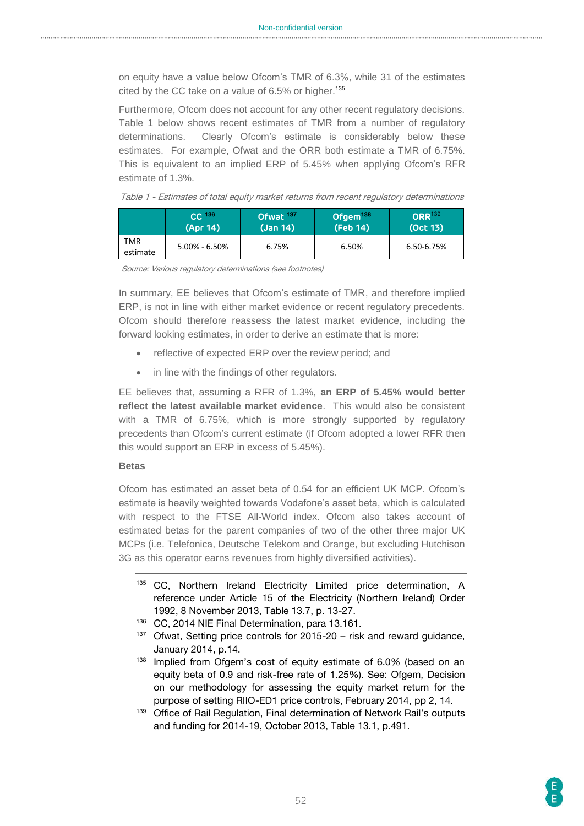on equity have a value below Ofcom's TMR of 6.3%, while 31 of the estimates cited by the CC take on a value of 6.5% or higher. 135

Furthermore, Ofcom does not account for any other recent regulatory decisions. [Table 1](#page-51-0) below shows recent estimates of TMR from a number of regulatory determinations. Clearly Ofcom's estimate is considerably below these estimates. For example, Ofwat and the ORR both estimate a TMR of 6.75%. This is equivalent to an implied ERP of 5.45% when applying Ofcom's RFR estimate of 1.3%.

<span id="page-51-0"></span>

|  |  |  |  |  |  |  |  |  | Table 1 - Estimates of total equity market returns from recent regulatory determinations |
|--|--|--|--|--|--|--|--|--|------------------------------------------------------------------------------------------|
|--|--|--|--|--|--|--|--|--|------------------------------------------------------------------------------------------|

|                 | $CC$ <sup>136</sup> | Ofwat <sup>137</sup> | Ofgem <sup>138</sup> | ORR <sup>139</sup> |
|-----------------|---------------------|----------------------|----------------------|--------------------|
|                 | (Apr 14)            | (Jan 14)             | (Feb 14)             | (Oct 13)           |
| TMR<br>estimate | $5.00\% - 6.50\%$   | 6.75%                | 6.50%                | 6.50-6.75%         |

Source: Various regulatory determinations (see footnotes)

In summary, EE believes that Ofcom's estimate of TMR, and therefore implied ERP, is not in line with either market evidence or recent regulatory precedents. Ofcom should therefore reassess the latest market evidence, including the forward looking estimates, in order to derive an estimate that is more:

- reflective of expected ERP over the review period; and
- in line with the findings of other regulators.

EE believes that, assuming a RFR of 1.3%, **an ERP of 5.45% would better reflect the latest available market evidence**. This would also be consistent with a TMR of 6.75%, which is more strongly supported by regulatory precedents than Ofcom's current estimate (if Ofcom adopted a lower RFR then this would support an ERP in excess of 5.45%).

#### **Betas**

Ofcom has estimated an asset beta of 0.54 for an efficient UK MCP. Ofcom's estimate is heavily weighted towards Vodafone's asset beta, which is calculated with respect to the FTSE All-World index. Ofcom also takes account of estimated betas for the parent companies of two of the other three major UK MCPs (i.e. Telefonica, Deutsche Telekom and Orange, but excluding Hutchison 3G as this operator earns revenues from highly diversified activities).

- <sup>135</sup> CC, Northern Ireland Electricity Limited price determination, A reference under Article 15 of the Electricity (Northern Ireland) Order 1992, 8 November 2013, Table 13.7, p. 13-27.
- <sup>136</sup> CC, 2014 NIE Final Determination, para 13.161.
- <sup>137</sup> Ofwat, Setting price controls for 2015-20 risk and reward guidance, January 2014, p.14.
- 138 Implied from Ofgem's cost of equity estimate of 6.0% (based on an equity beta of 0.9 and risk-free rate of 1.25%). See: Ofgem, Decision on our methodology for assessing the equity market return for the purpose of setting RIIO-ED1 price controls, February 2014, pp 2, 14.
- 139 Office of Rail Regulation, Final determination of Network Rail's outputs and funding for 2014-19, October 2013, Table 13.1, p.491.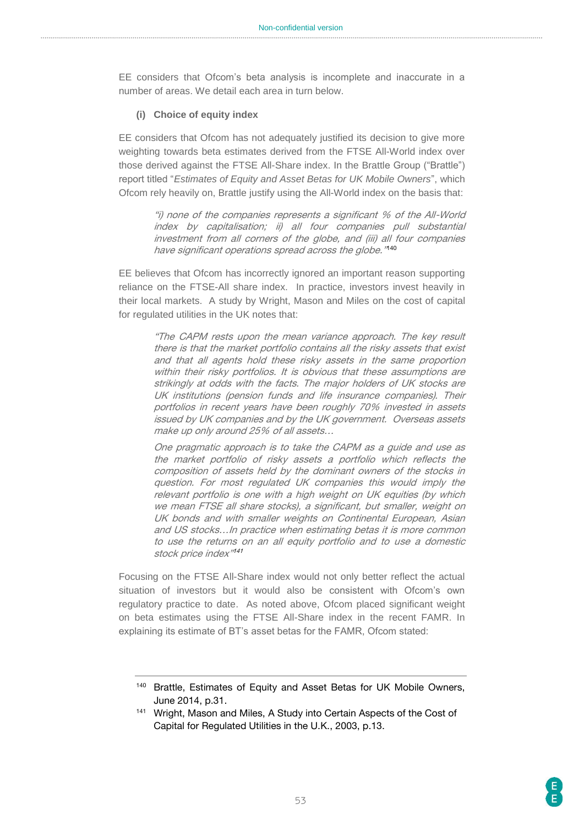EE considers that Ofcom's beta analysis is incomplete and inaccurate in a number of areas. We detail each area in turn below.

#### **(i) Choice of equity index**

EE considers that Ofcom has not adequately justified its decision to give more weighting towards beta estimates derived from the FTSE All-World index over those derived against the FTSE All-Share index. In the Brattle Group ("Brattle") report titled "*Estimates of Equity and Asset Betas for UK Mobile Owners*", which Ofcom rely heavily on, Brattle justify using the All-World index on the basis that:

> "i) none of the companies represents a significant % of the All-World index by capitalisation; ii) all four companies pull substantial investment from all corners of the globe, and (iii) all four companies have significant operations spread across the globe." 140

EE believes that Ofcom has incorrectly ignored an important reason supporting reliance on the FTSE-All share index. In practice, investors invest heavily in their local markets. A study by Wright, Mason and Miles on the cost of capital for regulated utilities in the UK notes that:

> "The CAPM rests upon the mean variance approach. The key result there is that the market portfolio contains all the risky assets that exist and that all agents hold these risky assets in the same proportion within their risky portfolios. It is obvious that these assumptions are strikingly at odds with the facts. The major holders of UK stocks are UK institutions (pension funds and life insurance companies). Their portfolios in recent years have been roughly 70% invested in assets issued by UK companies and by the UK government. Overseas assets make up only around 25% of all assets…

> One pragmatic approach is to take the CAPM as a guide and use as the market portfolio of risky assets a portfolio which reflects the composition of assets held by the dominant owners of the stocks in question. For most regulated UK companies this would imply the relevant portfolio is one with a high weight on UK equities (by which we mean FTSE all share stocks), a significant, but smaller, weight on UK bonds and with smaller weights on Continental European, Asian and US stocks…In practice when estimating betas it is more common to use the returns on an all equity portfolio and to use a domestic stock price index" 141

Focusing on the FTSE All-Share index would not only better reflect the actual situation of investors but it would also be consistent with Ofcom's own regulatory practice to date. As noted above, Ofcom placed significant weight on beta estimates using the FTSE All-Share index in the recent FAMR. In explaining its estimate of BT's asset betas for the FAMR, Ofcom stated:

<sup>&</sup>lt;sup>140</sup> Brattle, Estimates of Equity and Asset Betas for UK Mobile Owners, June 2014, p.31.

<sup>141</sup> Wright, Mason and Miles, A Study into Certain Aspects of the Cost of Capital for Regulated Utilities in the U.K., 2003, p.13.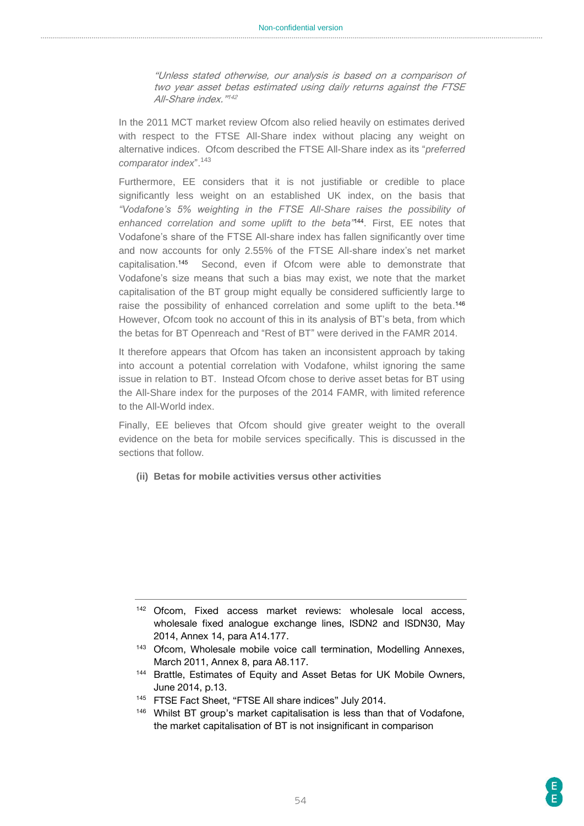"Unless stated otherwise, our analysis is based on a comparison of two year asset betas estimated using daily returns against the FTSE All-Share index."<sup>142</sup>

In the 2011 MCT market review Ofcom also relied heavily on estimates derived with respect to the FTSE All-Share index without placing any weight on alternative indices. Ofcom described the FTSE All-Share index as its "*preferred comparator index*".<sup>143</sup>

Furthermore, EE considers that it is not justifiable or credible to place significantly less weight on an established UK index, on the basis that *"Vodafone's 5% weighting in the FTSE All-Share raises the possibility of*  enhanced correlation and some uplift to the beta<sup>"144</sup>. First, EE notes that Vodafone's share of the FTSE All-share index has fallen significantly over time and now accounts for only 2.55% of the FTSE All-share index's net market capitalisation. Second, even if Ofcom were able to demonstrate that Vodafone's size means that such a bias may exist, we note that the market capitalisation of the BT group might equally be considered sufficiently large to raise the possibility of enhanced correlation and some uplift to the beta.<sup>146</sup> However, Ofcom took no account of this in its analysis of BT's beta, from which the betas for BT Openreach and "Rest of BT" were derived in the FAMR 2014.

It therefore appears that Ofcom has taken an inconsistent approach by taking into account a potential correlation with Vodafone, whilst ignoring the same issue in relation to BT. Instead Ofcom chose to derive asset betas for BT using the All-Share index for the purposes of the 2014 FAMR, with limited reference to the All-World index.

Finally, EE believes that Ofcom should give greater weight to the overall evidence on the beta for mobile services specifically. This is discussed in the sections that follow.

**(ii) Betas for mobile activities versus other activities**

<sup>142</sup> Ofcom, Fixed access market reviews: wholesale local access, wholesale fixed analogue exchange lines, ISDN2 and ISDN30, May 2014, Annex 14, para A14.177.

<sup>143</sup> Ofcom, Wholesale mobile voice call termination, Modelling Annexes, March 2011, Annex 8, para A8.117.

<sup>144</sup> Brattle, Estimates of Equity and Asset Betas for UK Mobile Owners, June 2014, p.13.

<sup>&</sup>lt;sup>145</sup> FTSE Fact Sheet, "FTSE All share indices" July 2014.

<sup>&</sup>lt;sup>146</sup> Whilst BT group's market capitalisation is less than that of Vodafone, the market capitalisation of BT is not insignificant in comparison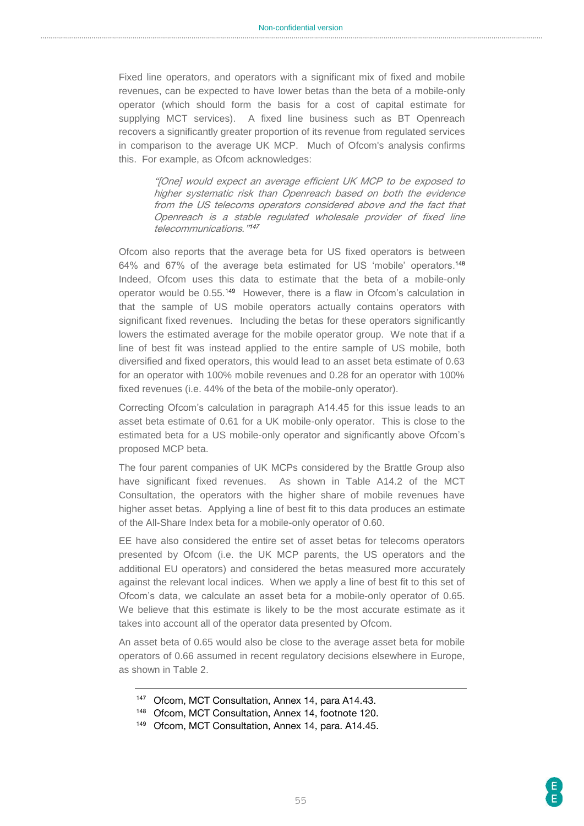Fixed line operators, and operators with a significant mix of fixed and mobile revenues, can be expected to have lower betas than the beta of a mobile-only operator (which should form the basis for a cost of capital estimate for supplying MCT services). A fixed line business such as BT Openreach recovers a significantly greater proportion of its revenue from regulated services in comparison to the average UK MCP. Much of Ofcom's analysis confirms this. For example, as Ofcom acknowledges:

> "[One] would expect an average efficient UK MCP to be exposed to higher systematic risk than Openreach based on both the evidence from the US telecoms operators considered above and the fact that Openreach is a stable regulated wholesale provider of fixed line telecommunications." 147

Ofcom also reports that the average beta for US fixed operators is between 64% and 67% of the average beta estimated for US 'mobile' operators. 148 Indeed, Ofcom uses this data to estimate that the beta of a mobile-only operator would be 0.55.<sup>149</sup> However, there is a flaw in Ofcom's calculation in that the sample of US mobile operators actually contains operators with significant fixed revenues. Including the betas for these operators significantly lowers the estimated average for the mobile operator group. We note that if a line of best fit was instead applied to the entire sample of US mobile, both diversified and fixed operators, this would lead to an asset beta estimate of 0.63 for an operator with 100% mobile revenues and 0.28 for an operator with 100% fixed revenues (i.e. 44% of the beta of the mobile-only operator).

Correcting Ofcom's calculation in paragraph A14.45 for this issue leads to an asset beta estimate of 0.61 for a UK mobile-only operator. This is close to the estimated beta for a US mobile-only operator and significantly above Ofcom's proposed MCP beta.

The four parent companies of UK MCPs considered by the Brattle Group also have significant fixed revenues. As shown in Table A14.2 of the MCT Consultation, the operators with the higher share of mobile revenues have higher asset betas. Applying a line of best fit to this data produces an estimate of the All-Share Index beta for a mobile-only operator of 0.60.

EE have also considered the entire set of asset betas for telecoms operators presented by Ofcom (i.e. the UK MCP parents, the US operators and the additional EU operators) and considered the betas measured more accurately against the relevant local indices. When we apply a line of best fit to this set of Ofcom's data, we calculate an asset beta for a mobile-only operator of 0.65. We believe that this estimate is likely to be the most accurate estimate as it takes into account all of the operator data presented by Ofcom.

An asset beta of 0.65 would also be close to the average asset beta for mobile operators of 0.66 assumed in recent regulatory decisions elsewhere in Europe, as shown in Table 2.

- <sup>147</sup> Ofcom, MCT Consultation, Annex 14, para A14.43.
- <sup>148</sup> Ofcom, MCT Consultation, Annex 14, footnote 120.
- <sup>149</sup> Ofcom, MCT Consultation, Annex 14, para. A14.45.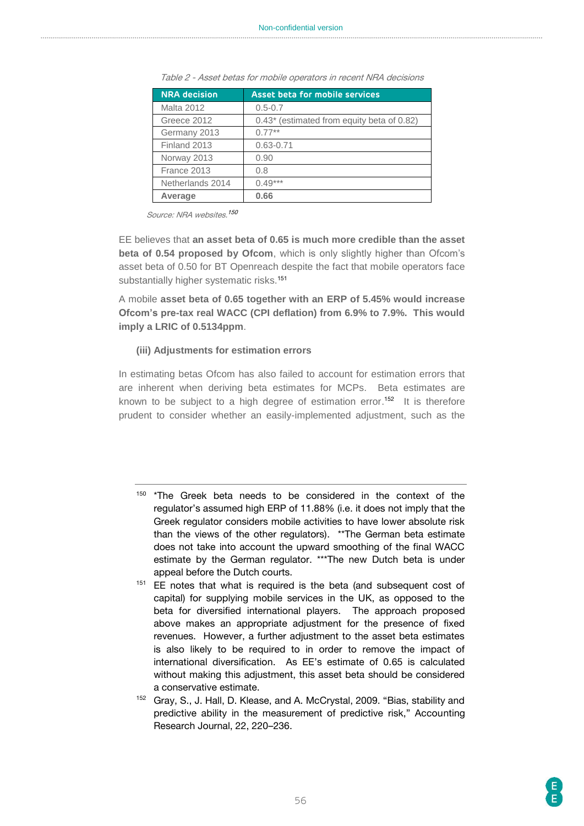| <b>NRA decision</b> | <b>Asset beta for mobile services</b>      |
|---------------------|--------------------------------------------|
| <b>Malta 2012</b>   | $0.5 - 0.7$                                |
| Greece 2012         | 0.43* (estimated from equity beta of 0.82) |
| Germany 2013        | $0.77***$                                  |
| Finland 2013        | $0.63 - 0.71$                              |
| Norway 2013         | 0.90                                       |
| France 2013         | 0.8                                        |
| Netherlands 2014    | $0.49***$                                  |
| Average             | 0.66                                       |

Table 2 - Asset betas for mobile operators in recent NRA decisions

Source: NRA websites. 150

EE believes that **an asset beta of 0.65 is much more credible than the asset beta of 0.54 proposed by Ofcom**, which is only slightly higher than Ofcom's asset beta of 0.50 for BT Openreach despite the fact that mobile operators face substantially higher systematic risks.<sup>151</sup>

A mobile **asset beta of 0.65 together with an ERP of 5.45% would increase Ofcom's pre-tax real WACC (CPI deflation) from 6.9% to 7.9%. This would imply a LRIC of 0.5134ppm**.

#### **(iii) Adjustments for estimation errors**

In estimating betas Ofcom has also failed to account for estimation errors that are inherent when deriving beta estimates for MCPs. Beta estimates are known to be subject to a high degree of estimation error.<sup>152</sup> It is therefore prudent to consider whether an easily-implemented adjustment, such as the

- <sup>150</sup> \*The Greek beta needs to be considered in the context of the regulator's assumed high ERP of 11.88% (i.e. it does not imply that the Greek regulator considers mobile activities to have lower absolute risk than the views of the other regulators). \*\*The German beta estimate does not take into account the upward smoothing of the final WACC estimate by the German regulator. \*\*\*The new Dutch beta is under appeal before the Dutch courts.
- <sup>151</sup> EE notes that what is required is the beta (and subsequent cost of capital) for supplying mobile services in the UK, as opposed to the beta for diversified international players. The approach proposed above makes an appropriate adjustment for the presence of fixed revenues. However, a further adjustment to the asset beta estimates is also likely to be required to in order to remove the impact of international diversification. As EE's estimate of 0.65 is calculated without making this adjustment, this asset beta should be considered a conservative estimate.
- <sup>152</sup> Gray, S., J. Hall, D. Klease, and A. McCrystal, 2009. "Bias, stability and predictive ability in the measurement of predictive risk," Accounting Research Journal, 22, 220–236.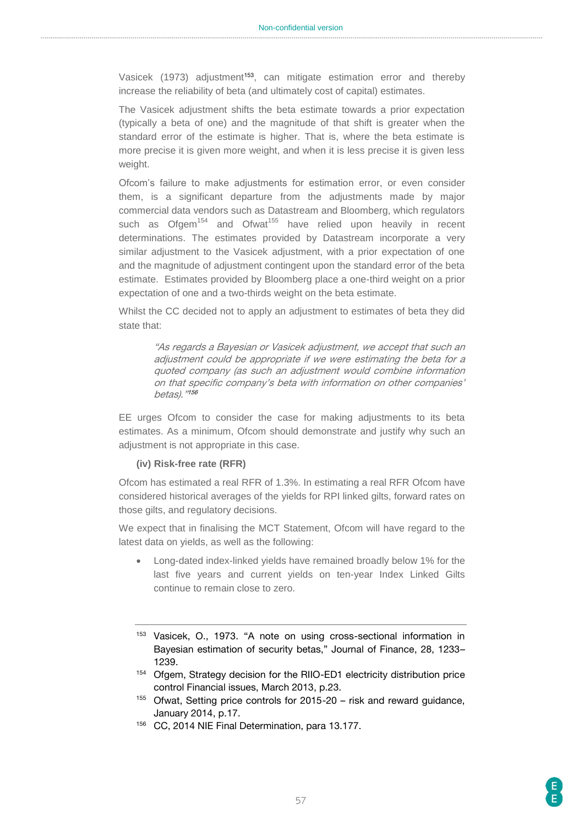Vasicek (1973) adjustment<sup>153</sup>, can mitigate estimation error and thereby increase the reliability of beta (and ultimately cost of capital) estimates.

The Vasicek adjustment shifts the beta estimate towards a prior expectation (typically a beta of one) and the magnitude of that shift is greater when the standard error of the estimate is higher. That is, where the beta estimate is more precise it is given more weight, and when it is less precise it is given less weight.

Ofcom's failure to make adjustments for estimation error, or even consider them, is a significant departure from the adjustments made by major commercial data vendors such as Datastream and Bloomberg, which regulators such as  $Ofgem<sup>154</sup>$  and  $Ofwat<sup>155</sup>$  have relied upon heavily in recent determinations. The estimates provided by Datastream incorporate a very similar adjustment to the Vasicek adjustment, with a prior expectation of one and the magnitude of adjustment contingent upon the standard error of the beta estimate. Estimates provided by Bloomberg place a one-third weight on a prior expectation of one and a two-thirds weight on the beta estimate.

Whilst the CC decided not to apply an adjustment to estimates of beta they did state that:

> "As regards a Bayesian or Vasicek adjustment, we accept that such an adjustment could be appropriate if we were estimating the beta for a quoted company (as such an adjustment would combine information on that specific company's beta with information on other companies' betas)." 156

EE urges Ofcom to consider the case for making adjustments to its beta estimates. As a minimum, Ofcom should demonstrate and justify why such an adjustment is not appropriate in this case.

#### **(iv) Risk-free rate (RFR)**

Ofcom has estimated a real RFR of 1.3%. In estimating a real RFR Ofcom have considered historical averages of the yields for RPI linked gilts, forward rates on those gilts, and regulatory decisions.

We expect that in finalising the MCT Statement, Ofcom will have regard to the latest data on yields, as well as the following:

- Long-dated index-linked yields have remained broadly below 1% for the last five years and current yields on ten-year Index Linked Gilts continue to remain close to zero.
- <sup>153</sup> Vasicek, O., 1973. "A note on using cross-sectional information in Bayesian estimation of security betas," Journal of Finance, 28, 1233– 1239.
- <sup>154</sup> Ofgem, Strategy decision for the RIIO-ED1 electricity distribution price control Financial issues, March 2013, p.23.
- 155 Ofwat, Setting price controls for 2015-20 risk and reward guidance, January 2014, p.17.
- <sup>156</sup> CC, 2014 NIE Final Determination, para 13.177.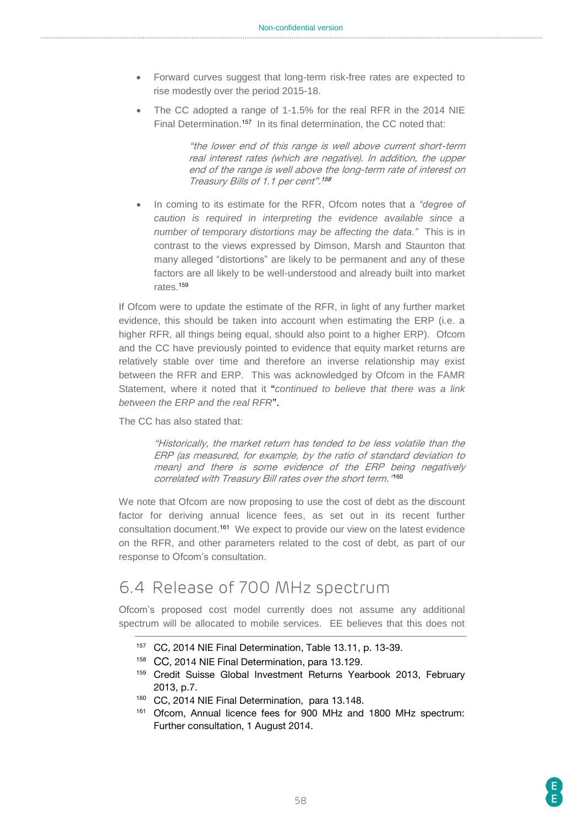- Forward curves suggest that long-term risk-free rates are expected to rise modestly over the period 2015-18.
- The CC adopted a range of 1-1.5% for the real RFR in the 2014 NIE Final Determination.<sup>157</sup> In its final determination, the CC noted that:

"the lower end of this range is well above current short-term real interest rates (which are negative). In addition, the upper end of the range is well above the long-term rate of interest on Treasury Bills of 1.1 per cent". 158

 In coming to its estimate for the RFR, Ofcom notes that a *"degree of caution is required in interpreting the evidence available since a number of temporary distortions may be affecting the data."* This is in contrast to the views expressed by Dimson, Marsh and Staunton that many alleged "distortions" are likely to be permanent and any of these factors are all likely to be well-understood and already built into market rates. 159

If Ofcom were to update the estimate of the RFR, in light of any further market evidence, this should be taken into account when estimating the ERP (i.e. a higher RFR, all things being equal, should also point to a higher ERP). Ofcom and the CC have previously pointed to evidence that equity market returns are relatively stable over time and therefore an inverse relationship may exist between the RFR and ERP. This was acknowledged by Ofcom in the FAMR Statement, where it noted that it "*continued to believe that there was a link between the ERP and the real RFR*".

The CC has also stated that:

"Historically, the market return has tended to be less volatile than the ERP (as measured, for example, by the ratio of standard deviation to mean) and there is some evidence of the ERP being negatively correlated with Treasury Bill rates over the short term." 160

We note that Ofcom are now proposing to use the cost of debt as the discount factor for deriving annual licence fees, as set out in its recent further consultation document. <sup>161</sup> We expect to provide our view on the latest evidence on the RFR, and other parameters related to the cost of debt, as part of our response to Ofcom's consultation.

# <span id="page-57-0"></span>6.4 Release of 700 MHz spectrum

Ofcom's proposed cost model currently does not assume any additional spectrum will be allocated to mobile services. EE believes that this does not

- <sup>157</sup> CC, 2014 NIE Final Determination, Table 13.11, p. 13-39.
- <sup>158</sup> CC, 2014 NIE Final Determination, para 13.129.
- 159 Credit Suisse Global Investment Returns Yearbook 2013, February 2013, p.7.
- <sup>160</sup> CC, 2014 NIE Final Determination, para 13.148.
- <sup>161</sup> Ofcom, Annual licence fees for 900 MHz and 1800 MHz spectrum: Further consultation, 1 August 2014.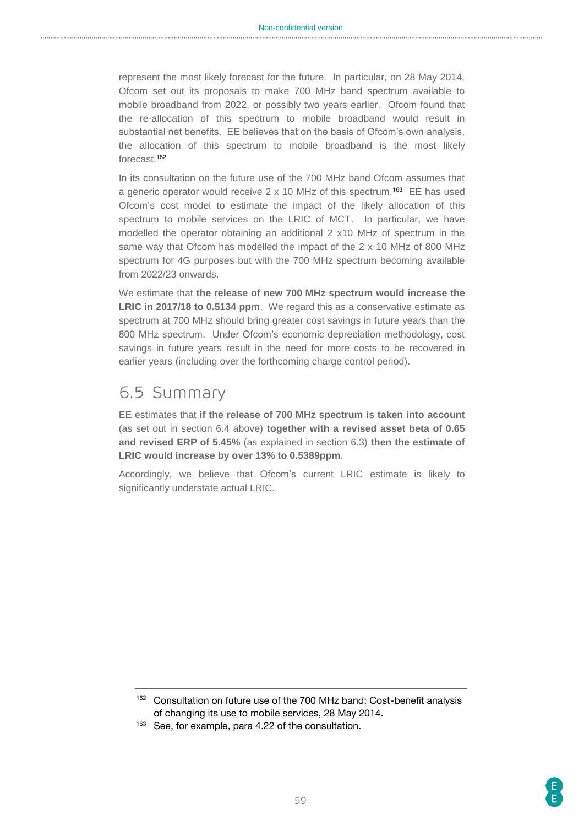represent the most likely forecast for the future. In particular, on 28 May 2014, Ofcom set out its proposals to make 700 MHz band spectrum available to mobile broadband from 2022, or possibly two years earlier. Ofcom found that the re-allocation of this spectrum to mobile broadband would result in substantial net benefits. EE believes that on the basis of Ofcom's own analysis, the allocation of this spectrum to mobile broadband is the most likely forecast.<sup>162</sup>

In its consultation on the future use of the 700 MHz band Ofcom assumes that a generic operator would receive 2 x 10 MHz of this spectrum.<sup>163</sup> EE has used Ofcom's cost model to estimate the impact of the likely allocation of this spectrum to mobile services on the LRIC of MCT. In particular, we have modelled the operator obtaining an additional 2 x10 MHz of spectrum in the same way that Ofcom has modelled the impact of the 2 x 10 MHz of 800 MHz spectrum for 4G purposes but with the 700 MHz spectrum becoming available from 2022/23 onwards.

We estimate that **the release of new 700 MHz spectrum would increase the LRIC in 2017/18 to 0.5134 ppm**. We regard this as a conservative estimate as spectrum at 700 MHz should bring greater cost savings in future years than the 800 MHz spectrum. Under Ofcom's economic depreciation methodology, cost savings in future years result in the need for more costs to be recovered in earlier years (including over the forthcoming charge control period).

### <span id="page-58-0"></span>6.5 Summary

EE estimates that **if the release of 700 MHz spectrum is taken into account**  (as set out in section 6.4 above) **together with a revised asset beta of 0.65 and revised ERP of 5.45%** (as explained in section 6.3) **then the estimate of LRIC would increase by over 13% to 0.5389ppm**.

Accordingly, we believe that Ofcom's current LRIC estimate is likely to significantly understate actual LRIC.

<sup>162</sup> Consultation on future use of the 700 MHz band: Cost-benefit analysis of changing its use to mobile services, 28 May 2014.

<sup>163</sup> See, for example, para 4.22 of the consultation.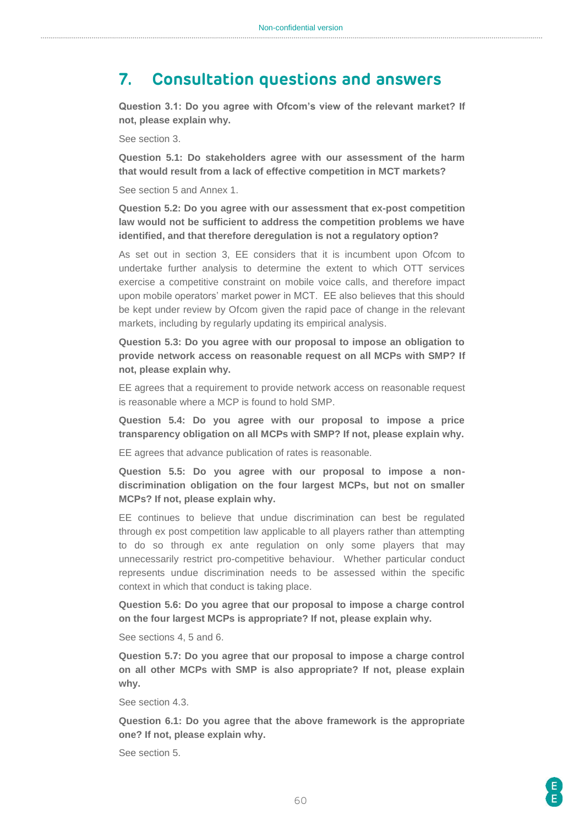### <span id="page-59-0"></span>**7. Consultation questions and answers**

**Question 3.1: Do you agree with Ofcom's view of the relevant market? If not, please explain why.** 

See section 3.

**Question 5.1: Do stakeholders agree with our assessment of the harm that would result from a lack of effective competition in MCT markets?** 

See section 5 and Annex 1.

**Question 5.2: Do you agree with our assessment that ex-post competition law would not be sufficient to address the competition problems we have identified, and that therefore deregulation is not a regulatory option?** 

As set out in section 3, EE considers that it is incumbent upon Ofcom to undertake further analysis to determine the extent to which OTT services exercise a competitive constraint on mobile voice calls, and therefore impact upon mobile operators' market power in MCT. EE also believes that this should be kept under review by Ofcom given the rapid pace of change in the relevant markets, including by regularly updating its empirical analysis.

**Question 5.3: Do you agree with our proposal to impose an obligation to provide network access on reasonable request on all MCPs with SMP? If not, please explain why.**

EE agrees that a requirement to provide network access on reasonable request is reasonable where a MCP is found to hold SMP.

**Question 5.4: Do you agree with our proposal to impose a price transparency obligation on all MCPs with SMP? If not, please explain why.**

EE agrees that advance publication of rates is reasonable.

**Question 5.5: Do you agree with our proposal to impose a nondiscrimination obligation on the four largest MCPs, but not on smaller MCPs? If not, please explain why.**

EE continues to believe that undue discrimination can best be regulated through ex post competition law applicable to all players rather than attempting to do so through ex ante regulation on only some players that may unnecessarily restrict pro-competitive behaviour. Whether particular conduct represents undue discrimination needs to be assessed within the specific context in which that conduct is taking place.

**Question 5.6: Do you agree that our proposal to impose a charge control on the four largest MCPs is appropriate? If not, please explain why.** 

See sections 4, 5 and 6.

**Question 5.7: Do you agree that our proposal to impose a charge control on all other MCPs with SMP is also appropriate? If not, please explain why.** 

See section 4.3.

**Question 6.1: Do you agree that the above framework is the appropriate one? If not, please explain why.** 

See section 5.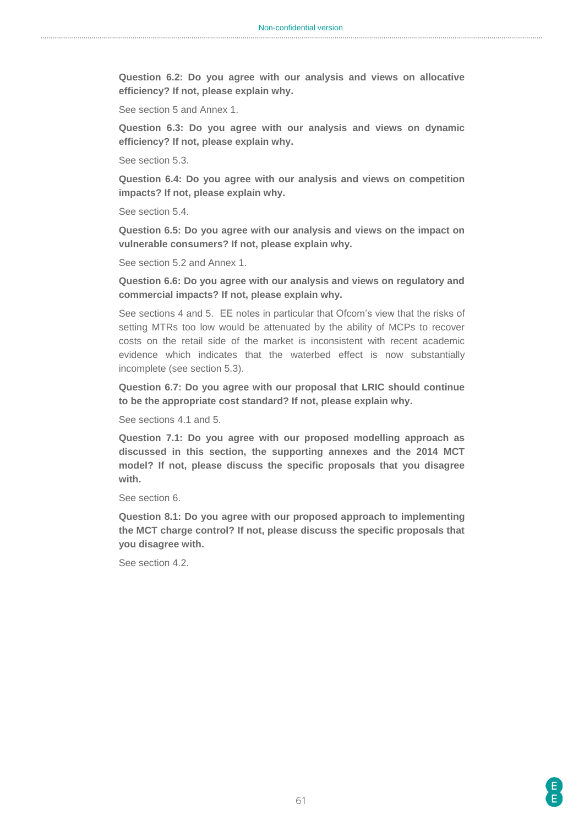**Question 6.2: Do you agree with our analysis and views on allocative efficiency? If not, please explain why.** 

See section 5 and Annex 1.

**Question 6.3: Do you agree with our analysis and views on dynamic efficiency? If not, please explain why.** 

See section 5.3.

**Question 6.4: Do you agree with our analysis and views on competition impacts? If not, please explain why.** 

See section 5.4.

**Question 6.5: Do you agree with our analysis and views on the impact on vulnerable consumers? If not, please explain why.** 

See section 5.2 and Annex 1.

**Question 6.6: Do you agree with our analysis and views on regulatory and commercial impacts? If not, please explain why.** 

See sections 4 and 5. EE notes in particular that Ofcom's view that the risks of setting MTRs too low would be attenuated by the ability of MCPs to recover costs on the retail side of the market is inconsistent with recent academic evidence which indicates that the waterbed effect is now substantially incomplete (see section 5.3).

**Question 6.7: Do you agree with our proposal that LRIC should continue to be the appropriate cost standard? If not, please explain why.**

See sections 4.1 and 5.

**Question 7.1: Do you agree with our proposed modelling approach as discussed in this section, the supporting annexes and the 2014 MCT model? If not, please discuss the specific proposals that you disagree with.** 

See section 6.

**Question 8.1: Do you agree with our proposed approach to implementing the MCT charge control? If not, please discuss the specific proposals that you disagree with.**

See section 4.2.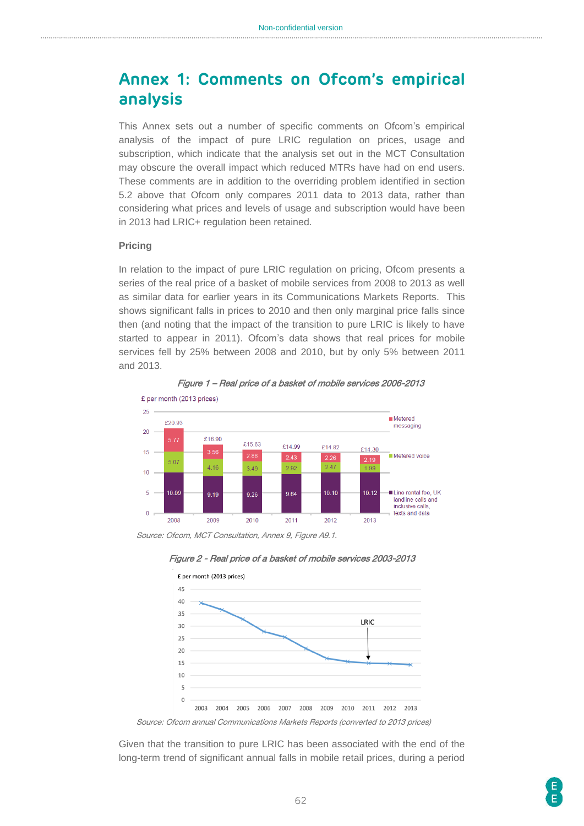# <span id="page-61-0"></span>**Annex 1: Comments on Ofcom's empirical analysis**

This Annex sets out a number of specific comments on Ofcom's empirical analysis of the impact of pure LRIC regulation on prices, usage and subscription, which indicate that the analysis set out in the MCT Consultation may obscure the overall impact which reduced MTRs have had on end users. These comments are in addition to the overriding problem identified in section 5.2 above that Ofcom only compares 2011 data to 2013 data, rather than considering what prices and levels of usage and subscription would have been in 2013 had LRIC+ regulation been retained.

#### **Pricing**

In relation to the impact of pure LRIC regulation on pricing, Ofcom presents a series of the real price of a basket of mobile services from 2008 to 2013 as well as similar data for earlier years in its Communications Markets Reports. This shows significant falls in prices to 2010 and then only marginal price falls since then (and noting that the impact of the transition to pure LRIC is likely to have started to appear in 2011). Ofcom's data shows that real prices for mobile services fell by 25% between 2008 and 2010, but by only 5% between 2011 and 2013.



Figure 1 – Real price of a basket of mobile services 2006-2013

Source: Ofcom, MCT Consultation, Annex 9, Figure A9.1.





Source: Ofcom annual Communications Markets Reports (converted to 2013 prices)

Given that the transition to pure LRIC has been associated with the end of the long-term trend of significant annual falls in mobile retail prices, during a period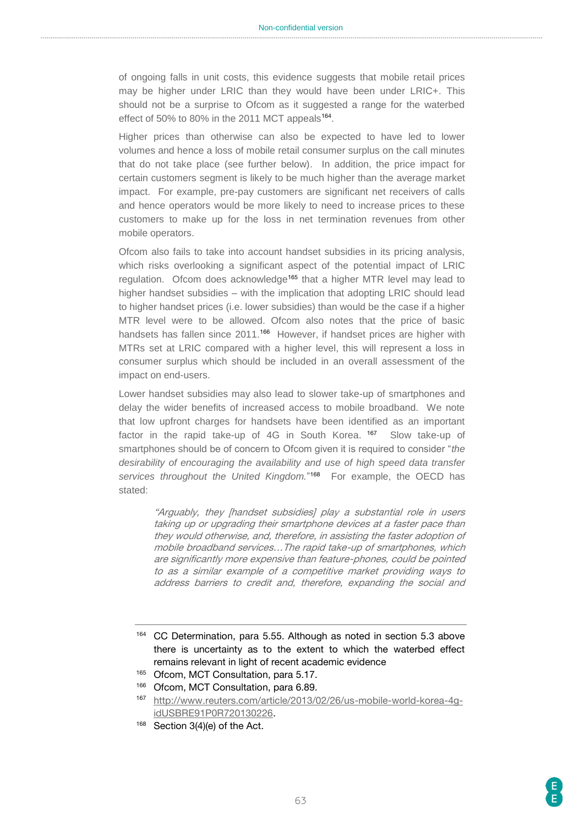of ongoing falls in unit costs, this evidence suggests that mobile retail prices may be higher under LRIC than they would have been under LRIC+. This should not be a surprise to Ofcom as it suggested a range for the waterbed effect of 50% to 80% in the 2011 MCT appeals<sup>164</sup>.

Higher prices than otherwise can also be expected to have led to lower volumes and hence a loss of mobile retail consumer surplus on the call minutes that do not take place (see further below). In addition, the price impact for certain customers segment is likely to be much higher than the average market impact. For example, pre-pay customers are significant net receivers of calls and hence operators would be more likely to need to increase prices to these customers to make up for the loss in net termination revenues from other mobile operators.

Ofcom also fails to take into account handset subsidies in its pricing analysis, which risks overlooking a significant aspect of the potential impact of LRIC regulation. Ofcom does acknowledge<sup>165</sup> that a higher MTR level may lead to higher handset subsidies – with the implication that adopting LRIC should lead to higher handset prices (i.e. lower subsidies) than would be the case if a higher MTR level were to be allowed. Ofcom also notes that the price of basic handsets has fallen since 2011.<sup>166</sup> However, if handset prices are higher with MTRs set at LRIC compared with a higher level, this will represent a loss in consumer surplus which should be included in an overall assessment of the impact on end-users.

Lower handset subsidies may also lead to slower take-up of smartphones and delay the wider benefits of increased access to mobile broadband. We note that low upfront charges for handsets have been identified as an important factor in the rapid take-up of 4G in South Korea. <sup>167</sup> Slow take-up of smartphones should be of concern to Ofcom given it is required to consider "*the desirability of encouraging the availability and use of high speed data transfer*  services throughout the United Kingdom."<sup>168</sup> For example, the OECD has stated:

"Arguably, they [handset subsidies] play a substantial role in users taking up or upgrading their smartphone devices at a faster pace than they would otherwise, and, therefore, in assisting the faster adoption of mobile broadband services…The rapid take-up of smartphones, which are significantly more expensive than feature-phones, could be pointed to as a similar example of a competitive market providing ways to address barriers to credit and, therefore, expanding the social and

- <sup>164</sup> CC Determination, para 5.55. Although as noted in section 5.3 above there is uncertainty as to the extent to which the waterbed effect remains relevant in light of recent academic evidence
- 165 Ofcom, MCT Consultation, para 5.17.
- 166 Ofcom, MCT Consultation, para 6.89.

168 Section 3(4)(e) of the Act.

<sup>167</sup> [http://www.reuters.com/article/2013/02/26/us-mobile-world-korea-4g](http://www.reuters.com/article/2013/02/26/us-mobile-world-korea-4g-idUSBRE91P0R720130226)[idUSBRE91P0R720130226.](http://www.reuters.com/article/2013/02/26/us-mobile-world-korea-4g-idUSBRE91P0R720130226)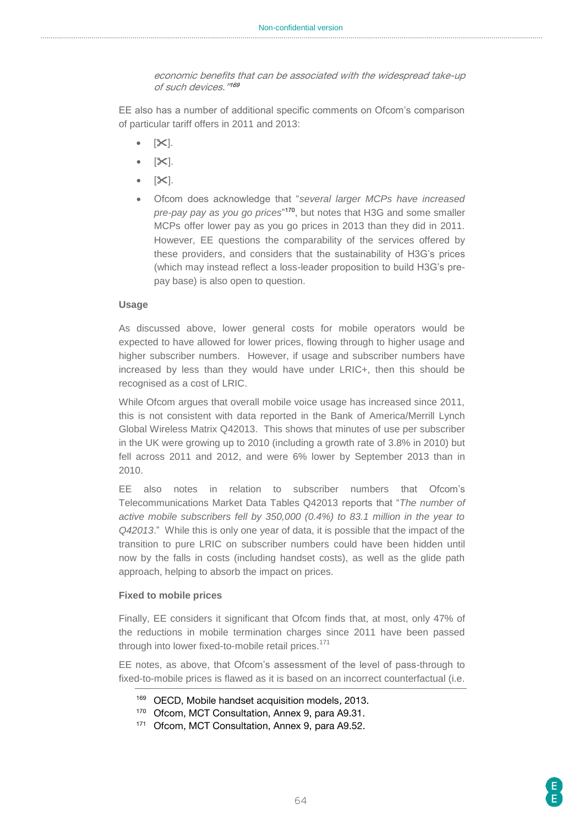economic benefits that can be associated with the widespread take-up of such devices." 169

EE also has a number of additional specific comments on Ofcom's comparison of particular tariff offers in 2011 and 2013:

- $[35]$ .
- $\bullet$  [ $\mathsf{X}$ ].
- $\bullet$  [ $\infty$ ].
- Ofcom does acknowledge that "*several larger MCPs have increased pre-pay pay as you go prices*" <sup>170</sup>, but notes that H3G and some smaller MCPs offer lower pay as you go prices in 2013 than they did in 2011. However, EE questions the comparability of the services offered by these providers, and considers that the sustainability of H3G's prices (which may instead reflect a loss-leader proposition to build H3G's prepay base) is also open to question.

#### **Usage**

As discussed above, lower general costs for mobile operators would be expected to have allowed for lower prices, flowing through to higher usage and higher subscriber numbers. However, if usage and subscriber numbers have increased by less than they would have under LRIC+, then this should be recognised as a cost of LRIC.

While Ofcom argues that overall mobile voice usage has increased since 2011, this is not consistent with data reported in the Bank of America/Merrill Lynch Global Wireless Matrix Q42013. This shows that minutes of use per subscriber in the UK were growing up to 2010 (including a growth rate of 3.8% in 2010) but fell across 2011 and 2012, and were 6% lower by September 2013 than in 2010.

EE also notes in relation to subscriber numbers that Ofcom's Telecommunications Market Data Tables Q42013 reports that "*The number of active mobile subscribers fell by 350,000 (0.4%) to 83.1 million in the year to Q42013*." While this is only one year of data, it is possible that the impact of the transition to pure LRIC on subscriber numbers could have been hidden until now by the falls in costs (including handset costs), as well as the glide path approach, helping to absorb the impact on prices.

#### **Fixed to mobile prices**

Finally, EE considers it significant that Ofcom finds that, at most, only 47% of the reductions in mobile termination charges since 2011 have been passed through into lower fixed-to-mobile retail prices.<sup>171</sup>

EE notes, as above, that Ofcom's assessment of the level of pass-through to fixed-to-mobile prices is flawed as it is based on an incorrect counterfactual (i.e.

<sup>169</sup> OECD, Mobile handset acquisition models, 2013.

<sup>170</sup> Ofcom, MCT Consultation, Annex 9, para A9.31.

<sup>171</sup> Ofcom, MCT Consultation, Annex 9, para A9.52.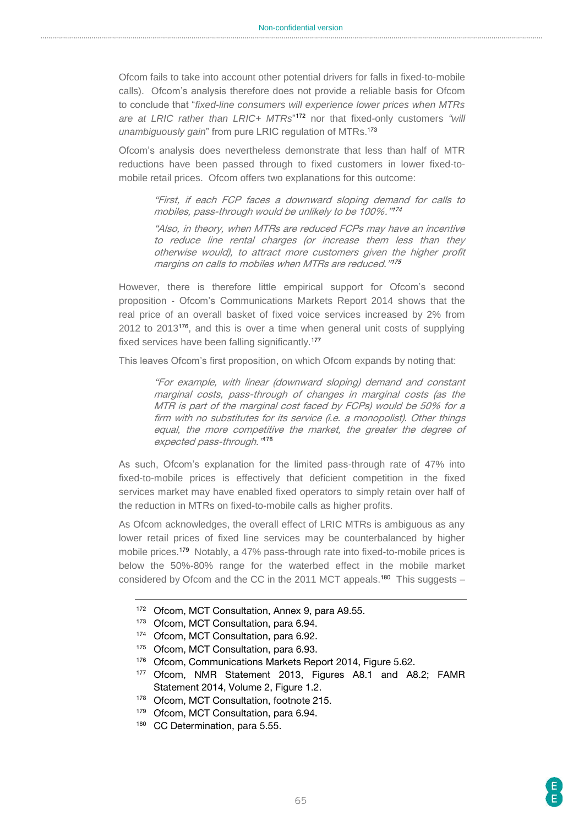Ofcom fails to take into account other potential drivers for falls in fixed-to-mobile calls). Ofcom's analysis therefore does not provide a reliable basis for Ofcom to conclude that "*fixed-line consumers will experience lower prices when MTRs are at LRIC rather than LRIC+ MTRs*" <sup>172</sup> nor that fixed-only customers *"will unambiguously gain*" from pure LRIC regulation of MTRs.<sup>173</sup>

Ofcom's analysis does nevertheless demonstrate that less than half of MTR reductions have been passed through to fixed customers in lower fixed-tomobile retail prices. Ofcom offers two explanations for this outcome:

> "First, if each FCP faces a downward sloping demand for calls to mobiles, pass-through would be unlikely to be 100%." 174

> "Also, in theory, when MTRs are reduced FCPs may have an incentive to reduce line rental charges (or increase them less than they otherwise would), to attract more customers given the higher profit margins on calls to mobiles when MTRs are reduced." 175

However, there is therefore little empirical support for Ofcom's second proposition - Ofcom's Communications Markets Report 2014 shows that the real price of an overall basket of fixed voice services increased by 2% from 2012 to 2013<sup>176</sup>, and this is over a time when general unit costs of supplying fixed services have been falling significantly.<sup>177</sup>

This leaves Ofcom's first proposition, on which Ofcom expands by noting that:

"For example, with linear (downward sloping) demand and constant marginal costs, pass-through of changes in marginal costs (as the MTR is part of the marginal cost faced by FCPs) would be 50% for a firm with no substitutes for its service (i.e. a monopolist). Other things equal, the more competitive the market, the greater the degree of expected pass-through." 178

As such, Ofcom's explanation for the limited pass-through rate of 47% into fixed-to-mobile prices is effectively that deficient competition in the fixed services market may have enabled fixed operators to simply retain over half of the reduction in MTRs on fixed-to-mobile calls as higher profits.

As Ofcom acknowledges, the overall effect of LRIC MTRs is ambiguous as any lower retail prices of fixed line services may be counterbalanced by higher mobile prices.<sup>179</sup> Notably, a 47% pass-through rate into fixed-to-mobile prices is below the 50%-80% range for the waterbed effect in the mobile market considered by Ofcom and the CC in the 2011 MCT appeals.<sup>180</sup> This suggests –

- 172 Ofcom, MCT Consultation, Annex 9, para A9.55.
- 173 Ofcom, MCT Consultation, para 6.94.
- 174 Ofcom, MCT Consultation, para 6.92.
- 175 Ofcom, MCT Consultation, para 6.93.
- 176 Ofcom, Communications Markets Report 2014, Figure 5.62.
- <sup>177</sup> Ofcom, NMR Statement 2013, Figures A8.1 and A8.2; FAMR Statement 2014, Volume 2, Figure 1.2.
- 178 Ofcom, MCT Consultation, footnote 215.
- 179 Ofcom, MCT Consultation, para 6.94.
- 180 CC Determination, para 5.55.